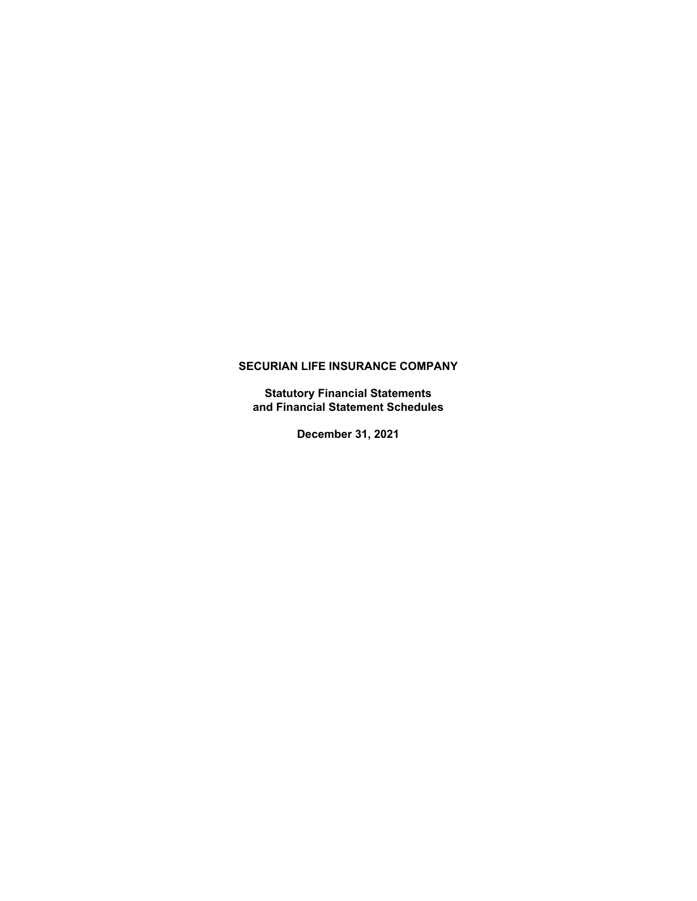**Statutory Financial Statements and Financial Statement Schedules**

**December 31, 2021**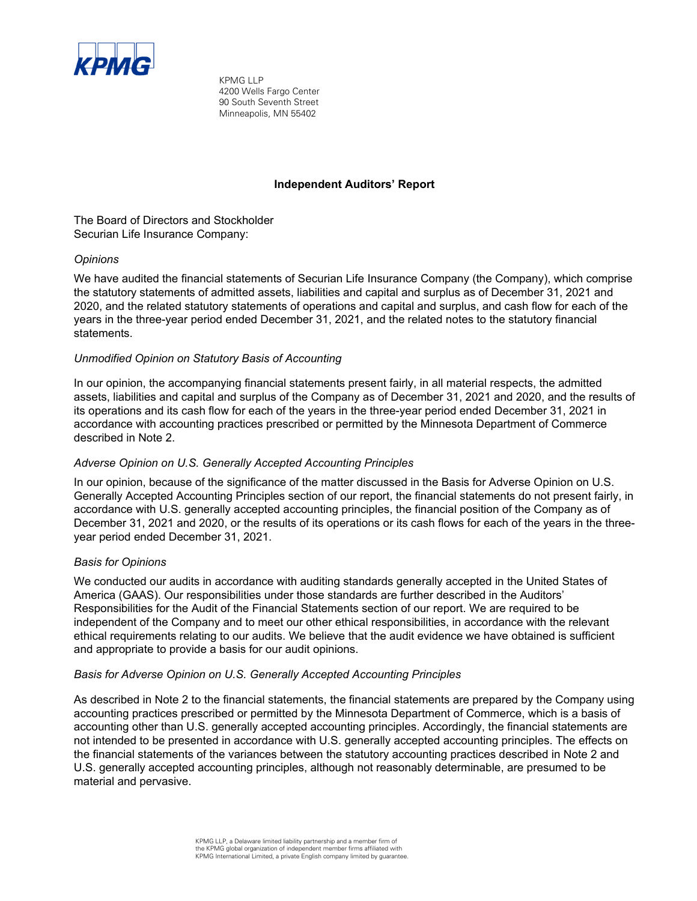

KPMG LLP 4200 Wells Fargo Center 90 South Seventh Street Minneapolis, MN 55402

## **Independent Auditors' Report**

The Board of Directors and Stockholder Securian Life Insurance Company:

## *Opinions*

We have audited the financial statements of Securian Life Insurance Company (the Company), which comprise the statutory statements of admitted assets, liabilities and capital and surplus as of December 31, 2021 and 2020, and the related statutory statements of operations and capital and surplus, and cash flow for each of the years in the three-year period ended December 31, 2021, and the related notes to the statutory financial statements.

## *Unmodified Opinion on Statutory Basis of Accounting*

In our opinion, the accompanying financial statements present fairly, in all material respects, the admitted assets, liabilities and capital and surplus of the Company as of December 31, 2021 and 2020, and the results of its operations and its cash flow for each of the years in the three-year period ended December 31, 2021 in accordance with accounting practices prescribed or permitted by the Minnesota Department of Commerce described in Note 2.

## *Adverse Opinion on U.S. Generally Accepted Accounting Principles*

In our opinion, because of the significance of the matter discussed in the Basis for Adverse Opinion on U.S. Generally Accepted Accounting Principles section of our report, the financial statements do not present fairly, in accordance with U.S. generally accepted accounting principles, the financial position of the Company as of December 31, 2021 and 2020, or the results of its operations or its cash flows for each of the years in the threeyear period ended December 31, 2021.

## *Basis for Opinions*

We conducted our audits in accordance with auditing standards generally accepted in the United States of America (GAAS). Our responsibilities under those standards are further described in the Auditors' Responsibilities for the Audit of the Financial Statements section of our report. We are required to be independent of the Company and to meet our other ethical responsibilities, in accordance with the relevant ethical requirements relating to our audits. We believe that the audit evidence we have obtained is sufficient and appropriate to provide a basis for our audit opinions.

## *Basis for Adverse Opinion on U.S. Generally Accepted Accounting Principles*

As described in Note 2 to the financial statements, the financial statements are prepared by the Company using accounting practices prescribed or permitted by the Minnesota Department of Commerce, which is a basis of accounting other than U.S. generally accepted accounting principles. Accordingly, the financial statements are not intended to be presented in accordance with U.S. generally accepted accounting principles. The effects on the financial statements of the variances between the statutory accounting practices described in Note 2 and U.S. generally accepted accounting principles, although not reasonably determinable, are presumed to be material and pervasive.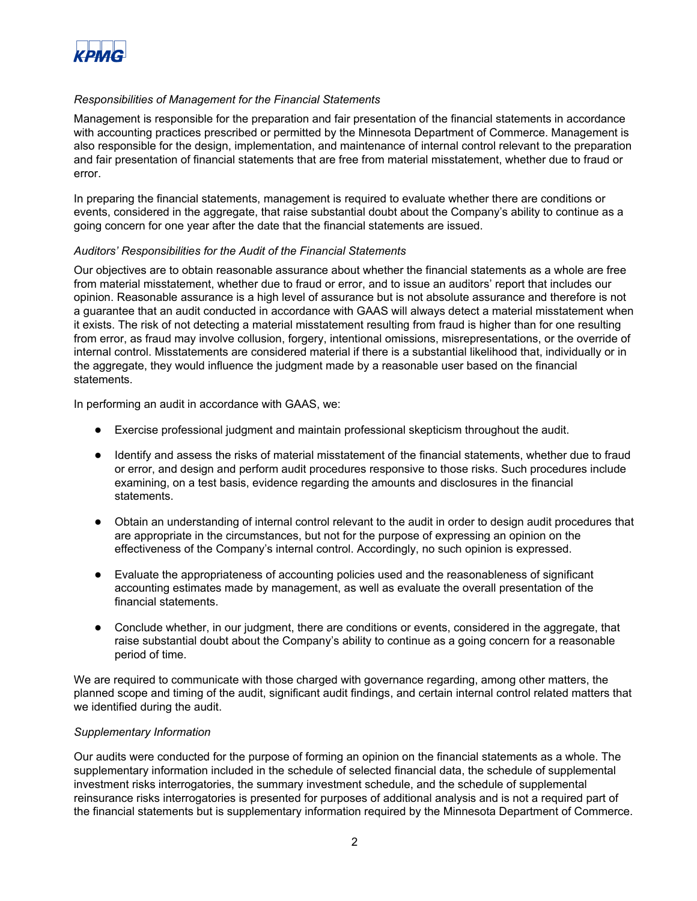

## *Responsibilities of Management for the Financial Statements*

Management is responsible for the preparation and fair presentation of the financial statements in accordance with accounting practices prescribed or permitted by the Minnesota Department of Commerce. Management is also responsible for the design, implementation, and maintenance of internal control relevant to the preparation and fair presentation of financial statements that are free from material misstatement, whether due to fraud or error.

In preparing the financial statements, management is required to evaluate whether there are conditions or events, considered in the aggregate, that raise substantial doubt about the Company's ability to continue as a going concern for one year after the date that the financial statements are issued.

## *Auditors' Responsibilities for the Audit of the Financial Statements*

Our objectives are to obtain reasonable assurance about whether the financial statements as a whole are free from material misstatement, whether due to fraud or error, and to issue an auditors' report that includes our opinion. Reasonable assurance is a high level of assurance but is not absolute assurance and therefore is not a guarantee that an audit conducted in accordance with GAAS will always detect a material misstatement when it exists. The risk of not detecting a material misstatement resulting from fraud is higher than for one resulting from error, as fraud may involve collusion, forgery, intentional omissions, misrepresentations, or the override of internal control. Misstatements are considered material if there is a substantial likelihood that, individually or in the aggregate, they would influence the judgment made by a reasonable user based on the financial statements.

In performing an audit in accordance with GAAS, we:

- Exercise professional judgment and maintain professional skepticism throughout the audit.
- Identify and assess the risks of material misstatement of the financial statements, whether due to fraud or error, and design and perform audit procedures responsive to those risks. Such procedures include examining, on a test basis, evidence regarding the amounts and disclosures in the financial statements.
- Obtain an understanding of internal control relevant to the audit in order to design audit procedures that are appropriate in the circumstances, but not for the purpose of expressing an opinion on the effectiveness of the Company's internal control. Accordingly, no such opinion is expressed.
- Evaluate the appropriateness of accounting policies used and the reasonableness of significant accounting estimates made by management, as well as evaluate the overall presentation of the financial statements.
- Conclude whether, in our judgment, there are conditions or events, considered in the aggregate, that raise substantial doubt about the Company's ability to continue as a going concern for a reasonable period of time.

We are required to communicate with those charged with governance regarding, among other matters, the planned scope and timing of the audit, significant audit findings, and certain internal control related matters that we identified during the audit.

## *Supplementary Information*

Our audits were conducted for the purpose of forming an opinion on the financial statements as a whole. The supplementary information included in the schedule of selected financial data, the schedule of supplemental investment risks interrogatories, the summary investment schedule, and the schedule of supplemental reinsurance risks interrogatories is presented for purposes of additional analysis and is not a required part of the financial statements but is supplementary information required by the Minnesota Department of Commerce.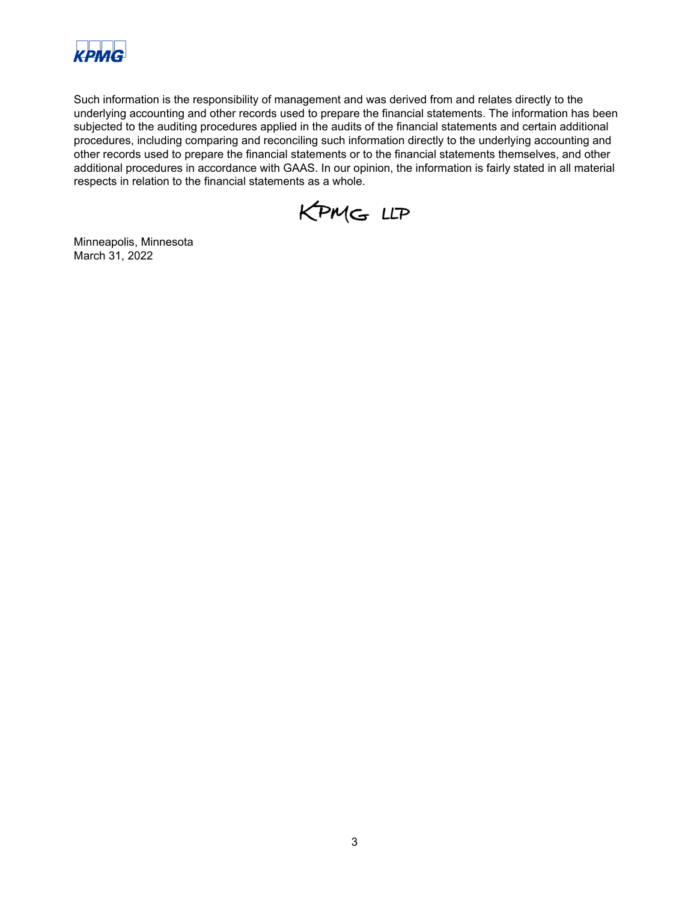

Such information is the responsibility of management and was derived from and relates directly to the underlying accounting and other records used to prepare the financial statements. The information has been subjected to the auditing procedures applied in the audits of the financial statements and certain additional procedures, including comparing and reconciling such information directly to the underlying accounting and other records used to prepare the financial statements or to the financial statements themselves, and other additional procedures in accordance with GAAS. In our opinion, the information is fairly stated in all material respects in relation to the financial statements as a whole.

KPMG LLP

Minneapolis, Minnesota March 31, 2022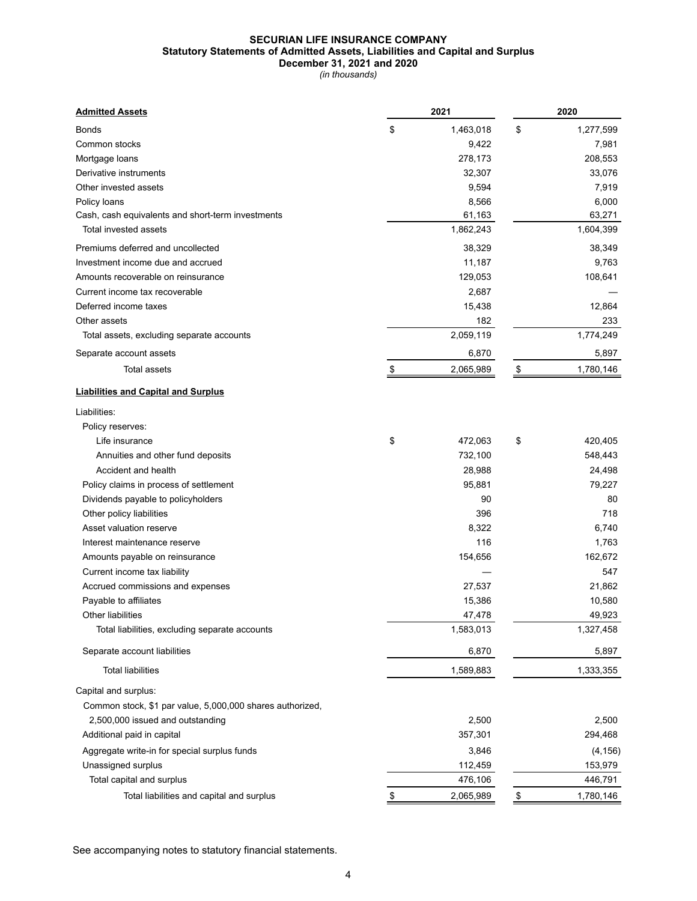## **SECURIAN LIFE INSURANCE COMPANY Statutory Statements of Admitted Assets, Liabilities and Capital and Surplus December 31, 2021 and 2020**

*(in thousands)*

| <b>Admitted Assets</b>                                    | 2021                | 2020                |
|-----------------------------------------------------------|---------------------|---------------------|
| <b>Bonds</b>                                              | \$<br>1,463,018     | \$<br>1,277,599     |
| Common stocks                                             | 9,422               | 7,981               |
| Mortgage loans                                            | 278,173             | 208,553             |
| Derivative instruments                                    | 32,307              | 33,076              |
| Other invested assets                                     | 9,594               | 7,919               |
| Policy loans                                              | 8,566               | 6,000               |
| Cash, cash equivalents and short-term investments         | 61,163              | 63,271              |
| Total invested assets                                     | 1,862,243           | 1,604,399           |
| Premiums deferred and uncollected                         | 38,329              | 38,349              |
| Investment income due and accrued                         | 11,187              | 9,763               |
| Amounts recoverable on reinsurance                        | 129,053             | 108,641             |
| Current income tax recoverable                            | 2,687               |                     |
| Deferred income taxes                                     | 15,438              | 12,864              |
| Other assets                                              | 182                 | 233                 |
| Total assets, excluding separate accounts                 | 2,059,119           | 1,774,249           |
| Separate account assets                                   | 6,870               | 5,897               |
|                                                           |                     |                     |
| <b>Total assets</b>                                       | 2,065,989           | \$<br>1,780,146     |
| <b>Liabilities and Capital and Surplus</b>                |                     |                     |
| Liabilities:                                              |                     |                     |
| Policy reserves:                                          |                     |                     |
| Life insurance                                            | \$<br>472,063       | \$<br>420,405       |
| Annuities and other fund deposits                         | 732,100             | 548,443             |
| Accident and health                                       | 28,988              | 24,498              |
| Policy claims in process of settlement                    | 95,881              | 79,227              |
| Dividends payable to policyholders                        | 90                  | 80                  |
| Other policy liabilities                                  | 396                 | 718                 |
| Asset valuation reserve                                   | 8,322               | 6,740               |
| Interest maintenance reserve                              | 116                 | 1,763               |
| Amounts payable on reinsurance                            | 154,656             | 162,672             |
| Current income tax liability                              |                     | 547                 |
|                                                           | 27,537              | 21,862              |
| Accrued commissions and expenses<br>Payable to affiliates | 15,386              | 10,580              |
| Other liabilities                                         |                     |                     |
|                                                           | 47,478<br>1,583,013 | 49,923<br>1,327,458 |
| Total liabilities, excluding separate accounts            |                     |                     |
| Separate account liabilities                              | 6,870               | 5,897               |
| <b>Total liabilities</b>                                  | 1,589,883           | 1,333,355           |
| Capital and surplus:                                      |                     |                     |
| Common stock, \$1 par value, 5,000,000 shares authorized, |                     |                     |
| 2,500,000 issued and outstanding                          | 2,500               | 2,500               |
| Additional paid in capital                                | 357,301             | 294,468             |
| Aggregate write-in for special surplus funds              | 3,846               | (4, 156)            |
| Unassigned surplus                                        | 112,459             | 153,979             |
| Total capital and surplus                                 | 476,106             | 446,791             |
| Total liabilities and capital and surplus                 | 2,065,989           | \$<br>1,780,146     |
|                                                           |                     |                     |

See accompanying notes to statutory financial statements.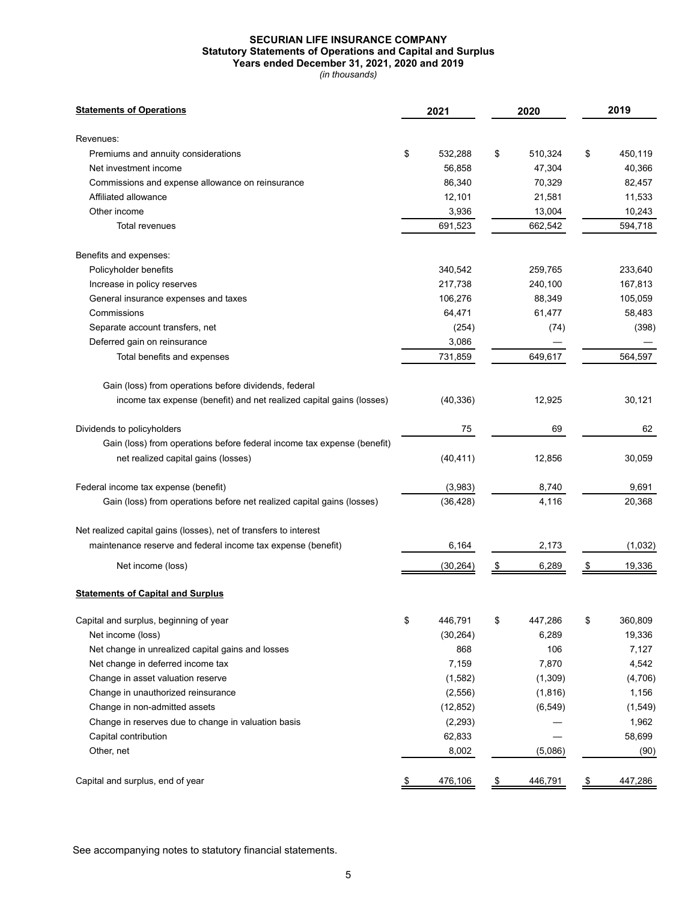## **SECURIAN LIFE INSURANCE COMPANY Statutory Statements of Operations and Capital and Surplus Years ended December 31, 2021, 2020 and 2019**

*(in thousands)*

| <b>Statements of Operations</b>                                         | 2021          |                                   | 2020     |                         | 2019     |
|-------------------------------------------------------------------------|---------------|-----------------------------------|----------|-------------------------|----------|
| Revenues:                                                               |               |                                   |          |                         |          |
| Premiums and annuity considerations                                     | \$<br>532,288 | \$                                | 510,324  | \$                      | 450,119  |
| Net investment income                                                   | 56,858        |                                   | 47,304   |                         | 40,366   |
| Commissions and expense allowance on reinsurance                        | 86,340        |                                   | 70,329   |                         | 82,457   |
| Affiliated allowance                                                    | 12,101        |                                   | 21,581   |                         | 11,533   |
| Other income                                                            | 3,936         |                                   | 13,004   |                         | 10,243   |
| Total revenues                                                          | 691,523       |                                   | 662,542  |                         | 594,718  |
| Benefits and expenses:                                                  |               |                                   |          |                         |          |
| Policyholder benefits                                                   | 340,542       |                                   | 259,765  |                         | 233,640  |
| Increase in policy reserves                                             | 217,738       |                                   | 240,100  |                         | 167,813  |
| General insurance expenses and taxes                                    | 106,276       |                                   | 88,349   |                         | 105,059  |
| Commissions                                                             | 64,471        |                                   | 61,477   |                         | 58,483   |
| Separate account transfers, net                                         | (254)         |                                   | (74)     |                         | (398)    |
| Deferred gain on reinsurance                                            | 3,086         |                                   |          |                         |          |
| Total benefits and expenses                                             | 731,859       |                                   | 649,617  |                         | 564,597  |
| Gain (loss) from operations before dividends, federal                   |               |                                   |          |                         |          |
| income tax expense (benefit) and net realized capital gains (losses)    | (40, 336)     |                                   | 12,925   |                         | 30,121   |
| Dividends to policyholders                                              | 75            |                                   | 69       |                         | 62       |
| Gain (loss) from operations before federal income tax expense (benefit) |               |                                   |          |                         |          |
| net realized capital gains (losses)                                     | (40, 411)     |                                   | 12,856   |                         | 30,059   |
| Federal income tax expense (benefit)                                    | (3,983)       |                                   | 8,740    |                         | 9,691    |
| Gain (loss) from operations before net realized capital gains (losses)  | (36, 428)     |                                   | 4,116    |                         | 20,368   |
| Net realized capital gains (losses), net of transfers to interest       |               |                                   |          |                         |          |
| maintenance reserve and federal income tax expense (benefit)            | 6,164         |                                   | 2,173    |                         | (1,032)  |
| Net income (loss)                                                       | (30, 264)     | \$                                | 6,289    | \$                      | 19,336   |
| <b>Statements of Capital and Surplus</b>                                |               |                                   |          |                         |          |
| Capital and surplus, beginning of year                                  | \$<br>446,791 | \$                                | 447,286  | \$                      | 360,809  |
| Net income (loss)                                                       | (30, 264)     |                                   | 6,289    |                         | 19,336   |
| Net change in unrealized capital gains and losses                       | 868           |                                   | 106      |                         | 7,127    |
| Net change in deferred income tax                                       | 7,159         |                                   | 7,870    |                         | 4,542    |
| Change in asset valuation reserve                                       | (1, 582)      |                                   | (1,309)  |                         | (4,706)  |
| Change in unauthorized reinsurance                                      | (2,556)       |                                   | (1,816)  |                         | 1,156    |
| Change in non-admitted assets                                           | (12, 852)     |                                   | (6, 549) |                         | (1, 549) |
| Change in reserves due to change in valuation basis                     | (2, 293)      |                                   |          |                         | 1,962    |
| Capital contribution                                                    | 62,833        |                                   |          |                         | 58,699   |
| Other, net                                                              | 8,002         |                                   | (5,086)  |                         | (90)     |
| Capital and surplus, end of year                                        | \$<br>476,106 | $\frac{\mathcal{L}}{\mathcal{L}}$ | 446,791  | $\sqrt[6]{\frac{1}{2}}$ | 447,286  |

See accompanying notes to statutory financial statements.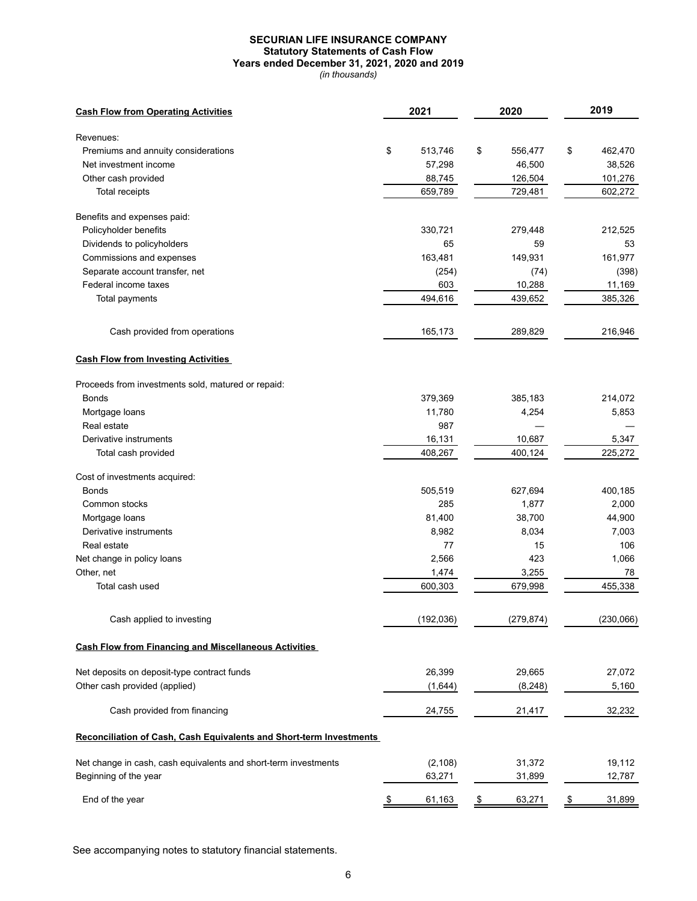## **SECURIAN LIFE INSURANCE COMPANY Statutory Statements of Cash Flow Years ended December 31, 2021, 2020 and 2019**

*(in thousands)*

| <b>Cash Flow from Operating Activities</b>                          | 2021          | 2020          | 2019          |
|---------------------------------------------------------------------|---------------|---------------|---------------|
| Revenues:                                                           |               |               |               |
| Premiums and annuity considerations                                 | \$<br>513,746 | \$<br>556,477 | \$<br>462,470 |
| Net investment income                                               | 57,298        | 46,500        | 38,526        |
| Other cash provided                                                 | 88,745        | 126,504       | 101,276       |
| Total receipts                                                      | 659,789       | 729,481       | 602,272       |
| Benefits and expenses paid:                                         |               |               |               |
| Policyholder benefits                                               | 330,721       | 279,448       | 212,525       |
| Dividends to policyholders                                          | 65            | 59            | 53            |
| Commissions and expenses                                            | 163,481       | 149,931       | 161,977       |
| Separate account transfer, net                                      | (254)         | (74)          | (398)         |
| Federal income taxes                                                | 603           | 10,288        | 11,169        |
| Total payments                                                      | 494,616       | 439,652       | 385,326       |
| Cash provided from operations                                       | 165,173       | 289,829       | 216,946       |
| <b>Cash Flow from Investing Activities</b>                          |               |               |               |
| Proceeds from investments sold, matured or repaid:                  |               |               |               |
| <b>Bonds</b>                                                        | 379,369       | 385,183       | 214,072       |
| Mortgage loans                                                      | 11,780        | 4,254         | 5,853         |
| Real estate                                                         | 987           |               |               |
| Derivative instruments                                              | 16,131        | 10,687        | 5,347         |
| Total cash provided                                                 | 408,267       | 400,124       | 225,272       |
| Cost of investments acquired:                                       |               |               |               |
| <b>Bonds</b>                                                        | 505,519       | 627,694       | 400,185       |
| Common stocks                                                       | 285           | 1,877         | 2,000         |
| Mortgage loans                                                      | 81,400        | 38,700        | 44,900        |
| Derivative instruments                                              | 8,982         | 8,034         | 7,003         |
| Real estate                                                         | 77            | 15            | 106           |
| Net change in policy loans                                          | 2,566         | 423           | 1,066         |
| Other, net                                                          | 1,474         | 3,255         | 78            |
| Total cash used                                                     | 600,303       | 679,998       | 455,338       |
| Cash applied to investing                                           | (192, 036)    | (279, 874)    | (230,066)     |
| <b>Cash Flow from Financing and Miscellaneous Activities</b>        |               |               |               |
| Net deposits on deposit-type contract funds                         | 26,399        | 29,665        | 27,072        |
| Other cash provided (applied)                                       | (1,644)       | (8, 248)      | 5,160         |
| Cash provided from financing                                        | 24,755        | 21,417        | 32,232        |
| Reconciliation of Cash, Cash Equivalents and Short-term Investments |               |               |               |
| Net change in cash, cash equivalents and short-term investments     | (2, 108)      | 31,372        | 19,112        |
| Beginning of the year                                               | 63,271        | 31,899        | 12,787        |
| End of the year                                                     | 61,163        | 63,271        | 31,899        |
|                                                                     |               |               |               |

See accompanying notes to statutory financial statements.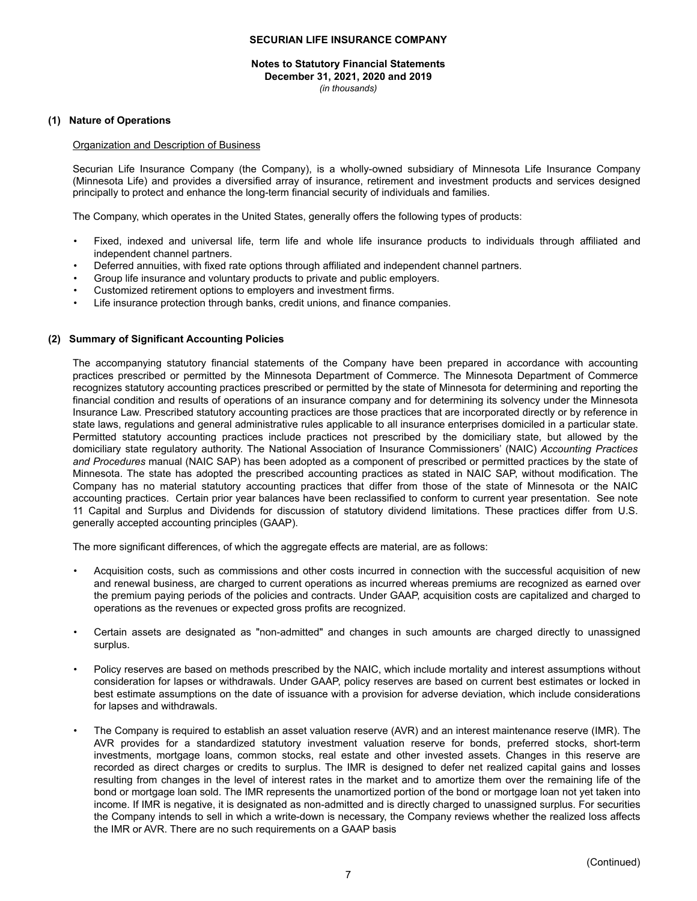#### **Notes to Statutory Financial Statements December 31, 2021, 2020 and 2019** *(in thousands)*

#### **(1) Nature of Operations**

#### Organization and Description of Business

Securian Life Insurance Company (the Company), is a wholly-owned subsidiary of Minnesota Life Insurance Company (Minnesota Life) and provides a diversified array of insurance, retirement and investment products and services designed principally to protect and enhance the long-term financial security of individuals and families.

The Company, which operates in the United States, generally offers the following types of products:

- Fixed, indexed and universal life, term life and whole life insurance products to individuals through affiliated and independent channel partners.
- Deferred annuities, with fixed rate options through affiliated and independent channel partners.
- Group life insurance and voluntary products to private and public employers.
- Customized retirement options to employers and investment firms.
- Life insurance protection through banks, credit unions, and finance companies.

### **(2) Summary of Significant Accounting Policies**

The accompanying statutory financial statements of the Company have been prepared in accordance with accounting practices prescribed or permitted by the Minnesota Department of Commerce. The Minnesota Department of Commerce recognizes statutory accounting practices prescribed or permitted by the state of Minnesota for determining and reporting the financial condition and results of operations of an insurance company and for determining its solvency under the Minnesota Insurance Law. Prescribed statutory accounting practices are those practices that are incorporated directly or by reference in state laws, regulations and general administrative rules applicable to all insurance enterprises domiciled in a particular state. Permitted statutory accounting practices include practices not prescribed by the domiciliary state, but allowed by the domiciliary state regulatory authority. The National Association of Insurance Commissioners' (NAIC) *Accounting Practices and Procedures* manual (NAIC SAP) has been adopted as a component of prescribed or permitted practices by the state of Minnesota. The state has adopted the prescribed accounting practices as stated in NAIC SAP, without modification. The Company has no material statutory accounting practices that differ from those of the state of Minnesota or the NAIC accounting practices. Certain prior year balances have been reclassified to conform to current year presentation. See note 11 Capital and Surplus and Dividends for discussion of statutory dividend limitations. These practices differ from U.S. generally accepted accounting principles (GAAP).

The more significant differences, of which the aggregate effects are material, are as follows:

- Acquisition costs, such as commissions and other costs incurred in connection with the successful acquisition of new and renewal business, are charged to current operations as incurred whereas premiums are recognized as earned over the premium paying periods of the policies and contracts. Under GAAP, acquisition costs are capitalized and charged to operations as the revenues or expected gross profits are recognized.
- Certain assets are designated as "non-admitted" and changes in such amounts are charged directly to unassigned surplus.
- Policy reserves are based on methods prescribed by the NAIC, which include mortality and interest assumptions without consideration for lapses or withdrawals. Under GAAP, policy reserves are based on current best estimates or locked in best estimate assumptions on the date of issuance with a provision for adverse deviation, which include considerations for lapses and withdrawals.
- The Company is required to establish an asset valuation reserve (AVR) and an interest maintenance reserve (IMR). The AVR provides for a standardized statutory investment valuation reserve for bonds, preferred stocks, short-term investments, mortgage loans, common stocks, real estate and other invested assets. Changes in this reserve are recorded as direct charges or credits to surplus. The IMR is designed to defer net realized capital gains and losses resulting from changes in the level of interest rates in the market and to amortize them over the remaining life of the bond or mortgage loan sold. The IMR represents the unamortized portion of the bond or mortgage loan not yet taken into income. If IMR is negative, it is designated as non-admitted and is directly charged to unassigned surplus. For securities the Company intends to sell in which a write-down is necessary, the Company reviews whether the realized loss affects the IMR or AVR. There are no such requirements on a GAAP basis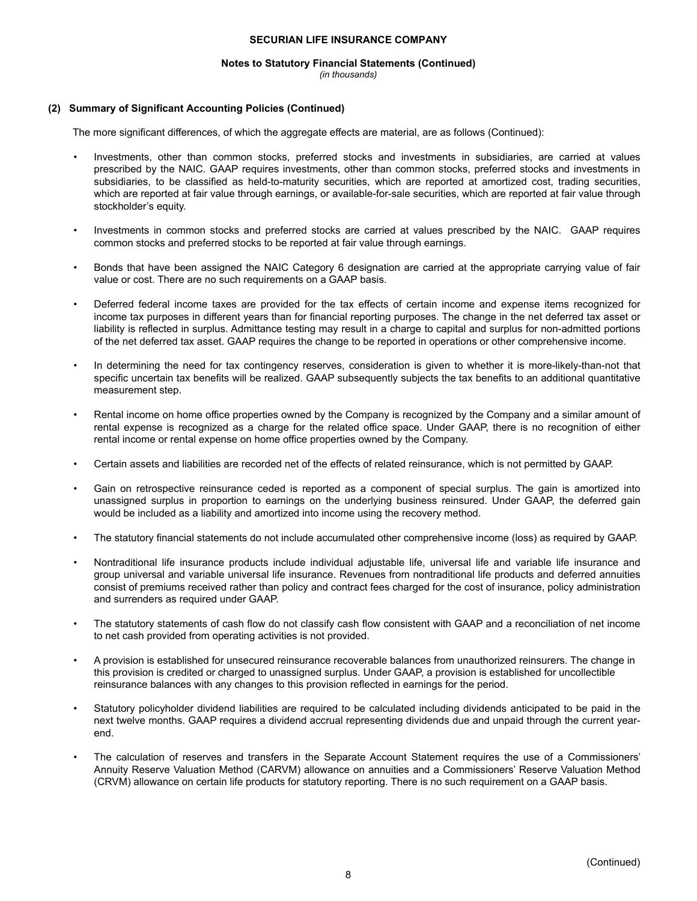#### **Notes to Statutory Financial Statements (Continued)**

*(in thousands)*

### **(2) Summary of Significant Accounting Policies (Continued)**

The more significant differences, of which the aggregate effects are material, are as follows (Continued):

- Investments, other than common stocks, preferred stocks and investments in subsidiaries, are carried at values prescribed by the NAIC. GAAP requires investments, other than common stocks, preferred stocks and investments in subsidiaries, to be classified as held-to-maturity securities, which are reported at amortized cost, trading securities, which are reported at fair value through earnings, or available-for-sale securities, which are reported at fair value through stockholder's equity.
- Investments in common stocks and preferred stocks are carried at values prescribed by the NAIC. GAAP requires common stocks and preferred stocks to be reported at fair value through earnings.
- Bonds that have been assigned the NAIC Category 6 designation are carried at the appropriate carrying value of fair value or cost. There are no such requirements on a GAAP basis.
- Deferred federal income taxes are provided for the tax effects of certain income and expense items recognized for income tax purposes in different years than for financial reporting purposes. The change in the net deferred tax asset or liability is reflected in surplus. Admittance testing may result in a charge to capital and surplus for non-admitted portions of the net deferred tax asset. GAAP requires the change to be reported in operations or other comprehensive income.
- In determining the need for tax contingency reserves, consideration is given to whether it is more-likely-than-not that specific uncertain tax benefits will be realized. GAAP subsequently subjects the tax benefits to an additional quantitative measurement step.
- Rental income on home office properties owned by the Company is recognized by the Company and a similar amount of rental expense is recognized as a charge for the related office space. Under GAAP, there is no recognition of either rental income or rental expense on home office properties owned by the Company.
- Certain assets and liabilities are recorded net of the effects of related reinsurance, which is not permitted by GAAP.
- Gain on retrospective reinsurance ceded is reported as a component of special surplus. The gain is amortized into unassigned surplus in proportion to earnings on the underlying business reinsured. Under GAAP, the deferred gain would be included as a liability and amortized into income using the recovery method.
- The statutory financial statements do not include accumulated other comprehensive income (loss) as required by GAAP.
- Nontraditional life insurance products include individual adjustable life, universal life and variable life insurance and group universal and variable universal life insurance. Revenues from nontraditional life products and deferred annuities consist of premiums received rather than policy and contract fees charged for the cost of insurance, policy administration and surrenders as required under GAAP.
- The statutory statements of cash flow do not classify cash flow consistent with GAAP and a reconciliation of net income to net cash provided from operating activities is not provided.
- A provision is established for unsecured reinsurance recoverable balances from unauthorized reinsurers. The change in this provision is credited or charged to unassigned surplus. Under GAAP, a provision is established for uncollectible reinsurance balances with any changes to this provision reflected in earnings for the period.
- Statutory policyholder dividend liabilities are required to be calculated including dividends anticipated to be paid in the next twelve months. GAAP requires a dividend accrual representing dividends due and unpaid through the current yearend.
- The calculation of reserves and transfers in the Separate Account Statement requires the use of a Commissioners' Annuity Reserve Valuation Method (CARVM) allowance on annuities and a Commissioners' Reserve Valuation Method (CRVM) allowance on certain life products for statutory reporting. There is no such requirement on a GAAP basis.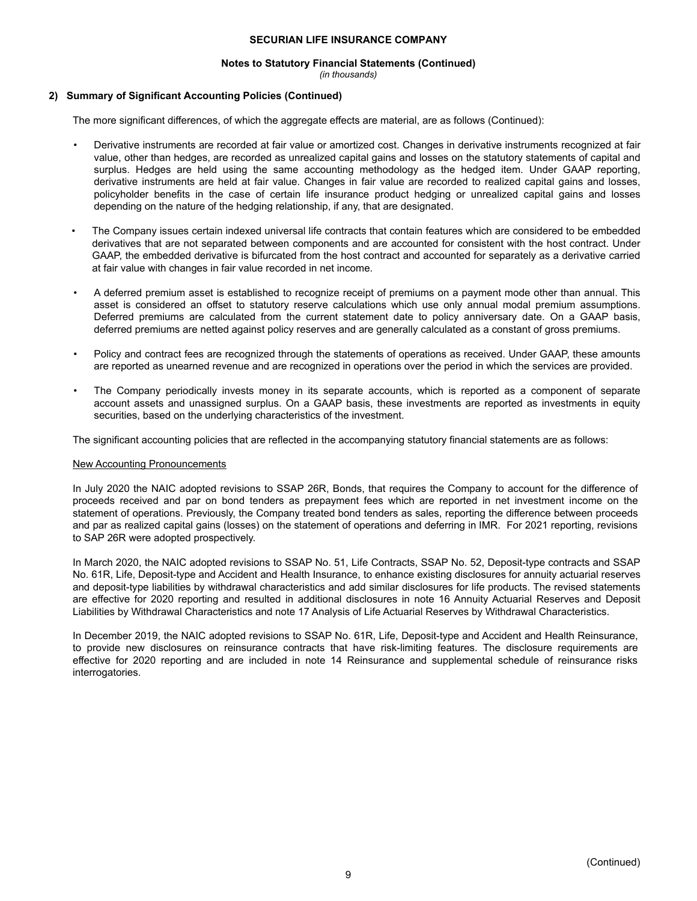#### **Notes to Statutory Financial Statements (Continued)**

*(in thousands)*

## **2) Summary of Significant Accounting Policies (Continued)**

The more significant differences, of which the aggregate effects are material, are as follows (Continued):

- Derivative instruments are recorded at fair value or amortized cost. Changes in derivative instruments recognized at fair value, other than hedges, are recorded as unrealized capital gains and losses on the statutory statements of capital and surplus. Hedges are held using the same accounting methodology as the hedged item. Under GAAP reporting, derivative instruments are held at fair value. Changes in fair value are recorded to realized capital gains and losses, policyholder benefits in the case of certain life insurance product hedging or unrealized capital gains and losses depending on the nature of the hedging relationship, if any, that are designated.
- The Company issues certain indexed universal life contracts that contain features which are considered to be embedded derivatives that are not separated between components and are accounted for consistent with the host contract. Under GAAP, the embedded derivative is bifurcated from the host contract and accounted for separately as a derivative carried at fair value with changes in fair value recorded in net income.
- A deferred premium asset is established to recognize receipt of premiums on a payment mode other than annual. This asset is considered an offset to statutory reserve calculations which use only annual modal premium assumptions. Deferred premiums are calculated from the current statement date to policy anniversary date. On a GAAP basis, deferred premiums are netted against policy reserves and are generally calculated as a constant of gross premiums.
- Policy and contract fees are recognized through the statements of operations as received. Under GAAP, these amounts are reported as unearned revenue and are recognized in operations over the period in which the services are provided.
- The Company periodically invests money in its separate accounts, which is reported as a component of separate account assets and unassigned surplus. On a GAAP basis, these investments are reported as investments in equity securities, based on the underlying characteristics of the investment.

The significant accounting policies that are reflected in the accompanying statutory financial statements are as follows:

## New Accounting Pronouncements

In July 2020 the NAIC adopted revisions to SSAP 26R, Bonds, that requires the Company to account for the difference of proceeds received and par on bond tenders as prepayment fees which are reported in net investment income on the statement of operations. Previously, the Company treated bond tenders as sales, reporting the difference between proceeds and par as realized capital gains (losses) on the statement of operations and deferring in IMR. For 2021 reporting, revisions to SAP 26R were adopted prospectively.

In March 2020, the NAIC adopted revisions to SSAP No. 51, Life Contracts, SSAP No. 52, Deposit-type contracts and SSAP No. 61R, Life, Deposit-type and Accident and Health Insurance, to enhance existing disclosures for annuity actuarial reserves and deposit-type liabilities by withdrawal characteristics and add similar disclosures for life products. The revised statements are effective for 2020 reporting and resulted in additional disclosures in note 16 Annuity Actuarial Reserves and Deposit Liabilities by Withdrawal Characteristics and note 17 Analysis of Life Actuarial Reserves by Withdrawal Characteristics.

In December 2019, the NAIC adopted revisions to SSAP No. 61R, Life, Deposit-type and Accident and Health Reinsurance, to provide new disclosures on reinsurance contracts that have risk-limiting features. The disclosure requirements are effective for 2020 reporting and are included in note 14 Reinsurance and supplemental schedule of reinsurance risks interrogatories.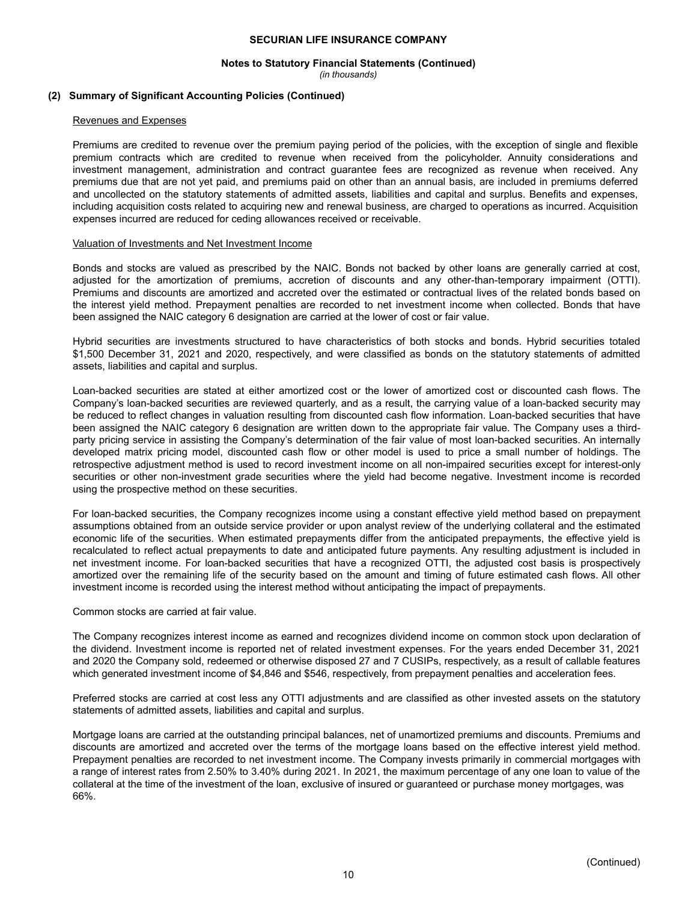#### **Notes to Statutory Financial Statements (Continued)**

*(in thousands)*

#### **(2) Summary of Significant Accounting Policies (Continued)**

#### Revenues and Expenses

Premiums are credited to revenue over the premium paying period of the policies, with the exception of single and flexible premium contracts which are credited to revenue when received from the policyholder. Annuity considerations and investment management, administration and contract guarantee fees are recognized as revenue when received. Any premiums due that are not yet paid, and premiums paid on other than an annual basis, are included in premiums deferred and uncollected on the statutory statements of admitted assets, liabilities and capital and surplus. Benefits and expenses, including acquisition costs related to acquiring new and renewal business, are charged to operations as incurred. Acquisition expenses incurred are reduced for ceding allowances received or receivable.

#### Valuation of Investments and Net Investment Income

Bonds and stocks are valued as prescribed by the NAIC. Bonds not backed by other loans are generally carried at cost, adjusted for the amortization of premiums, accretion of discounts and any other-than-temporary impairment (OTTI). Premiums and discounts are amortized and accreted over the estimated or contractual lives of the related bonds based on the interest yield method. Prepayment penalties are recorded to net investment income when collected. Bonds that have been assigned the NAIC category 6 designation are carried at the lower of cost or fair value.

Hybrid securities are investments structured to have characteristics of both stocks and bonds. Hybrid securities totaled \$1,500 December 31, 2021 and 2020, respectively, and were classified as bonds on the statutory statements of admitted assets, liabilities and capital and surplus.

Loan-backed securities are stated at either amortized cost or the lower of amortized cost or discounted cash flows. The Company's loan-backed securities are reviewed quarterly, and as a result, the carrying value of a loan-backed security may be reduced to reflect changes in valuation resulting from discounted cash flow information. Loan-backed securities that have been assigned the NAIC category 6 designation are written down to the appropriate fair value. The Company uses a thirdparty pricing service in assisting the Company's determination of the fair value of most loan-backed securities. An internally developed matrix pricing model, discounted cash flow or other model is used to price a small number of holdings. The retrospective adjustment method is used to record investment income on all non-impaired securities except for interest-only securities or other non-investment grade securities where the yield had become negative. Investment income is recorded using the prospective method on these securities.

For loan-backed securities, the Company recognizes income using a constant effective yield method based on prepayment assumptions obtained from an outside service provider or upon analyst review of the underlying collateral and the estimated economic life of the securities. When estimated prepayments differ from the anticipated prepayments, the effective yield is recalculated to reflect actual prepayments to date and anticipated future payments. Any resulting adjustment is included in net investment income. For loan-backed securities that have a recognized OTTI, the adjusted cost basis is prospectively amortized over the remaining life of the security based on the amount and timing of future estimated cash flows. All other investment income is recorded using the interest method without anticipating the impact of prepayments.

Common stocks are carried at fair value.

The Company recognizes interest income as earned and recognizes dividend income on common stock upon declaration of the dividend. Investment income is reported net of related investment expenses. For the years ended December 31, 2021 and 2020 the Company sold, redeemed or otherwise disposed 27 and 7 CUSIPs, respectively, as a result of callable features which generated investment income of \$4,846 and \$546, respectively, from prepayment penalties and acceleration fees.

Preferred stocks are carried at cost less any OTTI adjustments and are classified as other invested assets on the statutory statements of admitted assets, liabilities and capital and surplus.

Mortgage loans are carried at the outstanding principal balances, net of unamortized premiums and discounts. Premiums and discounts are amortized and accreted over the terms of the mortgage loans based on the effective interest yield method. Prepayment penalties are recorded to net investment income. The Company invests primarily in commercial mortgages with a range of interest rates from 2.50% to 3.40% during 2021. In 2021, the maximum percentage of any one loan to value of the collateral at the time of the investment of the loan, exclusive of insured or guaranteed or purchase money mortgages, was 66%.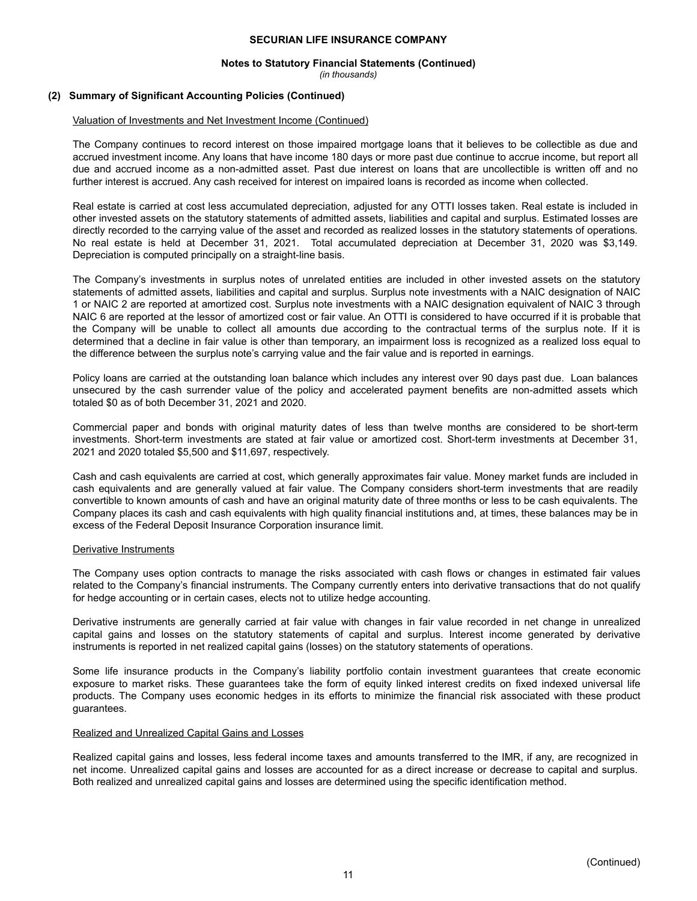#### **Notes to Statutory Financial Statements (Continued)**

*(in thousands)*

#### **(2) Summary of Significant Accounting Policies (Continued)**

#### Valuation of Investments and Net Investment Income (Continued)

The Company continues to record interest on those impaired mortgage loans that it believes to be collectible as due and accrued investment income. Any loans that have income 180 days or more past due continue to accrue income, but report all due and accrued income as a non-admitted asset. Past due interest on loans that are uncollectible is written off and no further interest is accrued. Any cash received for interest on impaired loans is recorded as income when collected.

Real estate is carried at cost less accumulated depreciation, adjusted for any OTTI losses taken. Real estate is included in other invested assets on the statutory statements of admitted assets, liabilities and capital and surplus. Estimated losses are directly recorded to the carrying value of the asset and recorded as realized losses in the statutory statements of operations. No real estate is held at December 31, 2021. Total accumulated depreciation at December 31, 2020 was \$3,149. Depreciation is computed principally on a straight-line basis.

The Company's investments in surplus notes of unrelated entities are included in other invested assets on the statutory statements of admitted assets, liabilities and capital and surplus. Surplus note investments with a NAIC designation of NAIC 1 or NAIC 2 are reported at amortized cost. Surplus note investments with a NAIC designation equivalent of NAIC 3 through NAIC 6 are reported at the lessor of amortized cost or fair value. An OTTI is considered to have occurred if it is probable that the Company will be unable to collect all amounts due according to the contractual terms of the surplus note. If it is determined that a decline in fair value is other than temporary, an impairment loss is recognized as a realized loss equal to the difference between the surplus note's carrying value and the fair value and is reported in earnings.

Policy loans are carried at the outstanding loan balance which includes any interest over 90 days past due. Loan balances unsecured by the cash surrender value of the policy and accelerated payment benefits are non-admitted assets which totaled \$0 as of both December 31, 2021 and 2020.

Commercial paper and bonds with original maturity dates of less than twelve months are considered to be short-term investments. Short-term investments are stated at fair value or amortized cost. Short-term investments at December 31, 2021 and 2020 totaled \$5,500 and \$11,697, respectively.

Cash and cash equivalents are carried at cost, which generally approximates fair value. Money market funds are included in cash equivalents and are generally valued at fair value. The Company considers short-term investments that are readily convertible to known amounts of cash and have an original maturity date of three months or less to be cash equivalents. The Company places its cash and cash equivalents with high quality financial institutions and, at times, these balances may be in excess of the Federal Deposit Insurance Corporation insurance limit.

#### Derivative Instruments

The Company uses option contracts to manage the risks associated with cash flows or changes in estimated fair values related to the Company's financial instruments. The Company currently enters into derivative transactions that do not qualify for hedge accounting or in certain cases, elects not to utilize hedge accounting.

Derivative instruments are generally carried at fair value with changes in fair value recorded in net change in unrealized capital gains and losses on the statutory statements of capital and surplus. Interest income generated by derivative instruments is reported in net realized capital gains (losses) on the statutory statements of operations.

Some life insurance products in the Company's liability portfolio contain investment guarantees that create economic exposure to market risks. These guarantees take the form of equity linked interest credits on fixed indexed universal life products. The Company uses economic hedges in its efforts to minimize the financial risk associated with these product guarantees.

#### Realized and Unrealized Capital Gains and Losses

Realized capital gains and losses, less federal income taxes and amounts transferred to the IMR, if any, are recognized in net income. Unrealized capital gains and losses are accounted for as a direct increase or decrease to capital and surplus. Both realized and unrealized capital gains and losses are determined using the specific identification method.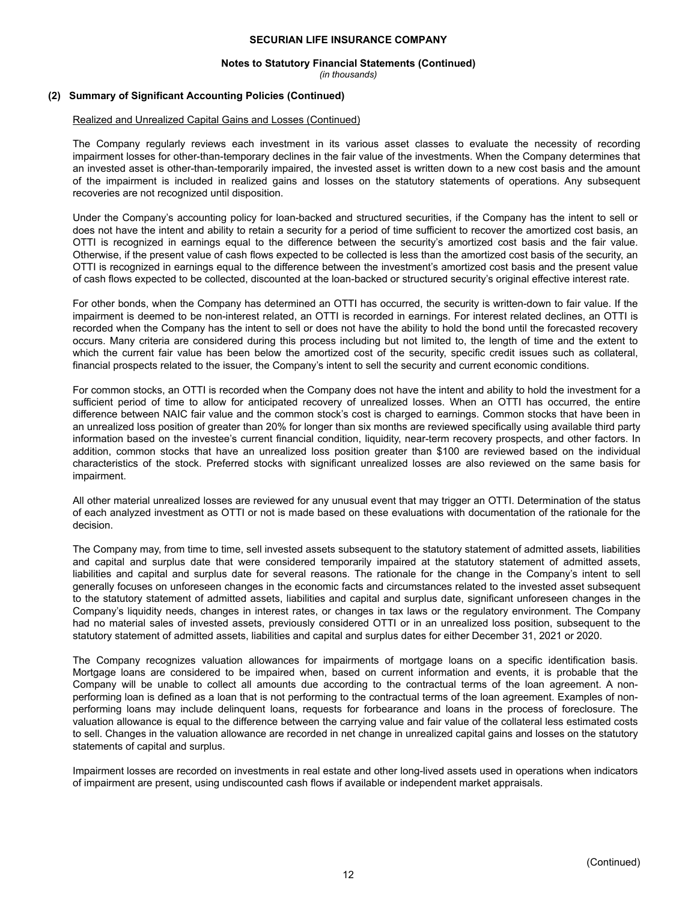#### **Notes to Statutory Financial Statements (Continued)**

*(in thousands)*

#### **(2) Summary of Significant Accounting Policies (Continued)**

#### Realized and Unrealized Capital Gains and Losses (Continued)

The Company regularly reviews each investment in its various asset classes to evaluate the necessity of recording impairment losses for other-than-temporary declines in the fair value of the investments. When the Company determines that an invested asset is other-than-temporarily impaired, the invested asset is written down to a new cost basis and the amount of the impairment is included in realized gains and losses on the statutory statements of operations. Any subsequent recoveries are not recognized until disposition.

Under the Company's accounting policy for loan-backed and structured securities, if the Company has the intent to sell or does not have the intent and ability to retain a security for a period of time sufficient to recover the amortized cost basis, an OTTI is recognized in earnings equal to the difference between the security's amortized cost basis and the fair value. Otherwise, if the present value of cash flows expected to be collected is less than the amortized cost basis of the security, an OTTI is recognized in earnings equal to the difference between the investment's amortized cost basis and the present value of cash flows expected to be collected, discounted at the loan-backed or structured security's original effective interest rate.

For other bonds, when the Company has determined an OTTI has occurred, the security is written-down to fair value. If the impairment is deemed to be non-interest related, an OTTI is recorded in earnings. For interest related declines, an OTTI is recorded when the Company has the intent to sell or does not have the ability to hold the bond until the forecasted recovery occurs. Many criteria are considered during this process including but not limited to, the length of time and the extent to which the current fair value has been below the amortized cost of the security, specific credit issues such as collateral, financial prospects related to the issuer, the Company's intent to sell the security and current economic conditions.

For common stocks, an OTTI is recorded when the Company does not have the intent and ability to hold the investment for a sufficient period of time to allow for anticipated recovery of unrealized losses. When an OTTI has occurred, the entire difference between NAIC fair value and the common stock's cost is charged to earnings. Common stocks that have been in an unrealized loss position of greater than 20% for longer than six months are reviewed specifically using available third party information based on the investee's current financial condition, liquidity, near-term recovery prospects, and other factors. In addition, common stocks that have an unrealized loss position greater than \$100 are reviewed based on the individual characteristics of the stock. Preferred stocks with significant unrealized losses are also reviewed on the same basis for impairment.

All other material unrealized losses are reviewed for any unusual event that may trigger an OTTI. Determination of the status of each analyzed investment as OTTI or not is made based on these evaluations with documentation of the rationale for the decision.

The Company may, from time to time, sell invested assets subsequent to the statutory statement of admitted assets, liabilities and capital and surplus date that were considered temporarily impaired at the statutory statement of admitted assets, liabilities and capital and surplus date for several reasons. The rationale for the change in the Company's intent to sell generally focuses on unforeseen changes in the economic facts and circumstances related to the invested asset subsequent to the statutory statement of admitted assets, liabilities and capital and surplus date, significant unforeseen changes in the Company's liquidity needs, changes in interest rates, or changes in tax laws or the regulatory environment. The Company had no material sales of invested assets, previously considered OTTI or in an unrealized loss position, subsequent to the statutory statement of admitted assets, liabilities and capital and surplus dates for either December 31, 2021 or 2020.

The Company recognizes valuation allowances for impairments of mortgage loans on a specific identification basis. Mortgage loans are considered to be impaired when, based on current information and events, it is probable that the Company will be unable to collect all amounts due according to the contractual terms of the loan agreement. A nonperforming loan is defined as a loan that is not performing to the contractual terms of the loan agreement. Examples of nonperforming loans may include delinquent loans, requests for forbearance and loans in the process of foreclosure. The valuation allowance is equal to the difference between the carrying value and fair value of the collateral less estimated costs to sell. Changes in the valuation allowance are recorded in net change in unrealized capital gains and losses on the statutory statements of capital and surplus.

Impairment losses are recorded on investments in real estate and other long-lived assets used in operations when indicators of impairment are present, using undiscounted cash flows if available or independent market appraisals.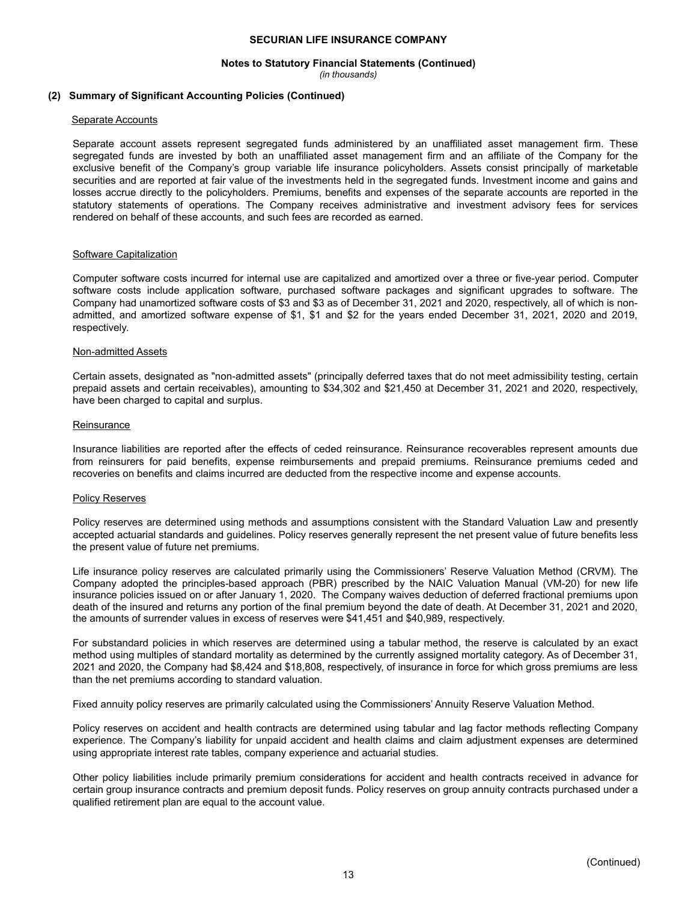## **Notes to Statutory Financial Statements (Continued)**

*(in thousands)*

#### **(2) Summary of Significant Accounting Policies (Continued)**

#### Separate Accounts

Separate account assets represent segregated funds administered by an unaffiliated asset management firm. These segregated funds are invested by both an unaffiliated asset management firm and an affiliate of the Company for the exclusive benefit of the Company's group variable life insurance policyholders. Assets consist principally of marketable securities and are reported at fair value of the investments held in the segregated funds. Investment income and gains and losses accrue directly to the policyholders. Premiums, benefits and expenses of the separate accounts are reported in the statutory statements of operations. The Company receives administrative and investment advisory fees for services rendered on behalf of these accounts, and such fees are recorded as earned.

#### Software Capitalization

Computer software costs incurred for internal use are capitalized and amortized over a three or five-year period. Computer software costs include application software, purchased software packages and significant upgrades to software. The Company had unamortized software costs of \$3 and \$3 as of December 31, 2021 and 2020, respectively, all of which is nonadmitted, and amortized software expense of \$1, \$1 and \$2 for the years ended December 31, 2021, 2020 and 2019, respectively.

#### Non-admitted Assets

Certain assets, designated as "non-admitted assets" (principally deferred taxes that do not meet admissibility testing, certain prepaid assets and certain receivables), amounting to \$34,302 and \$21,450 at December 31, 2021 and 2020, respectively, have been charged to capital and surplus.

#### **Reinsurance**

Insurance liabilities are reported after the effects of ceded reinsurance. Reinsurance recoverables represent amounts due from reinsurers for paid benefits, expense reimbursements and prepaid premiums. Reinsurance premiums ceded and recoveries on benefits and claims incurred are deducted from the respective income and expense accounts.

#### Policy Reserves

Policy reserves are determined using methods and assumptions consistent with the Standard Valuation Law and presently accepted actuarial standards and guidelines. Policy reserves generally represent the net present value of future benefits less the present value of future net premiums.

Life insurance policy reserves are calculated primarily using the Commissioners' Reserve Valuation Method (CRVM). The Company adopted the principles-based approach (PBR) prescribed by the NAIC Valuation Manual (VM-20) for new life insurance policies issued on or after January 1, 2020. The Company waives deduction of deferred fractional premiums upon death of the insured and returns any portion of the final premium beyond the date of death. At December 31, 2021 and 2020, the amounts of surrender values in excess of reserves were \$41,451 and \$40,989, respectively.

For substandard policies in which reserves are determined using a tabular method, the reserve is calculated by an exact method using multiples of standard mortality as determined by the currently assigned mortality category. As of December 31, 2021 and 2020, the Company had \$8,424 and \$18,808, respectively, of insurance in force for which gross premiums are less than the net premiums according to standard valuation.

Fixed annuity policy reserves are primarily calculated using the Commissioners' Annuity Reserve Valuation Method.

Policy reserves on accident and health contracts are determined using tabular and lag factor methods reflecting Company experience. The Company's liability for unpaid accident and health claims and claim adjustment expenses are determined using appropriate interest rate tables, company experience and actuarial studies.

Other policy liabilities include primarily premium considerations for accident and health contracts received in advance for certain group insurance contracts and premium deposit funds. Policy reserves on group annuity contracts purchased under a qualified retirement plan are equal to the account value.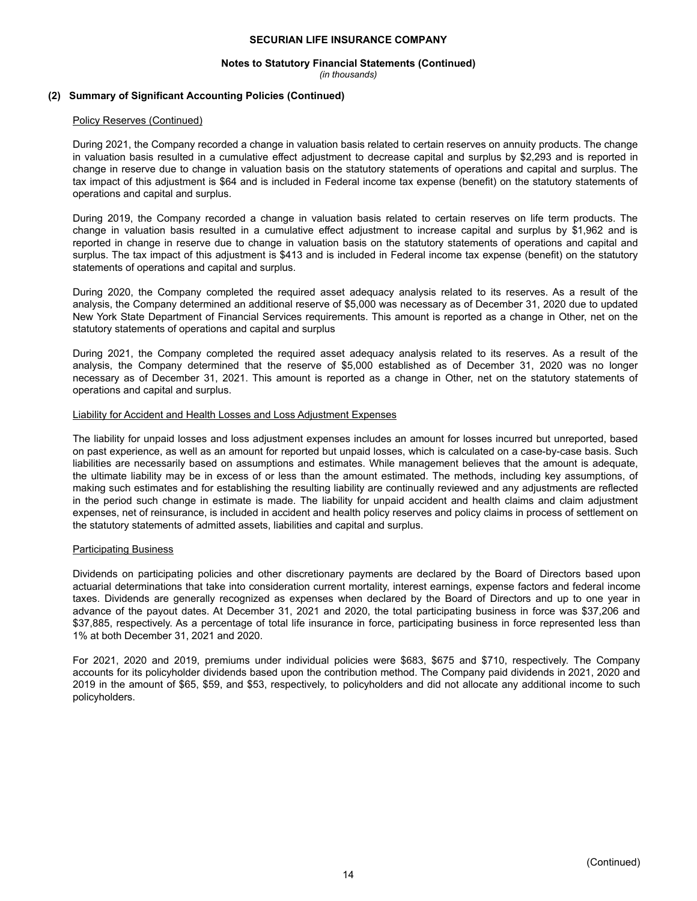## **Notes to Statutory Financial Statements (Continued)**

*(in thousands)*

#### **(2) Summary of Significant Accounting Policies (Continued)**

#### Policy Reserves (Continued)

During 2021, the Company recorded a change in valuation basis related to certain reserves on annuity products. The change in valuation basis resulted in a cumulative effect adjustment to decrease capital and surplus by \$2,293 and is reported in change in reserve due to change in valuation basis on the statutory statements of operations and capital and surplus. The tax impact of this adjustment is \$64 and is included in Federal income tax expense (benefit) on the statutory statements of operations and capital and surplus.

During 2019, the Company recorded a change in valuation basis related to certain reserves on life term products. The change in valuation basis resulted in a cumulative effect adjustment to increase capital and surplus by \$1,962 and is reported in change in reserve due to change in valuation basis on the statutory statements of operations and capital and surplus. The tax impact of this adjustment is \$413 and is included in Federal income tax expense (benefit) on the statutory statements of operations and capital and surplus.

During 2020, the Company completed the required asset adequacy analysis related to its reserves. As a result of the analysis, the Company determined an additional reserve of \$5,000 was necessary as of December 31, 2020 due to updated New York State Department of Financial Services requirements. This amount is reported as a change in Other, net on the statutory statements of operations and capital and surplus

During 2021, the Company completed the required asset adequacy analysis related to its reserves. As a result of the analysis, the Company determined that the reserve of \$5,000 established as of December 31, 2020 was no longer necessary as of December 31, 2021. This amount is reported as a change in Other, net on the statutory statements of operations and capital and surplus.

#### Liability for Accident and Health Losses and Loss Adjustment Expenses

The liability for unpaid losses and loss adjustment expenses includes an amount for losses incurred but unreported, based on past experience, as well as an amount for reported but unpaid losses, which is calculated on a case-by-case basis. Such liabilities are necessarily based on assumptions and estimates. While management believes that the amount is adequate, the ultimate liability may be in excess of or less than the amount estimated. The methods, including key assumptions, of making such estimates and for establishing the resulting liability are continually reviewed and any adjustments are reflected in the period such change in estimate is made. The liability for unpaid accident and health claims and claim adjustment expenses, net of reinsurance, is included in accident and health policy reserves and policy claims in process of settlement on the statutory statements of admitted assets, liabilities and capital and surplus.

#### Participating Business

Dividends on participating policies and other discretionary payments are declared by the Board of Directors based upon actuarial determinations that take into consideration current mortality, interest earnings, expense factors and federal income taxes. Dividends are generally recognized as expenses when declared by the Board of Directors and up to one year in advance of the payout dates. At December 31, 2021 and 2020, the total participating business in force was \$37,206 and \$37,885, respectively. As a percentage of total life insurance in force, participating business in force represented less than 1% at both December 31, 2021 and 2020.

For 2021, 2020 and 2019, premiums under individual policies were \$683, \$675 and \$710, respectively. The Company accounts for its policyholder dividends based upon the contribution method. The Company paid dividends in 2021, 2020 and 2019 in the amount of \$65, \$59, and \$53, respectively, to policyholders and did not allocate any additional income to such policyholders.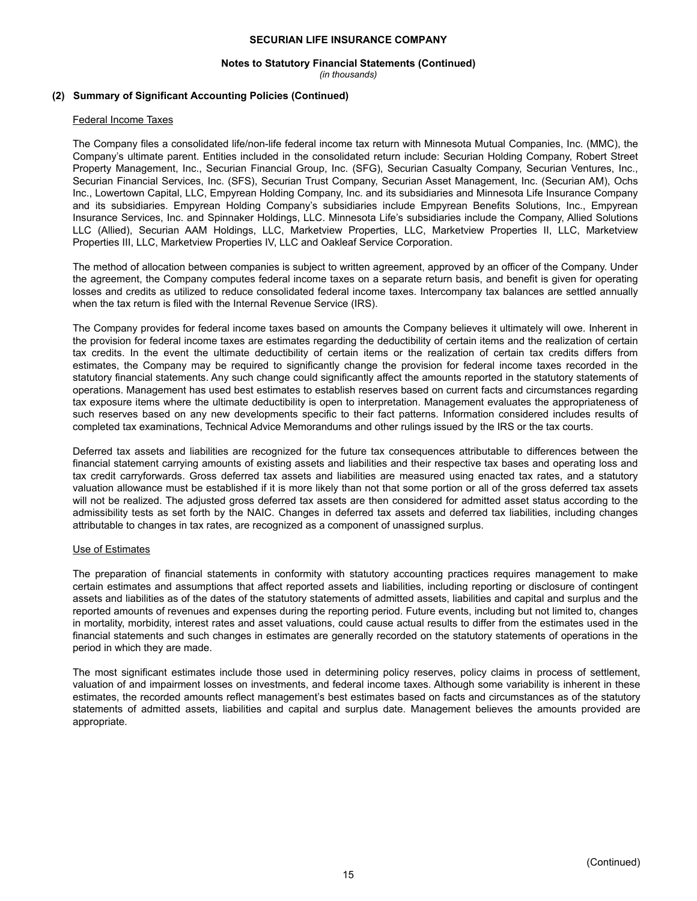## **Notes to Statutory Financial Statements (Continued)**

*(in thousands)*

#### **(2) Summary of Significant Accounting Policies (Continued)**

#### Federal Income Taxes

The Company files a consolidated life/non-life federal income tax return with Minnesota Mutual Companies, Inc. (MMC), the Company's ultimate parent. Entities included in the consolidated return include: Securian Holding Company, Robert Street Property Management, Inc., Securian Financial Group, Inc. (SFG), Securian Casualty Company, Securian Ventures, Inc., Securian Financial Services, Inc. (SFS), Securian Trust Company, Securian Asset Management, Inc. (Securian AM), Ochs Inc., Lowertown Capital, LLC, Empyrean Holding Company, Inc. and its subsidiaries and Minnesota Life Insurance Company and its subsidiaries. Empyrean Holding Company's subsidiaries include Empyrean Benefits Solutions, Inc., Empyrean Insurance Services, Inc. and Spinnaker Holdings, LLC. Minnesota Life's subsidiaries include the Company, Allied Solutions LLC (Allied), Securian AAM Holdings, LLC, Marketview Properties, LLC, Marketview Properties II, LLC, Marketview Properties III, LLC, Marketview Properties IV, LLC and Oakleaf Service Corporation.

The method of allocation between companies is subject to written agreement, approved by an officer of the Company. Under the agreement, the Company computes federal income taxes on a separate return basis, and benefit is given for operating losses and credits as utilized to reduce consolidated federal income taxes. Intercompany tax balances are settled annually when the tax return is filed with the Internal Revenue Service (IRS).

The Company provides for federal income taxes based on amounts the Company believes it ultimately will owe. Inherent in the provision for federal income taxes are estimates regarding the deductibility of certain items and the realization of certain tax credits. In the event the ultimate deductibility of certain items or the realization of certain tax credits differs from estimates, the Company may be required to significantly change the provision for federal income taxes recorded in the statutory financial statements. Any such change could significantly affect the amounts reported in the statutory statements of operations. Management has used best estimates to establish reserves based on current facts and circumstances regarding tax exposure items where the ultimate deductibility is open to interpretation. Management evaluates the appropriateness of such reserves based on any new developments specific to their fact patterns. Information considered includes results of completed tax examinations, Technical Advice Memorandums and other rulings issued by the IRS or the tax courts.

Deferred tax assets and liabilities are recognized for the future tax consequences attributable to differences between the financial statement carrying amounts of existing assets and liabilities and their respective tax bases and operating loss and tax credit carryforwards. Gross deferred tax assets and liabilities are measured using enacted tax rates, and a statutory valuation allowance must be established if it is more likely than not that some portion or all of the gross deferred tax assets will not be realized. The adjusted gross deferred tax assets are then considered for admitted asset status according to the admissibility tests as set forth by the NAIC. Changes in deferred tax assets and deferred tax liabilities, including changes attributable to changes in tax rates, are recognized as a component of unassigned surplus.

#### Use of Estimates

The preparation of financial statements in conformity with statutory accounting practices requires management to make certain estimates and assumptions that affect reported assets and liabilities, including reporting or disclosure of contingent assets and liabilities as of the dates of the statutory statements of admitted assets, liabilities and capital and surplus and the reported amounts of revenues and expenses during the reporting period. Future events, including but not limited to, changes in mortality, morbidity, interest rates and asset valuations, could cause actual results to differ from the estimates used in the financial statements and such changes in estimates are generally recorded on the statutory statements of operations in the period in which they are made.

The most significant estimates include those used in determining policy reserves, policy claims in process of settlement, valuation of and impairment losses on investments, and federal income taxes. Although some variability is inherent in these estimates, the recorded amounts reflect management's best estimates based on facts and circumstances as of the statutory statements of admitted assets, liabilities and capital and surplus date. Management believes the amounts provided are appropriate.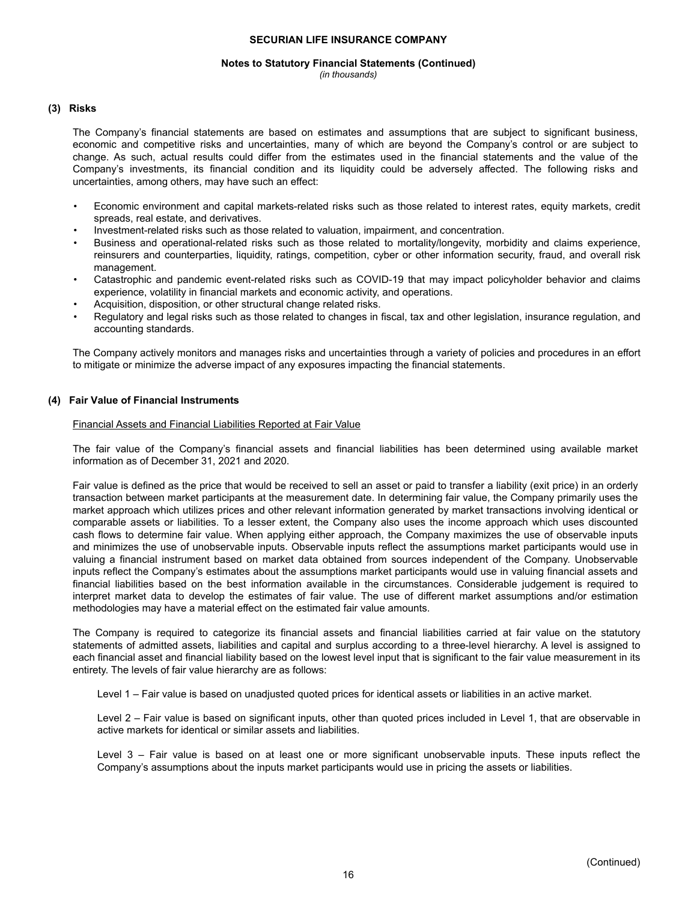#### **Notes to Statutory Financial Statements (Continued)**

*(in thousands)*

#### **(3) Risks**

The Company's financial statements are based on estimates and assumptions that are subject to significant business, economic and competitive risks and uncertainties, many of which are beyond the Company's control or are subject to change. As such, actual results could differ from the estimates used in the financial statements and the value of the Company's investments, its financial condition and its liquidity could be adversely affected. The following risks and uncertainties, among others, may have such an effect:

- Economic environment and capital markets-related risks such as those related to interest rates, equity markets, credit spreads, real estate, and derivatives.
- Investment-related risks such as those related to valuation, impairment, and concentration.
- Business and operational-related risks such as those related to mortality/longevity, morbidity and claims experience, reinsurers and counterparties, liquidity, ratings, competition, cyber or other information security, fraud, and overall risk management.
- Catastrophic and pandemic event-related risks such as COVID-19 that may impact policyholder behavior and claims experience, volatility in financial markets and economic activity, and operations.
- Acquisition, disposition, or other structural change related risks.
- Regulatory and legal risks such as those related to changes in fiscal, tax and other legislation, insurance regulation, and accounting standards.

The Company actively monitors and manages risks and uncertainties through a variety of policies and procedures in an effort to mitigate or minimize the adverse impact of any exposures impacting the financial statements.

#### **(4) Fair Value of Financial Instruments**

#### Financial Assets and Financial Liabilities Reported at Fair Value

The fair value of the Company's financial assets and financial liabilities has been determined using available market information as of December 31, 2021 and 2020.

Fair value is defined as the price that would be received to sell an asset or paid to transfer a liability (exit price) in an orderly transaction between market participants at the measurement date. In determining fair value, the Company primarily uses the market approach which utilizes prices and other relevant information generated by market transactions involving identical or comparable assets or liabilities. To a lesser extent, the Company also uses the income approach which uses discounted cash flows to determine fair value. When applying either approach, the Company maximizes the use of observable inputs and minimizes the use of unobservable inputs. Observable inputs reflect the assumptions market participants would use in valuing a financial instrument based on market data obtained from sources independent of the Company. Unobservable inputs reflect the Company's estimates about the assumptions market participants would use in valuing financial assets and financial liabilities based on the best information available in the circumstances. Considerable judgement is required to interpret market data to develop the estimates of fair value. The use of different market assumptions and/or estimation methodologies may have a material effect on the estimated fair value amounts.

The Company is required to categorize its financial assets and financial liabilities carried at fair value on the statutory statements of admitted assets, liabilities and capital and surplus according to a three-level hierarchy. A level is assigned to each financial asset and financial liability based on the lowest level input that is significant to the fair value measurement in its entirety. The levels of fair value hierarchy are as follows:

Level 1 – Fair value is based on unadjusted quoted prices for identical assets or liabilities in an active market.

Level 2 – Fair value is based on significant inputs, other than quoted prices included in Level 1, that are observable in active markets for identical or similar assets and liabilities.

Level 3 – Fair value is based on at least one or more significant unobservable inputs. These inputs reflect the Company's assumptions about the inputs market participants would use in pricing the assets or liabilities.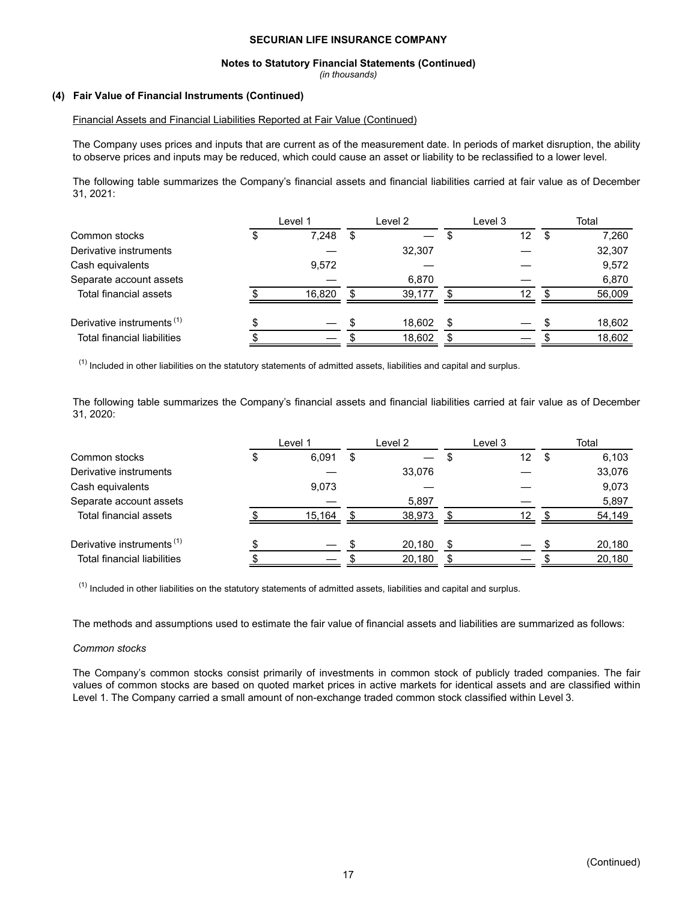#### **Notes to Statutory Financial Statements (Continued)**

*(in thousands)*

#### **(4) Fair Value of Financial Instruments (Continued)**

#### Financial Assets and Financial Liabilities Reported at Fair Value (Continued)

The Company uses prices and inputs that are current as of the measurement date. In periods of market disruption, the ability to observe prices and inputs may be reduced, which could cause an asset or liability to be reclassified to a lower level.

The following table summarizes the Company's financial assets and financial liabilities carried at fair value as of December 31, 2021:

|                                       | Level 1 |    | Level 2 | Level 3                        |   | Total  |
|---------------------------------------|---------|----|---------|--------------------------------|---|--------|
| Common stocks                         | 7,248   | S  |         | 12                             | S | 7,260  |
| Derivative instruments                |         |    | 32,307  |                                |   | 32,307 |
| Cash equivalents                      | 9,572   |    |         |                                |   | 9,572  |
| Separate account assets               |         |    | 6.870   |                                |   | 6,870  |
| Total financial assets                | 16.820  | \$ | 39.177  | 12                             |   | 56,009 |
| Derivative instruments <sup>(1)</sup> |         |    | 18.602  | \$<br>$\overline{\phantom{0}}$ |   | 18,602 |
| <b>Total financial liabilities</b>    |         |    | 18,602  |                                |   | 18,602 |

 $<sup>(1)</sup>$  Included in other liabilities on the statutory statements of admitted assets, liabilities and capital and surplus.</sup>

The following table summarizes the Company's financial assets and financial liabilities carried at fair value as of December 31, 2020:

|                                       | Level 1 |   | Level 2 |   | Level 3           | Total  |
|---------------------------------------|---------|---|---------|---|-------------------|--------|
| Common stocks                         | 6,091   | S |         |   | $12 \overline{ }$ | 6,103  |
| Derivative instruments                |         |   | 33,076  |   |                   | 33,076 |
| Cash equivalents                      | 9,073   |   |         |   |                   | 9,073  |
| Separate account assets               |         |   | 5,897   |   |                   | 5,897  |
| Total financial assets                | 15,164  |   | 38,973  |   | 12                | 54,149 |
| Derivative instruments <sup>(1)</sup> |         |   | 20,180  | S |                   | 20,180 |
| <b>Total financial liabilities</b>    |         |   | 20,180  |   |                   | 20,180 |

 $(1)$  Included in other liabilities on the statutory statements of admitted assets, liabilities and capital and surplus.

The methods and assumptions used to estimate the fair value of financial assets and liabilities are summarized as follows:

#### *Common stocks*

The Company's common stocks consist primarily of investments in common stock of publicly traded companies. The fair values of common stocks are based on quoted market prices in active markets for identical assets and are classified within Level 1. The Company carried a small amount of non-exchange traded common stock classified within Level 3.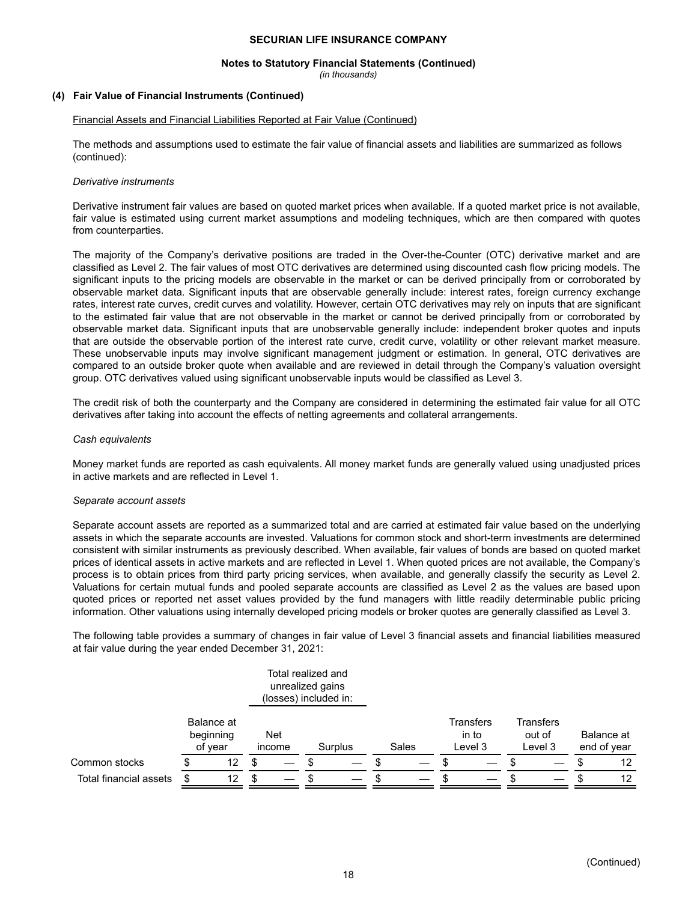#### **Notes to Statutory Financial Statements (Continued)**

*(in thousands)*

#### **(4) Fair Value of Financial Instruments (Continued)**

#### Financial Assets and Financial Liabilities Reported at Fair Value (Continued)

The methods and assumptions used to estimate the fair value of financial assets and liabilities are summarized as follows (continued):

#### *Derivative instruments*

Derivative instrument fair values are based on quoted market prices when available. If a quoted market price is not available, fair value is estimated using current market assumptions and modeling techniques, which are then compared with quotes from counterparties.

The majority of the Company's derivative positions are traded in the Over-the-Counter (OTC) derivative market and are classified as Level 2. The fair values of most OTC derivatives are determined using discounted cash flow pricing models. The significant inputs to the pricing models are observable in the market or can be derived principally from or corroborated by observable market data. Significant inputs that are observable generally include: interest rates, foreign currency exchange rates, interest rate curves, credit curves and volatility. However, certain OTC derivatives may rely on inputs that are significant to the estimated fair value that are not observable in the market or cannot be derived principally from or corroborated by observable market data. Significant inputs that are unobservable generally include: independent broker quotes and inputs that are outside the observable portion of the interest rate curve, credit curve, volatility or other relevant market measure. These unobservable inputs may involve significant management judgment or estimation. In general, OTC derivatives are compared to an outside broker quote when available and are reviewed in detail through the Company's valuation oversight group. OTC derivatives valued using significant unobservable inputs would be classified as Level 3.

The credit risk of both the counterparty and the Company are considered in determining the estimated fair value for all OTC derivatives after taking into account the effects of netting agreements and collateral arrangements.

#### *Cash equivalents*

Money market funds are reported as cash equivalents. All money market funds are generally valued using unadjusted prices in active markets and are reflected in Level 1.

#### *Separate account assets*

Separate account assets are reported as a summarized total and are carried at estimated fair value based on the underlying assets in which the separate accounts are invested. Valuations for common stock and short-term investments are determined consistent with similar instruments as previously described. When available, fair values of bonds are based on quoted market prices of identical assets in active markets and are reflected in Level 1. When quoted prices are not available, the Company's process is to obtain prices from third party pricing services, when available, and generally classify the security as Level 2. Valuations for certain mutual funds and pooled separate accounts are classified as Level 2 as the values are based upon quoted prices or reported net asset values provided by the fund managers with little readily determinable public pricing information. Other valuations using internally developed pricing models or broker quotes are generally classified as Level 3.

The following table provides a summary of changes in fair value of Level 3 financial assets and financial liabilities measured at fair value during the year ended December 31, 2021:

|                        |                                    | Total realized and<br>unrealized gains<br>(losses) included in: |         |       |                               |                                       |                           |
|------------------------|------------------------------------|-----------------------------------------------------------------|---------|-------|-------------------------------|---------------------------------------|---------------------------|
|                        | Balance at<br>beginning<br>of year | Net<br>income                                                   | Surplus | Sales | Transfers<br>in to<br>Level 3 | <b>Transfers</b><br>out of<br>Level 3 | Balance at<br>end of year |
| Common stocks          | 12                                 |                                                                 |         |       |                               |                                       | 12                        |
| Total financial assets | 12                                 |                                                                 |         |       |                               |                                       | 12                        |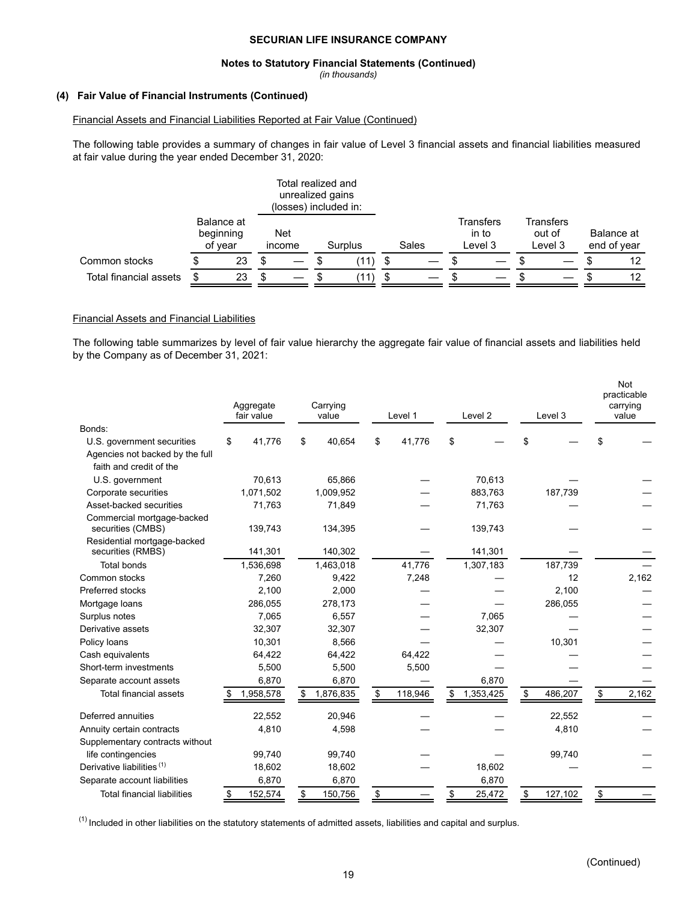#### **Notes to Statutory Financial Statements (Continued)**

*(in thousands)*

#### **(4) Fair Value of Financial Instruments (Continued)**

#### Financial Assets and Financial Liabilities Reported at Fair Value (Continued)

The following table provides a summary of changes in fair value of Level 3 financial assets and financial liabilities measured at fair value during the year ended December 31, 2020:

#### Total realized and unrealized gains (losses) included in: Balance at beginning of year Net income Surplus Sales **Transfers**  in to Level 3 **Transfers** out of Level 3 Balance at end of year Common stocks  $\frac{1}{2}$  \$ 23 \$  $-$  \$  $\frac{1}{2}$  (11) \$  $-$  \$  $-$  \$ 12 Total financial assets \$ 23 \$ — \$ (11) \$ — \$ — \$ — \$ 12

#### Financial Assets and Financial Liabilities

The following table summarizes by level of fair value hierarchy the aggregate fair value of financial assets and liabilities held by the Company as of December 31, 2021:

|                                                  | Aggregate<br>fair value | Carrying<br>value |         | Level 1       | Level <sub>2</sub> | Level 3       | <b>Not</b><br>practicable<br>carrying<br>value |
|--------------------------------------------------|-------------------------|-------------------|---------|---------------|--------------------|---------------|------------------------------------------------|
| Bonds:                                           |                         |                   |         |               |                    |               |                                                |
| U.S. government securities                       | 41,776<br>\$            | \$                | 40,654  | \$<br>41,776  | \$                 | \$            | \$                                             |
| Agencies not backed by the full                  |                         |                   |         |               |                    |               |                                                |
| faith and credit of the                          |                         |                   |         |               |                    |               |                                                |
| U.S. government                                  | 70,613                  |                   | 65.866  |               | 70,613             |               |                                                |
| Corporate securities                             | 1,071,502               | 1,009,952         |         |               | 883,763            | 187,739       |                                                |
| Asset-backed securities                          | 71,763                  |                   | 71,849  |               | 71,763             |               |                                                |
| Commercial mortgage-backed<br>securities (CMBS)  | 139,743                 |                   | 134,395 |               | 139,743            |               |                                                |
| Residential mortgage-backed<br>securities (RMBS) | 141,301                 |                   | 140,302 |               | 141,301            |               |                                                |
| <b>Total bonds</b>                               | 1,536,698               | 1,463,018         |         | 41,776        | 1,307,183          | 187,739       |                                                |
| Common stocks                                    | 7,260                   |                   | 9,422   | 7,248         |                    | 12            | 2,162                                          |
| Preferred stocks                                 | 2,100                   |                   | 2,000   |               |                    | 2,100         |                                                |
| Mortgage loans                                   | 286,055                 |                   | 278,173 |               |                    | 286,055       |                                                |
| Surplus notes                                    | 7,065                   |                   | 6,557   |               | 7,065              |               |                                                |
| Derivative assets                                | 32,307                  |                   | 32,307  |               | 32,307             |               |                                                |
| Policy loans                                     | 10,301                  |                   | 8,566   |               |                    | 10,301        |                                                |
| Cash equivalents                                 | 64,422                  |                   | 64,422  | 64,422        |                    |               |                                                |
| Short-term investments                           | 5,500                   |                   | 5,500   | 5,500         |                    |               |                                                |
| Separate account assets                          | 6,870                   |                   | 6,870   |               | 6,870              |               |                                                |
| <b>Total financial assets</b>                    | 1,958,578               | 1,876,835<br>\$   |         | \$<br>118,946 | \$<br>1,353,425    | \$<br>486,207 | \$<br>2,162                                    |
| Deferred annuities                               | 22,552                  |                   | 20,946  |               |                    | 22,552        |                                                |
| Annuity certain contracts                        | 4,810                   |                   | 4,598   |               |                    | 4,810         |                                                |
| Supplementary contracts without                  |                         |                   |         |               |                    |               |                                                |
| life contingencies                               | 99,740                  |                   | 99,740  |               |                    | 99,740        |                                                |
| Derivative liabilities <sup>(1)</sup>            | 18,602                  |                   | 18,602  |               | 18,602             |               |                                                |
| Separate account liabilities                     | 6,870                   |                   | 6,870   |               | 6,870              |               |                                                |
| <b>Total financial liabilities</b>               | 152,574                 | \$                | 150,756 | \$            | \$<br>25,472       | \$<br>127,102 | \$                                             |

 $<sup>(1)</sup>$  Included in other liabilities on the statutory statements of admitted assets, liabilities and capital and surplus.</sup>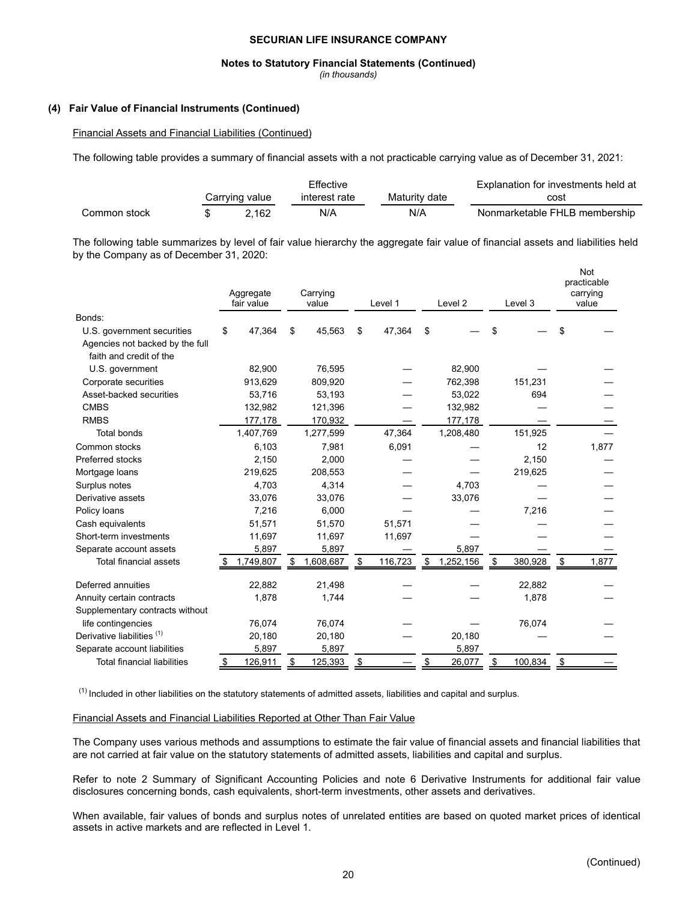#### **Notes to Statutory Financial Statements (Continued)**

*(in thousands)*

#### **(4) Fair Value of Financial Instruments (Continued)**

#### Financial Assets and Financial Liabilities (Continued)

The following table provides a summary of financial assets with a not practicable carrying value as of December 31, 2021:

|              |                           | Effective     |               | Explanation for investments held at |
|--------------|---------------------------|---------------|---------------|-------------------------------------|
|              | Carrying value            | interest rate | Maturity date | cost                                |
| Common stock | $^{\circ}$ 162 $^{\circ}$ | N/A           | N/A           | Nonmarketable FHLB membership       |

The following table summarizes by level of fair value hierarchy the aggregate fair value of financial assets and liabilities held by the Company as of December 31, 2020:

|                                    | Aggregate<br>fair value | Carrying<br>value | Level 1      |    | Level <sub>2</sub> |    | Level 3 |           | <b>Not</b><br>practicable<br>carrying<br>value |
|------------------------------------|-------------------------|-------------------|--------------|----|--------------------|----|---------|-----------|------------------------------------------------|
| Bonds:                             |                         |                   |              |    |                    |    |         |           |                                                |
| U.S. government securities         | 47,364<br>\$            | \$<br>45,563      | \$<br>47,364 | S  |                    | S  |         |           |                                                |
| Agencies not backed by the full    |                         |                   |              |    |                    |    |         |           |                                                |
| faith and credit of the            |                         |                   |              |    |                    |    |         |           |                                                |
| U.S. government                    | 82,900                  | 76,595            |              |    | 82,900             |    |         |           |                                                |
| Corporate securities               | 913,629                 | 809,920           |              |    | 762,398            |    | 151,231 |           |                                                |
| Asset-backed securities            | 53,716                  | 53,193            |              |    | 53,022             |    | 694     |           |                                                |
| <b>CMBS</b>                        | 132,982                 | 121,396           |              |    | 132,982            |    |         |           |                                                |
| <b>RMBS</b>                        | 177,178                 | 170,932           |              |    | 177,178            |    |         |           |                                                |
| <b>Total bonds</b>                 | 1,407,769               | 1,277,599         | 47,364       |    | 1,208,480          |    | 151,925 |           |                                                |
| Common stocks                      | 6,103                   | 7,981             | 6,091        |    |                    |    | 12      |           | 1,877                                          |
| Preferred stocks                   | 2,150                   | 2,000             |              |    |                    |    | 2,150   |           |                                                |
| Mortgage loans                     | 219,625                 | 208,553           |              |    |                    |    | 219,625 |           |                                                |
| Surplus notes                      | 4,703                   | 4,314             |              |    | 4,703              |    |         |           |                                                |
| Derivative assets                  | 33,076                  | 33,076            |              |    | 33,076             |    |         |           |                                                |
| Policy loans                       | 7,216                   | 6.000             |              |    |                    |    | 7,216   |           |                                                |
| Cash equivalents                   | 51,571                  | 51,570            | 51,571       |    |                    |    |         |           |                                                |
| Short-term investments             | 11,697                  | 11,697            | 11,697       |    |                    |    |         |           |                                                |
| Separate account assets            | 5,897                   | 5,897             |              |    | 5,897              |    |         |           |                                                |
| <b>Total financial assets</b>      | 1,749,807               | 1,608,687         | 116,723      |    | 1,252,156          |    | 380,928 |           | 1,877                                          |
| Deferred annuities                 | 22.882                  | 21,498            |              |    |                    |    | 22,882  |           |                                                |
| Annuity certain contracts          | 1,878                   | 1,744             |              |    |                    |    | 1,878   |           |                                                |
| Supplementary contracts without    |                         |                   |              |    |                    |    |         |           |                                                |
| life contingencies                 | 76,074                  | 76,074            |              |    |                    |    | 76,074  |           |                                                |
| Derivative liabilities (1)         | 20,180                  | 20,180            |              |    | 20,180             |    |         |           |                                                |
| Separate account liabilities       | 5,897                   | 5,897             |              |    | 5,897              |    |         |           |                                                |
| <b>Total financial liabilities</b> | 126,911<br><u>\$</u>    | \$<br>125,393     | \$           | \$ | 26,077             | \$ | 100,834 | <u>\$</u> |                                                |

 $<sup>(1)</sup>$  Included in other liabilities on the statutory statements of admitted assets, liabilities and capital and surplus.</sup>

#### Financial Assets and Financial Liabilities Reported at Other Than Fair Value

The Company uses various methods and assumptions to estimate the fair value of financial assets and financial liabilities that are not carried at fair value on the statutory statements of admitted assets, liabilities and capital and surplus.

Refer to note 2 Summary of Significant Accounting Policies and note 6 Derivative Instruments for additional fair value disclosures concerning bonds, cash equivalents, short-term investments, other assets and derivatives.

When available, fair values of bonds and surplus notes of unrelated entities are based on quoted market prices of identical assets in active markets and are reflected in Level 1.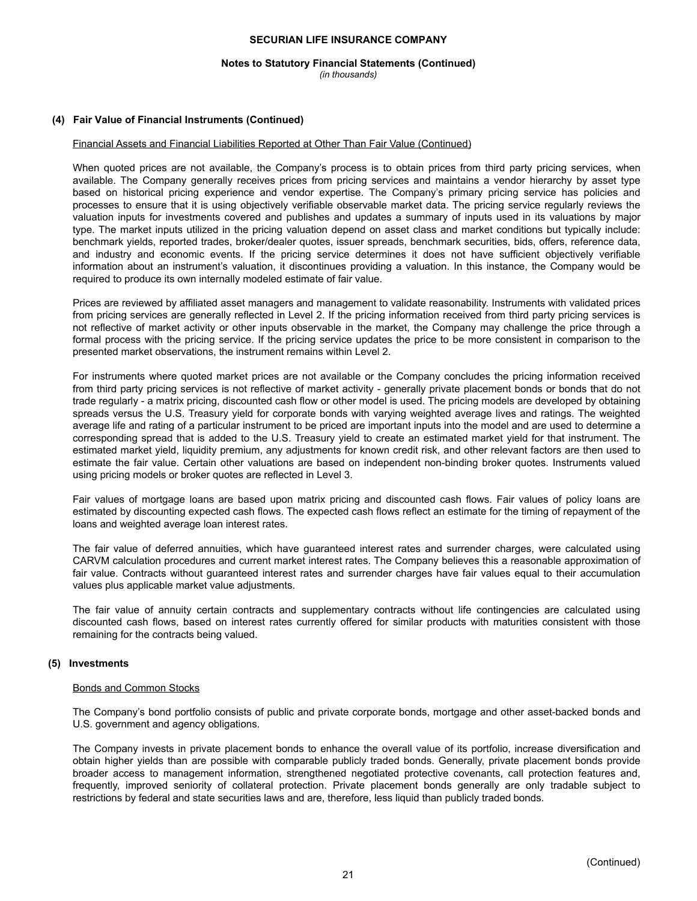## **Notes to Statutory Financial Statements (Continued)**

*(in thousands)*

#### **(4) Fair Value of Financial Instruments (Continued)**

#### Financial Assets and Financial Liabilities Reported at Other Than Fair Value (Continued)

When quoted prices are not available, the Company's process is to obtain prices from third party pricing services, when available. The Company generally receives prices from pricing services and maintains a vendor hierarchy by asset type based on historical pricing experience and vendor expertise. The Company's primary pricing service has policies and processes to ensure that it is using objectively verifiable observable market data. The pricing service regularly reviews the valuation inputs for investments covered and publishes and updates a summary of inputs used in its valuations by major type. The market inputs utilized in the pricing valuation depend on asset class and market conditions but typically include: benchmark yields, reported trades, broker/dealer quotes, issuer spreads, benchmark securities, bids, offers, reference data, and industry and economic events. If the pricing service determines it does not have sufficient objectively verifiable information about an instrument's valuation, it discontinues providing a valuation. In this instance, the Company would be required to produce its own internally modeled estimate of fair value.

Prices are reviewed by affiliated asset managers and management to validate reasonability. Instruments with validated prices from pricing services are generally reflected in Level 2. If the pricing information received from third party pricing services is not reflective of market activity or other inputs observable in the market, the Company may challenge the price through a formal process with the pricing service. If the pricing service updates the price to be more consistent in comparison to the presented market observations, the instrument remains within Level 2.

For instruments where quoted market prices are not available or the Company concludes the pricing information received from third party pricing services is not reflective of market activity - generally private placement bonds or bonds that do not trade regularly - a matrix pricing, discounted cash flow or other model is used. The pricing models are developed by obtaining spreads versus the U.S. Treasury yield for corporate bonds with varying weighted average lives and ratings. The weighted average life and rating of a particular instrument to be priced are important inputs into the model and are used to determine a corresponding spread that is added to the U.S. Treasury yield to create an estimated market yield for that instrument. The estimated market yield, liquidity premium, any adjustments for known credit risk, and other relevant factors are then used to estimate the fair value. Certain other valuations are based on independent non-binding broker quotes. Instruments valued using pricing models or broker quotes are reflected in Level 3.

Fair values of mortgage loans are based upon matrix pricing and discounted cash flows. Fair values of policy loans are estimated by discounting expected cash flows. The expected cash flows reflect an estimate for the timing of repayment of the loans and weighted average loan interest rates.

The fair value of deferred annuities, which have guaranteed interest rates and surrender charges, were calculated using CARVM calculation procedures and current market interest rates. The Company believes this a reasonable approximation of fair value. Contracts without guaranteed interest rates and surrender charges have fair values equal to their accumulation values plus applicable market value adjustments.

The fair value of annuity certain contracts and supplementary contracts without life contingencies are calculated using discounted cash flows, based on interest rates currently offered for similar products with maturities consistent with those remaining for the contracts being valued.

#### **(5) Investments**

#### Bonds and Common Stocks

The Company's bond portfolio consists of public and private corporate bonds, mortgage and other asset-backed bonds and U.S. government and agency obligations.

The Company invests in private placement bonds to enhance the overall value of its portfolio, increase diversification and obtain higher yields than are possible with comparable publicly traded bonds. Generally, private placement bonds provide broader access to management information, strengthened negotiated protective covenants, call protection features and, frequently, improved seniority of collateral protection. Private placement bonds generally are only tradable subject to restrictions by federal and state securities laws and are, therefore, less liquid than publicly traded bonds.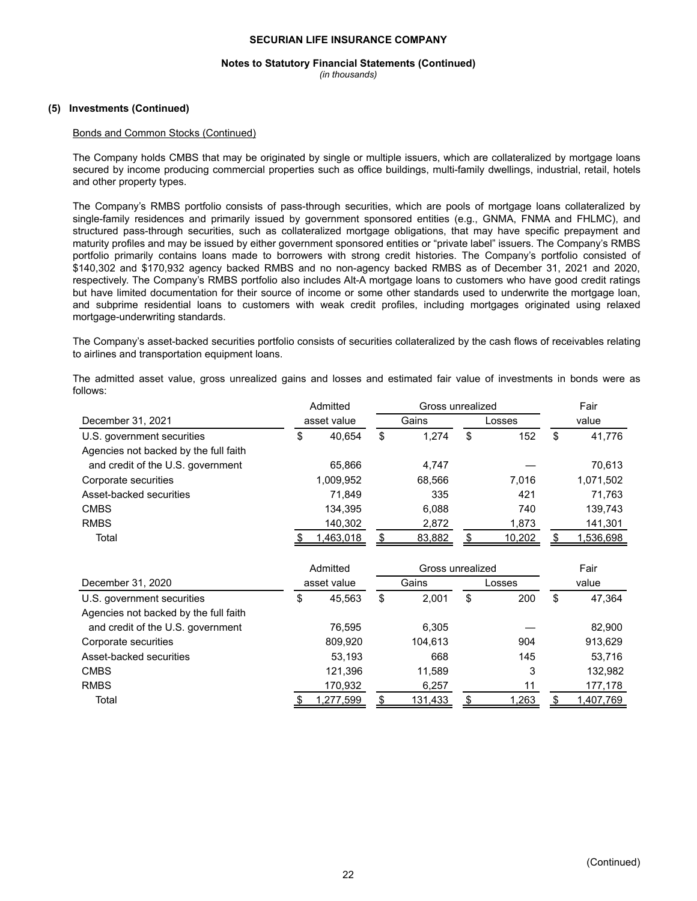## **Notes to Statutory Financial Statements (Continued)**

*(in thousands)*

### **(5) Investments (Continued)**

#### Bonds and Common Stocks (Continued)

The Company holds CMBS that may be originated by single or multiple issuers, which are collateralized by mortgage loans secured by income producing commercial properties such as office buildings, multi-family dwellings, industrial, retail, hotels and other property types.

The Company's RMBS portfolio consists of pass-through securities, which are pools of mortgage loans collateralized by single-family residences and primarily issued by government sponsored entities (e.g., GNMA, FNMA and FHLMC), and structured pass-through securities, such as collateralized mortgage obligations, that may have specific prepayment and maturity profiles and may be issued by either government sponsored entities or "private label" issuers. The Company's RMBS portfolio primarily contains loans made to borrowers with strong credit histories. The Company's portfolio consisted of \$140,302 and \$170,932 agency backed RMBS and no non-agency backed RMBS as of December 31, 2021 and 2020, respectively. The Company's RMBS portfolio also includes Alt-A mortgage loans to customers who have good credit ratings but have limited documentation for their source of income or some other standards used to underwrite the mortgage loan, and subprime residential loans to customers with weak credit profiles, including mortgages originated using relaxed mortgage-underwriting standards.

The Company's asset-backed securities portfolio consists of securities collateralized by the cash flows of receivables relating to airlines and transportation equipment loans.

The admitted asset value, gross unrealized gains and losses and estimated fair value of investments in bonds were as follows:

|                                       | Admitted |             |    | Gross unrealized | Fair      |       |           |  |
|---------------------------------------|----------|-------------|----|------------------|-----------|-------|-----------|--|
| December 31, 2021                     |          | asset value |    | Gains            | Losses    | value |           |  |
| U.S. government securities            | \$       | 40.654      | \$ | 1.274            | \$<br>152 | \$    | 41,776    |  |
| Agencies not backed by the full faith |          |             |    |                  |           |       |           |  |
| and credit of the U.S. government     |          | 65.866      |    | 4,747            |           |       | 70,613    |  |
| Corporate securities                  |          | 1,009,952   |    | 68,566           | 7.016     |       | 1,071,502 |  |
| Asset-backed securities               |          | 71.849      |    | 335              | 421       |       | 71.763    |  |
| <b>CMBS</b>                           |          | 134.395     |    | 6.088            | 740       |       | 139,743   |  |
| <b>RMBS</b>                           |          | 140,302     |    | 2,872            | 1,873     |       | 141,301   |  |
| Total                                 |          | ,463,018    |    | 83,882           | 10,202    |       | ,536,698  |  |

|                                       | Admitted<br>Gross unrealized |           |   |         |           |       | Fair      |  |
|---------------------------------------|------------------------------|-----------|---|---------|-----------|-------|-----------|--|
| December 31, 2020                     | asset value                  |           |   | Gains   | Losses    | value |           |  |
| U.S. government securities            | \$                           | 45.563    | S | 2.001   | \$<br>200 | \$    | 47.364    |  |
| Agencies not backed by the full faith |                              |           |   |         |           |       |           |  |
| and credit of the U.S. government     |                              | 76.595    |   | 6.305   |           |       | 82,900    |  |
| Corporate securities                  |                              | 809,920   |   | 104.613 | 904       |       | 913.629   |  |
| Asset-backed securities               |                              | 53,193    |   | 668     | 145       |       | 53,716    |  |
| <b>CMBS</b>                           |                              | 121,396   |   | 11,589  | 3         |       | 132,982   |  |
| <b>RMBS</b>                           |                              | 170,932   |   | 6,257   | 11        |       | 177,178   |  |
| Total                                 |                              | 1,277,599 |   | 131,433 | 1,263     |       | 1,407,769 |  |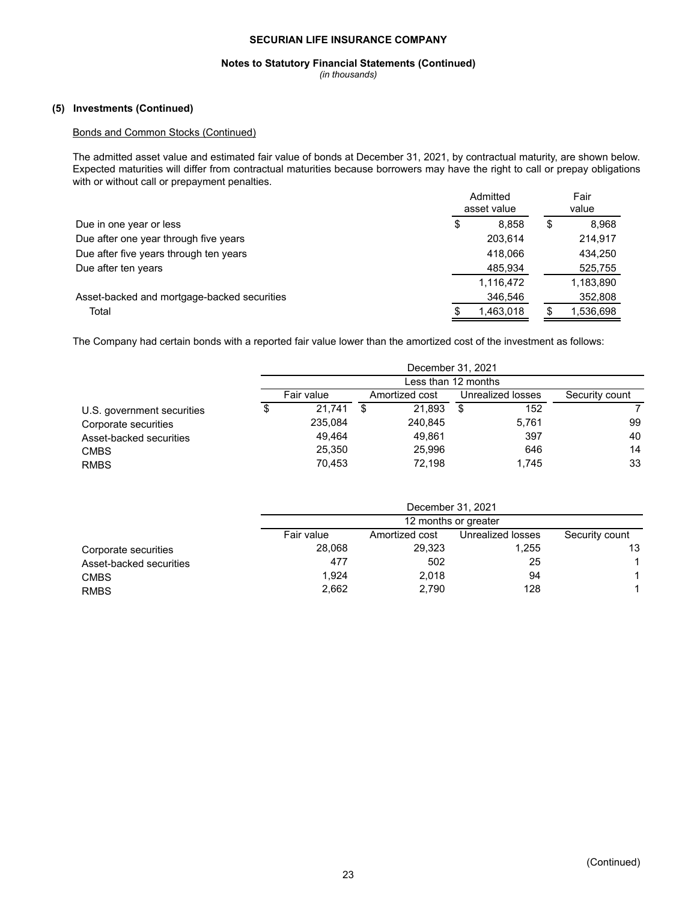## **Notes to Statutory Financial Statements (Continued)**

*(in thousands)*

## **(5) Investments (Continued)**

## Bonds and Common Stocks (Continued)

The admitted asset value and estimated fair value of bonds at December 31, 2021, by contractual maturity, are shown below. Expected maturities will differ from contractual maturities because borrowers may have the right to call or prepay obligations with or without call or prepayment penalties.

|                                             | Admitted<br>asset value | Fair<br>value |
|---------------------------------------------|-------------------------|---------------|
| Due in one year or less                     | \$<br>8.858             | \$<br>8,968   |
| Due after one year through five years       | 203.614                 | 214.917       |
| Due after five years through ten years      | 418.066                 | 434.250       |
| Due after ten years                         | 485.934                 | 525,755       |
|                                             | 1,116,472               | 1,183,890     |
| Asset-backed and mortgage-backed securities | 346,546                 | 352,808       |
| Total                                       | 1,463,018               | 1,536,698     |

The Company had certain bonds with a reported fair value lower than the amortized cost of the investment as follows:

|                            | December 31, 2021<br>Less than 12 months |            |   |                |   |                   |                |  |  |  |
|----------------------------|------------------------------------------|------------|---|----------------|---|-------------------|----------------|--|--|--|
|                            |                                          |            |   |                |   |                   |                |  |  |  |
|                            |                                          | Fair value |   | Amortized cost |   | Unrealized losses | Security count |  |  |  |
| U.S. government securities |                                          | 21.741     | S | 21.893         | S | 152               |                |  |  |  |
| Corporate securities       |                                          | 235,084    |   | 240,845        |   | 5,761             | 99             |  |  |  |
| Asset-backed securities    |                                          | 49.464     |   | 49.861         |   | 397               | 40             |  |  |  |
| <b>CMBS</b>                |                                          | 25.350     |   | 25,996         |   | 646               | 14             |  |  |  |
| <b>RMBS</b>                |                                          | 70.453     |   | 72.198         |   | 1.745             | 33             |  |  |  |

|                         | December 31, 2021 |                |                   |                |  |  |  |  |  |  |
|-------------------------|-------------------|----------------|-------------------|----------------|--|--|--|--|--|--|
|                         |                   |                |                   |                |  |  |  |  |  |  |
|                         | Fair value        | Amortized cost | Unrealized losses | Security count |  |  |  |  |  |  |
| Corporate securities    | 28,068            | 29,323         | 1,255             | 13             |  |  |  |  |  |  |
| Asset-backed securities | 477               | 502            | 25                |                |  |  |  |  |  |  |
| <b>CMBS</b>             | 1,924             | 2,018          | 94                |                |  |  |  |  |  |  |
| <b>RMBS</b>             | 2,662             | 2.790          | 128               |                |  |  |  |  |  |  |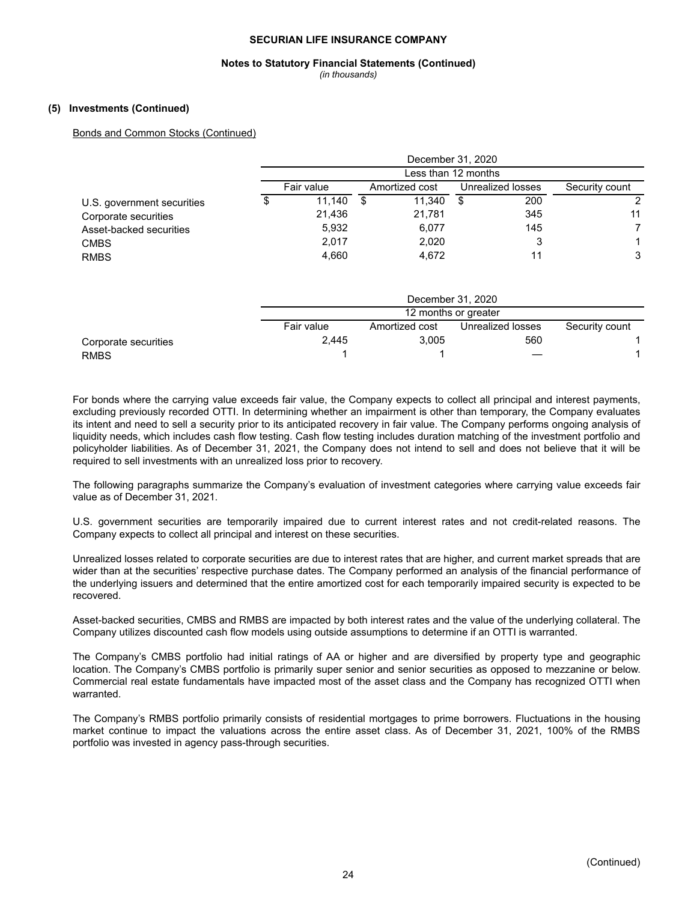## **Notes to Statutory Financial Statements (Continued)**

*(in thousands)*

#### **(5) Investments (Continued)**

#### Bonds and Common Stocks (Continued)

|                            |            | December 31, 2020<br>Less than 12 months |   |                |   |                   |                |  |  |  |  |
|----------------------------|------------|------------------------------------------|---|----------------|---|-------------------|----------------|--|--|--|--|
|                            |            |                                          |   |                |   |                   |                |  |  |  |  |
|                            | Fair value |                                          |   | Amortized cost |   | Unrealized losses | Security count |  |  |  |  |
| U.S. government securities | \$         | 11.140                                   | S | 11.340         | S | 200               | 2              |  |  |  |  |
| Corporate securities       |            | 21,436                                   |   | 21,781         |   | 345               | 11             |  |  |  |  |
| Asset-backed securities    |            | 5,932                                    |   | 6,077          |   | 145               | 7              |  |  |  |  |
| <b>CMBS</b>                |            | 2,017                                    |   | 2,020          |   |                   | 1              |  |  |  |  |
| <b>RMBS</b>                |            | 4.660                                    |   | 4,672          |   | 11                | 3              |  |  |  |  |

|                      | December 31, 2020 |                      |                   |                |  |  |  |  |  |  |  |  |
|----------------------|-------------------|----------------------|-------------------|----------------|--|--|--|--|--|--|--|--|
|                      |                   | 12 months or greater |                   |                |  |  |  |  |  |  |  |  |
|                      | Fair value        | Amortized cost       | Unrealized losses | Security count |  |  |  |  |  |  |  |  |
| Corporate securities | 2,445             | 3.005                | 560               |                |  |  |  |  |  |  |  |  |
| <b>RMBS</b>          |                   |                      |                   |                |  |  |  |  |  |  |  |  |

For bonds where the carrying value exceeds fair value, the Company expects to collect all principal and interest payments, excluding previously recorded OTTI. In determining whether an impairment is other than temporary, the Company evaluates its intent and need to sell a security prior to its anticipated recovery in fair value. The Company performs ongoing analysis of liquidity needs, which includes cash flow testing. Cash flow testing includes duration matching of the investment portfolio and policyholder liabilities. As of December 31, 2021, the Company does not intend to sell and does not believe that it will be required to sell investments with an unrealized loss prior to recovery.

The following paragraphs summarize the Company's evaluation of investment categories where carrying value exceeds fair value as of December 31, 2021.

U.S. government securities are temporarily impaired due to current interest rates and not credit-related reasons. The Company expects to collect all principal and interest on these securities.

Unrealized losses related to corporate securities are due to interest rates that are higher, and current market spreads that are wider than at the securities' respective purchase dates. The Company performed an analysis of the financial performance of the underlying issuers and determined that the entire amortized cost for each temporarily impaired security is expected to be recovered.

Asset-backed securities, CMBS and RMBS are impacted by both interest rates and the value of the underlying collateral. The Company utilizes discounted cash flow models using outside assumptions to determine if an OTTI is warranted.

The Company's CMBS portfolio had initial ratings of AA or higher and are diversified by property type and geographic location. The Company's CMBS portfolio is primarily super senior and senior securities as opposed to mezzanine or below. Commercial real estate fundamentals have impacted most of the asset class and the Company has recognized OTTI when warranted.

The Company's RMBS portfolio primarily consists of residential mortgages to prime borrowers. Fluctuations in the housing market continue to impact the valuations across the entire asset class. As of December 31, 2021, 100% of the RMBS portfolio was invested in agency pass-through securities.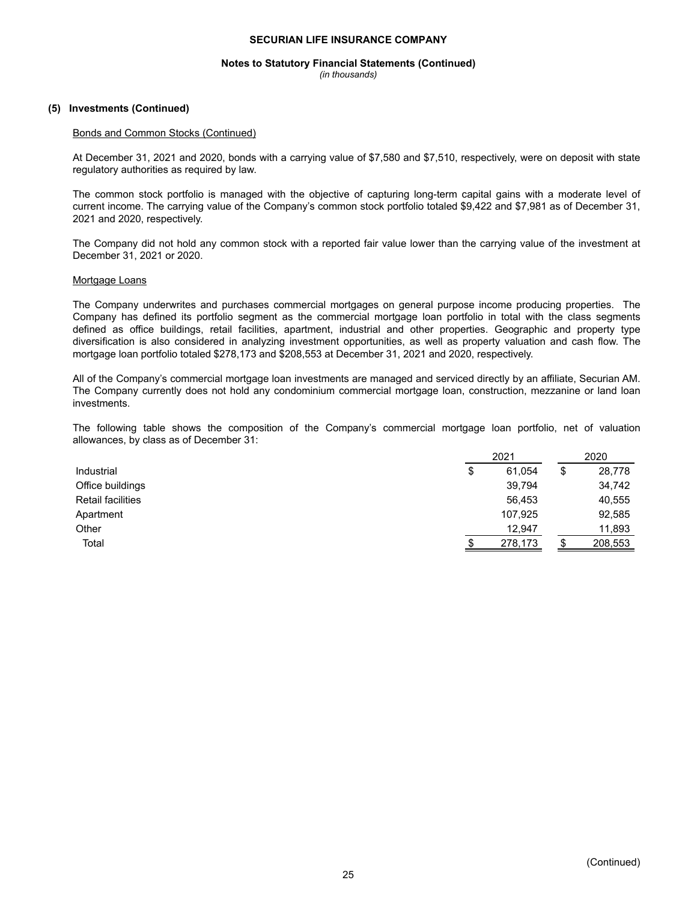## **Notes to Statutory Financial Statements (Continued)**

*(in thousands)*

### **(5) Investments (Continued)**

#### Bonds and Common Stocks (Continued)

At December 31, 2021 and 2020, bonds with a carrying value of \$7,580 and \$7,510, respectively, were on deposit with state regulatory authorities as required by law.

The common stock portfolio is managed with the objective of capturing long-term capital gains with a moderate level of current income. The carrying value of the Company's common stock portfolio totaled \$9,422 and \$7,981 as of December 31, 2021 and 2020, respectively.

The Company did not hold any common stock with a reported fair value lower than the carrying value of the investment at December 31, 2021 or 2020.

#### Mortgage Loans

The Company underwrites and purchases commercial mortgages on general purpose income producing properties. The Company has defined its portfolio segment as the commercial mortgage loan portfolio in total with the class segments defined as office buildings, retail facilities, apartment, industrial and other properties. Geographic and property type diversification is also considered in analyzing investment opportunities, as well as property valuation and cash flow. The mortgage loan portfolio totaled \$278,173 and \$208,553 at December 31, 2021 and 2020, respectively.

All of the Company's commercial mortgage loan investments are managed and serviced directly by an affiliate, Securian AM. The Company currently does not hold any condominium commercial mortgage loan, construction, mezzanine or land loan investments.

The following table shows the composition of the Company's commercial mortgage loan portfolio, net of valuation allowances, by class as of December 31:

|                   | 2021         | 2020 |         |  |
|-------------------|--------------|------|---------|--|
| Industrial        | \$<br>61.054 | \$   | 28,778  |  |
| Office buildings  | 39,794       |      | 34,742  |  |
| Retail facilities | 56,453       |      | 40,555  |  |
| Apartment         | 107,925      |      | 92,585  |  |
| Other             | 12,947       |      | 11,893  |  |
| Total             | 278,173      |      | 208,553 |  |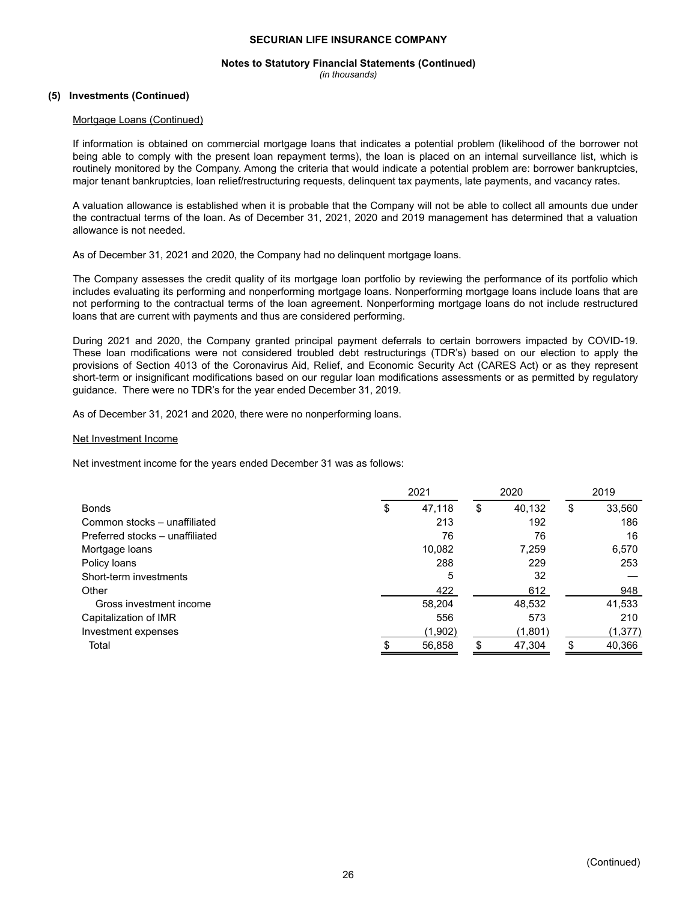## **Notes to Statutory Financial Statements (Continued)**

*(in thousands)*

## **(5) Investments (Continued)**

#### Mortgage Loans (Continued)

If information is obtained on commercial mortgage loans that indicates a potential problem (likelihood of the borrower not being able to comply with the present loan repayment terms), the loan is placed on an internal surveillance list, which is routinely monitored by the Company. Among the criteria that would indicate a potential problem are: borrower bankruptcies, major tenant bankruptcies, loan relief/restructuring requests, delinquent tax payments, late payments, and vacancy rates.

A valuation allowance is established when it is probable that the Company will not be able to collect all amounts due under the contractual terms of the loan. As of December 31, 2021, 2020 and 2019 management has determined that a valuation allowance is not needed.

As of December 31, 2021 and 2020, the Company had no delinquent mortgage loans.

The Company assesses the credit quality of its mortgage loan portfolio by reviewing the performance of its portfolio which includes evaluating its performing and nonperforming mortgage loans. Nonperforming mortgage loans include loans that are not performing to the contractual terms of the loan agreement. Nonperforming mortgage loans do not include restructured loans that are current with payments and thus are considered performing.

During 2021 and 2020, the Company granted principal payment deferrals to certain borrowers impacted by COVID-19. These loan modifications were not considered troubled debt restructurings (TDR's) based on our election to apply the provisions of Section 4013 of the Coronavirus Aid, Relief, and Economic Security Act (CARES Act) or as they represent short-term or insignificant modifications based on our regular loan modifications assessments or as permitted by regulatory guidance. There were no TDR's for the year ended December 31, 2019.

As of December 31, 2021 and 2020, there were no nonperforming loans.

#### Net Investment Income

Net investment income for the years ended December 31 was as follows:

|                                 | 2021 |         |    | 2020    | 2019 |          |
|---------------------------------|------|---------|----|---------|------|----------|
| <b>Bonds</b>                    | S    |         | \$ | 40,132  | \$   | 33,560   |
| Common stocks - unaffiliated    |      | 213     |    | 192     |      | 186      |
| Preferred stocks - unaffiliated |      | 76      |    | 76      |      | 16       |
| Mortgage loans                  |      | 10,082  |    | 7,259   |      | 6,570    |
| Policy loans                    |      | 288     |    | 229     |      | 253      |
| Short-term investments          |      | 5       |    | 32      |      |          |
| Other                           |      | 422     |    | 612     |      | 948      |
| Gross investment income         |      | 58,204  |    | 48,532  |      | 41,533   |
| Capitalization of IMR           |      | 556     |    | 573     |      | 210      |
| Investment expenses             |      | (1,902) |    | (1,801) |      | (1, 377) |
| Total                           |      | 56,858  |    | 47,304  |      | 40,366   |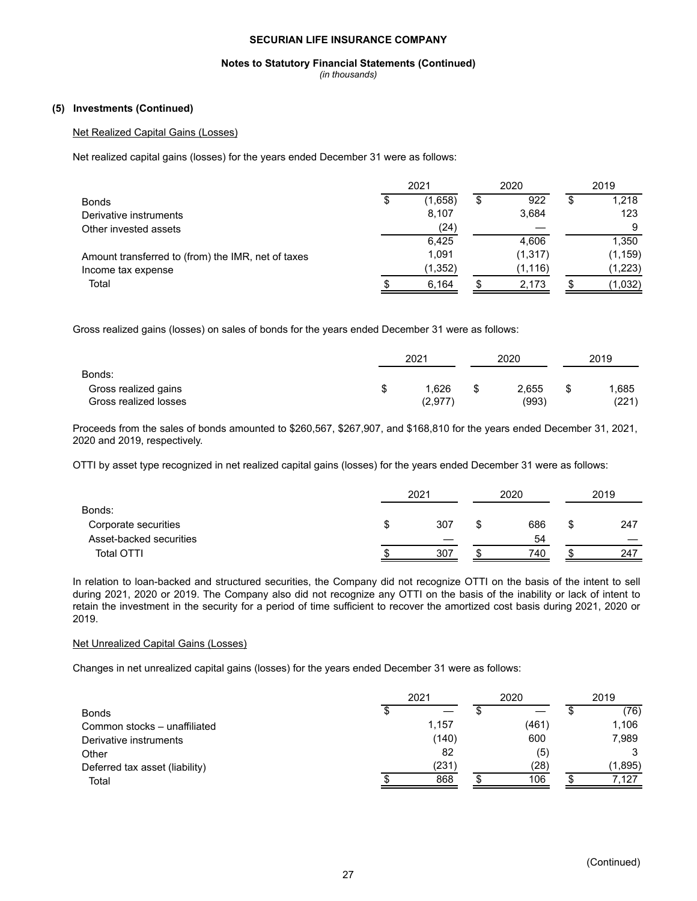## **Notes to Statutory Financial Statements (Continued)**

*(in thousands)*

## **(5) Investments (Continued)**

## Net Realized Capital Gains (Losses)

Net realized capital gains (losses) for the years ended December 31 were as follows:

|                                                    | 2021 |         |    | 2020     |  | 2019     |  |
|----------------------------------------------------|------|---------|----|----------|--|----------|--|
| <b>Bonds</b>                                       | S    | (1,658) | \$ | 922      |  | 1,218    |  |
| Derivative instruments                             |      | 8,107   |    | 3,684    |  | 123      |  |
| Other invested assets                              |      | (24)    |    |          |  | 9        |  |
|                                                    |      | 6,425   |    | 4,606    |  | 1,350    |  |
| Amount transferred to (from) the IMR, net of taxes |      | 1.091   |    | (1, 317) |  | (1, 159) |  |
| Income tax expense                                 |      | (1,352) |    | (1, 116) |  | (1,223)  |  |
| Total                                              |      | 6,164   |    | 2,173    |  | (1,032)  |  |

Gross realized gains (losses) on sales of bonds for the years ended December 31 were as follows:

|                       | 2021 |         |  | 2020  |   | 2019  |  |
|-----------------------|------|---------|--|-------|---|-------|--|
| Bonds:                |      |         |  |       |   |       |  |
| Gross realized gains  | S    | .626    |  | 2,655 | S | .685  |  |
| Gross realized losses |      | (2,977) |  | (993) |   | (221) |  |

Proceeds from the sales of bonds amounted to \$260,567, \$267,907, and \$168,810 for the years ended December 31, 2021, 2020 and 2019, respectively.

OTTI by asset type recognized in net realized capital gains (losses) for the years ended December 31 were as follows:

|                         | 2021 |     |  | 2020 | 2019 |     |
|-------------------------|------|-----|--|------|------|-----|
| Bonds:                  |      |     |  |      |      |     |
| Corporate securities    | ง    | 307 |  | 686  | S    | 247 |
| Asset-backed securities |      |     |  | 54   |      |     |
| Total OTTI              |      | 307 |  | 740  |      | 247 |

In relation to loan-backed and structured securities, the Company did not recognize OTTI on the basis of the intent to sell during 2021, 2020 or 2019. The Company also did not recognize any OTTI on the basis of the inability or lack of intent to retain the investment in the security for a period of time sufficient to recover the amortized cost basis during 2021, 2020 or 2019.

#### Net Unrealized Capital Gains (Losses)

Changes in net unrealized capital gains (losses) for the years ended December 31 were as follows:

|                                | 2021 | 2020  | 2019  |  |         |
|--------------------------------|------|-------|-------|--|---------|
| <b>Bonds</b>                   |      |       |       |  | (76)    |
| Common stocks - unaffiliated   |      | 1,157 | (461) |  | 1,106   |
| Derivative instruments         |      | (140) | 600   |  | 7,989   |
| Other                          |      | 82    | (5)   |  |         |
| Deferred tax asset (liability) |      | (231) | (28)  |  | (1,895) |
| Total                          |      | 868   | 106   |  | 7.127   |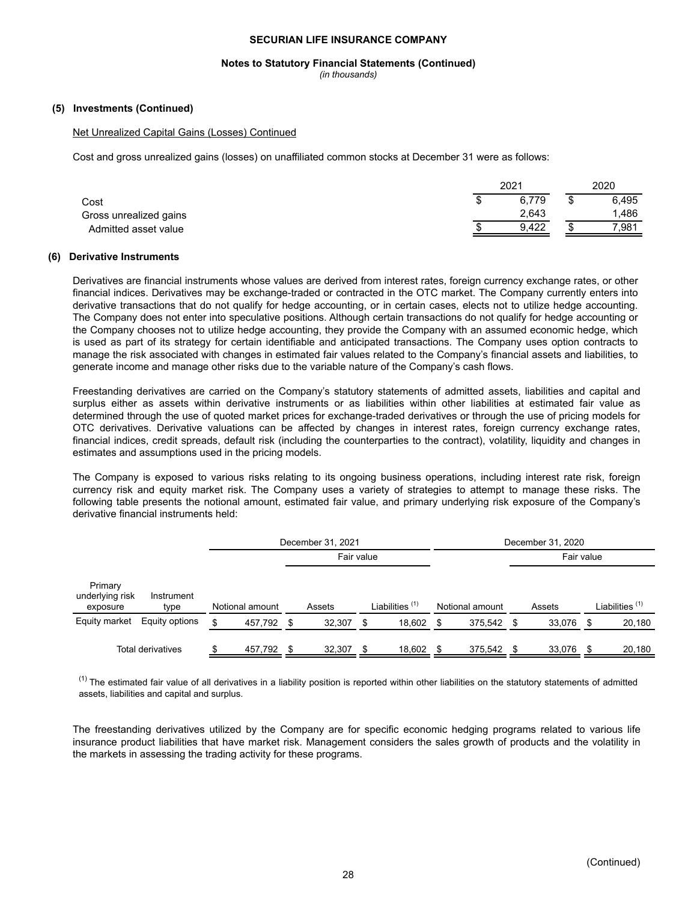#### **Notes to Statutory Financial Statements (Continued)**

*(in thousands)*

#### **(5) Investments (Continued)**

#### Net Unrealized Capital Gains (Losses) Continued

Cost and gross unrealized gains (losses) on unaffiliated common stocks at December 31 were as follows:

|                        |  | 2020  |         |       |
|------------------------|--|-------|---------|-------|
| Cost                   |  | 6.779 | ۰D      | 6.495 |
| Gross unrealized gains |  | 2.643 |         | 1,486 |
| Admitted asset value   |  | 9.422 | ⋒<br>۰D | 7,981 |

#### **(6) Derivative Instruments**

Derivatives are financial instruments whose values are derived from interest rates, foreign currency exchange rates, or other financial indices. Derivatives may be exchange-traded or contracted in the OTC market. The Company currently enters into derivative transactions that do not qualify for hedge accounting, or in certain cases, elects not to utilize hedge accounting. The Company does not enter into speculative positions. Although certain transactions do not qualify for hedge accounting or the Company chooses not to utilize hedge accounting, they provide the Company with an assumed economic hedge, which is used as part of its strategy for certain identifiable and anticipated transactions. The Company uses option contracts to manage the risk associated with changes in estimated fair values related to the Company's financial assets and liabilities, to generate income and manage other risks due to the variable nature of the Company's cash flows.

Freestanding derivatives are carried on the Company's statutory statements of admitted assets, liabilities and capital and surplus either as assets within derivative instruments or as liabilities within other liabilities at estimated fair value as determined through the use of quoted market prices for exchange-traded derivatives or through the use of pricing models for OTC derivatives. Derivative valuations can be affected by changes in interest rates, foreign currency exchange rates, financial indices, credit spreads, default risk (including the counterparties to the contract), volatility, liquidity and changes in estimates and assumptions used in the pricing models.

The Company is exposed to various risks relating to its ongoing business operations, including interest rate risk, foreign currency risk and equity market risk. The Company uses a variety of strategies to attempt to manage these risks. The following table presents the notional amount, estimated fair value, and primary underlying risk exposure of the Company's derivative financial instruments held:

|                                        |                    | December 31, 2021 |            |        |    |                            | December 31, 2020 |                 |            |        |     |                            |
|----------------------------------------|--------------------|-------------------|------------|--------|----|----------------------------|-------------------|-----------------|------------|--------|-----|----------------------------|
|                                        |                    |                   | Fair value |        |    |                            |                   |                 | Fair value |        |     |                            |
| Primary<br>underlying risk<br>exposure | Instrument<br>type | Notional amount   |            | Assets |    | Liabilities <sup>(1)</sup> |                   | Notional amount |            | Assets |     | Liabilities <sup>(1)</sup> |
| Equity market                          | Equity options     | \$<br>457.792     | - \$       | 32,307 | \$ | 18,602                     | S                 | 375.542 \$      |            | 33.076 | S   | 20,180                     |
|                                        | Total derivatives  | 457.792           | \$         | 32,307 | \$ | 18.602                     |                   | 375.542         | - \$       | 33.076 | \$. | 20,180                     |

 $<sup>(1)</sup>$  The estimated fair value of all derivatives in a liability position is reported within other liabilities on the statutory statements of admitted</sup> assets, liabilities and capital and surplus.

The freestanding derivatives utilized by the Company are for specific economic hedging programs related to various life insurance product liabilities that have market risk. Management considers the sales growth of products and the volatility in the markets in assessing the trading activity for these programs.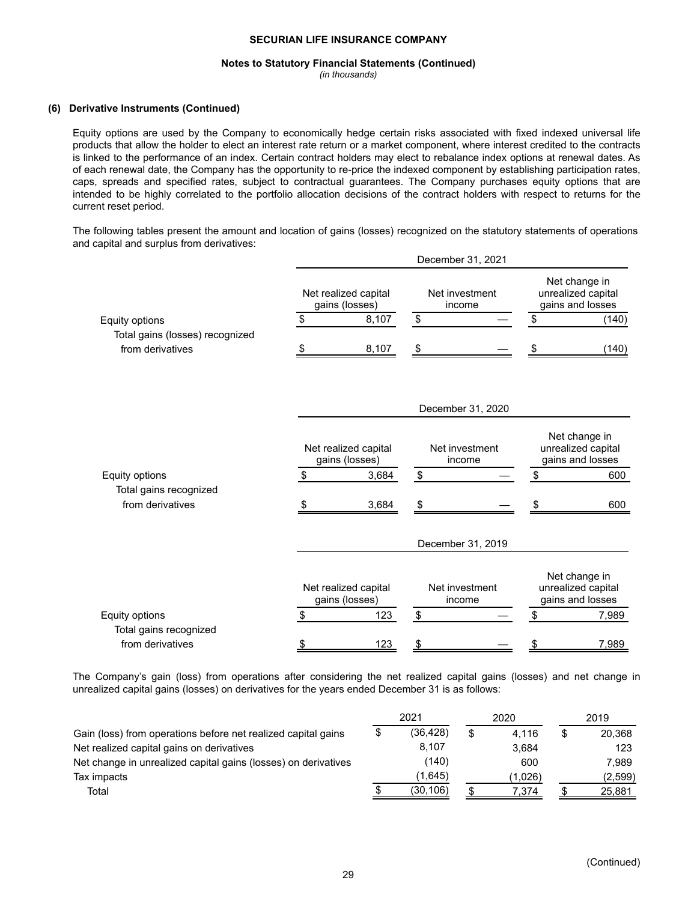#### **Notes to Statutory Financial Statements (Continued)**

*(in thousands)*

## **(6) Derivative Instruments (Continued)**

Equity options are used by the Company to economically hedge certain risks associated with fixed indexed universal life products that allow the holder to elect an interest rate return or a market component, where interest credited to the contracts is linked to the performance of an index. Certain contract holders may elect to rebalance index options at renewal dates. As of each renewal date, the Company has the opportunity to re-price the indexed component by establishing participation rates, caps, spreads and specified rates, subject to contractual guarantees. The Company purchases equity options that are intended to be highly correlated to the portfolio allocation decisions of the contract holders with respect to returns for the current reset period.

The following tables present the amount and location of gains (losses) recognized on the statutory statements of operations and capital and surplus from derivatives:

|                                 |               |                                        | December 31, 2021        |                          |               |                                                         |
|---------------------------------|---------------|----------------------------------------|--------------------------|--------------------------|---------------|---------------------------------------------------------|
|                                 |               | Net realized capital<br>gains (losses) | Net investment<br>income |                          |               | Net change in<br>unrealized capital<br>gains and losses |
| Equity options                  | \$            | 8,107                                  | \$                       |                          | \$            | (140)                                                   |
| Total gains (losses) recognized |               |                                        |                          |                          |               |                                                         |
| from derivatives                | S             | 8,107                                  | \$                       |                          |               | (140)                                                   |
|                                 |               |                                        |                          | December 31, 2020        |               |                                                         |
|                                 |               | Net realized capital<br>gains (losses) |                          | Net investment<br>income |               | Net change in<br>unrealized capital<br>gains and losses |
| Equity options                  | \$            | 3,684                                  | \$                       |                          | \$            | 600                                                     |
| Total gains recognized          |               |                                        |                          |                          |               |                                                         |
| from derivatives                |               | 3,684                                  | \$                       |                          |               | 600                                                     |
|                                 |               |                                        | December 31, 2019        |                          |               |                                                         |
|                                 |               | Net realized capital<br>gains (losses) | Net investment<br>income |                          |               | Net change in<br>unrealized capital<br>gains and losses |
| Equity options                  | \$            | 123                                    | \$                       |                          | $\,$          | 7,989                                                   |
| Total gains recognized          |               |                                        |                          |                          |               |                                                         |
| from derivatives                | $\frac{1}{2}$ | 123                                    | $\frac{1}{2}$            |                          | $\frac{1}{2}$ | 7,989                                                   |

The Company's gain (loss) from operations after considering the net realized capital gains (losses) and net change in unrealized capital gains (losses) on derivatives for the years ended December 31 is as follows:

|                                                                | 2021            | 2020    | 2019    |
|----------------------------------------------------------------|-----------------|---------|---------|
| Gain (loss) from operations before net realized capital gains  | \$<br>(36, 428) | 4.116   | 20,368  |
| Net realized capital gains on derivatives                      | 8,107           | 3.684   | 123     |
| Net change in unrealized capital gains (losses) on derivatives | (140)           | 600     | 7.989   |
| Tax impacts                                                    | (1.645)         | (1.026) | (2,599) |
| Total                                                          | (30, 106)       | 7,374   | 25,881  |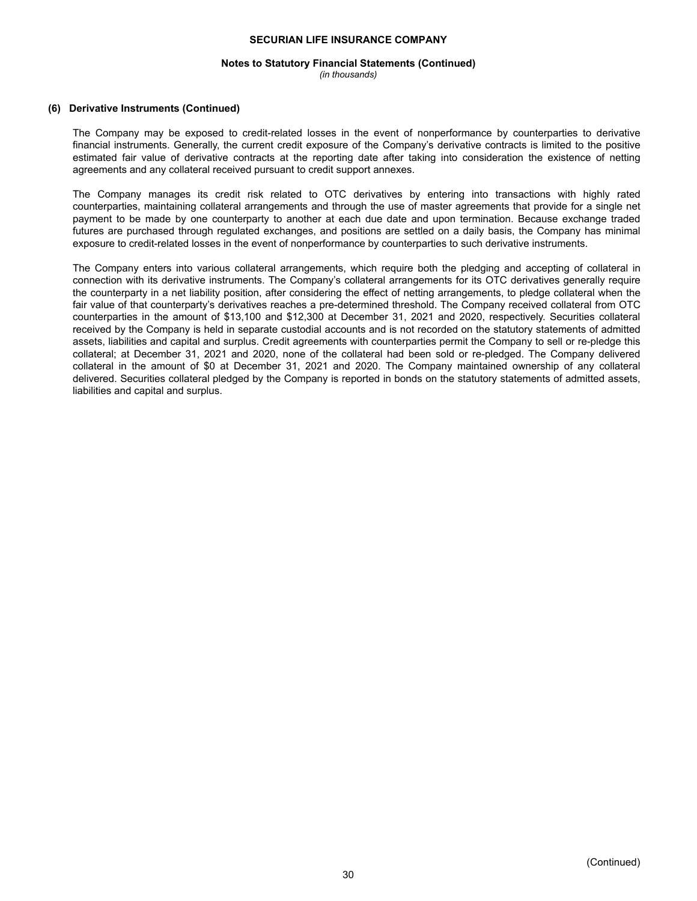## **Notes to Statutory Financial Statements (Continued)**

*(in thousands)*

#### **(6) Derivative Instruments (Continued)**

The Company may be exposed to credit-related losses in the event of nonperformance by counterparties to derivative financial instruments. Generally, the current credit exposure of the Company's derivative contracts is limited to the positive estimated fair value of derivative contracts at the reporting date after taking into consideration the existence of netting agreements and any collateral received pursuant to credit support annexes.

The Company manages its credit risk related to OTC derivatives by entering into transactions with highly rated counterparties, maintaining collateral arrangements and through the use of master agreements that provide for a single net payment to be made by one counterparty to another at each due date and upon termination. Because exchange traded futures are purchased through regulated exchanges, and positions are settled on a daily basis, the Company has minimal exposure to credit-related losses in the event of nonperformance by counterparties to such derivative instruments.

The Company enters into various collateral arrangements, which require both the pledging and accepting of collateral in connection with its derivative instruments. The Company's collateral arrangements for its OTC derivatives generally require the counterparty in a net liability position, after considering the effect of netting arrangements, to pledge collateral when the fair value of that counterparty's derivatives reaches a pre-determined threshold. The Company received collateral from OTC counterparties in the amount of \$13,100 and \$12,300 at December 31, 2021 and 2020, respectively. Securities collateral received by the Company is held in separate custodial accounts and is not recorded on the statutory statements of admitted assets, liabilities and capital and surplus. Credit agreements with counterparties permit the Company to sell or re-pledge this collateral; at December 31, 2021 and 2020, none of the collateral had been sold or re-pledged. The Company delivered collateral in the amount of \$0 at December 31, 2021 and 2020. The Company maintained ownership of any collateral delivered. Securities collateral pledged by the Company is reported in bonds on the statutory statements of admitted assets, liabilities and capital and surplus.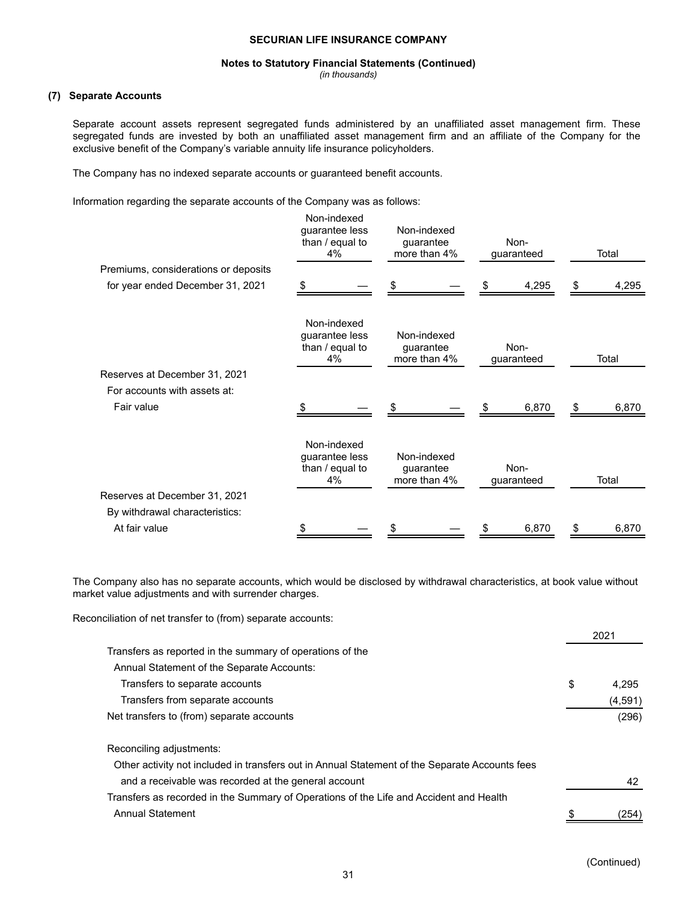#### **Notes to Statutory Financial Statements (Continued)**

*(in thousands)*

## **(7) Separate Accounts**

Separate account assets represent segregated funds administered by an unaffiliated asset management firm. These segregated funds are invested by both an unaffiliated asset management firm and an affiliate of the Company for the exclusive benefit of the Company's variable annuity life insurance policyholders.

The Company has no indexed separate accounts or guaranteed benefit accounts.

Information regarding the separate accounts of the Company was as follows:

|                                      |     | Non-indexed<br>guarantee less<br>than / equal to<br>4%   | Non-indexed<br>guarantee<br>more than 4% |                                          | Non-<br>guaranteed |                    |     |       |  | Total |  |
|--------------------------------------|-----|----------------------------------------------------------|------------------------------------------|------------------------------------------|--------------------|--------------------|-----|-------|--|-------|--|
| Premiums, considerations or deposits |     |                                                          |                                          |                                          |                    |                    |     |       |  |       |  |
| for year ended December 31, 2021     | \$. |                                                          | \$                                       |                                          | \$                 | 4,295              | S.  | 4,295 |  |       |  |
|                                      |     | Non-indexed<br>guarantee less<br>than $/$ equal to<br>4% |                                          | Non-indexed<br>guarantee<br>more than 4% |                    | Non-<br>guaranteed |     | Total |  |       |  |
| Reserves at December 31, 2021        |     |                                                          |                                          |                                          |                    |                    |     |       |  |       |  |
| For accounts with assets at:         |     |                                                          |                                          |                                          |                    |                    |     |       |  |       |  |
| Fair value                           | \$. |                                                          | S                                        |                                          |                    | 6,870              | \$. | 6,870 |  |       |  |
|                                      |     | Non-indexed<br>guarantee less<br>than / equal to<br>4%   |                                          | Non-indexed<br>guarantee<br>more than 4% |                    | Non-<br>guaranteed |     | Total |  |       |  |
| Reserves at December 31, 2021        |     |                                                          |                                          |                                          |                    |                    |     |       |  |       |  |
| By withdrawal characteristics:       |     |                                                          |                                          |                                          |                    |                    |     |       |  |       |  |
| At fair value                        |     |                                                          |                                          |                                          |                    | 6,870              | S   | 6,870 |  |       |  |

The Company also has no separate accounts, which would be disclosed by withdrawal characteristics, at book value without market value adjustments and with surrender charges.

Reconciliation of net transfer to (from) separate accounts:

|                                                                                                | 2021        |
|------------------------------------------------------------------------------------------------|-------------|
| Transfers as reported in the summary of operations of the                                      |             |
| Annual Statement of the Separate Accounts:                                                     |             |
| Transfers to separate accounts                                                                 | \$<br>4.295 |
| Transfers from separate accounts                                                               | (4, 591)    |
| Net transfers to (from) separate accounts                                                      | (296)       |
| Reconciling adjustments:                                                                       |             |
| Other activity not included in transfers out in Annual Statement of the Separate Accounts fees |             |
| and a receivable was recorded at the general account                                           | 42          |
| Transfers as recorded in the Summary of Operations of the Life and Accident and Health         |             |
| <b>Annual Statement</b>                                                                        | 254)        |

 $2021$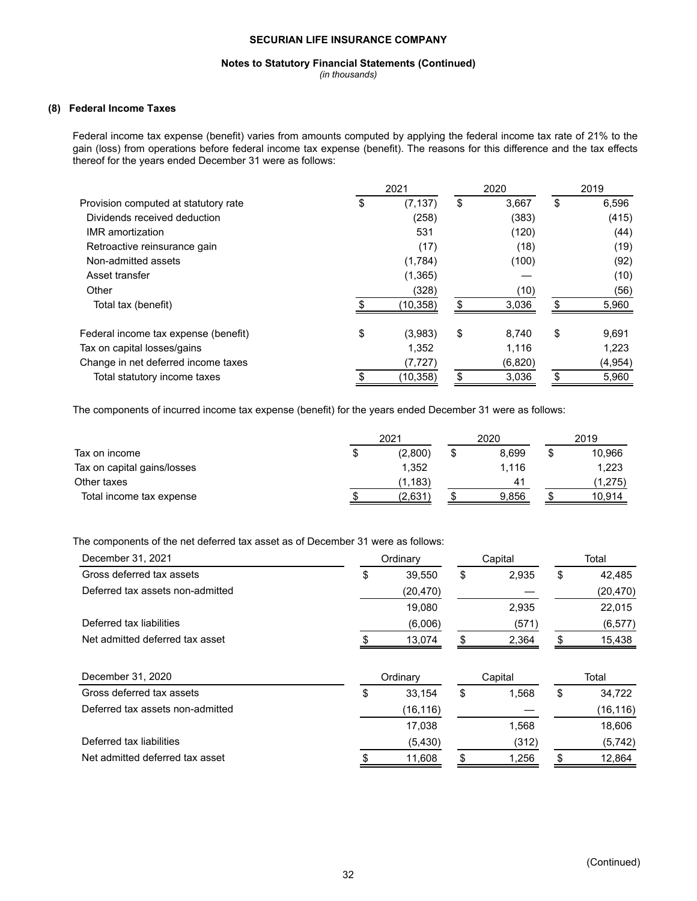#### **Notes to Statutory Financial Statements (Continued)**

*(in thousands)*

## **(8) Federal Income Taxes**

Federal income tax expense (benefit) varies from amounts computed by applying the federal income tax rate of 21% to the gain (loss) from operations before federal income tax expense (benefit). The reasons for this difference and the tax effects thereof for the years ended December 31 were as follows:

|                                      |    | 2021     | 2020        | 2019        |
|--------------------------------------|----|----------|-------------|-------------|
| Provision computed at statutory rate | ъ  | (7, 137) | \$<br>3,667 | \$<br>6,596 |
| Dividends received deduction         |    | (258)    | (383)       | (415)       |
| <b>IMR</b> amortization              |    | 531      | (120)       | (44)        |
| Retroactive reinsurance gain         |    | (17)     | (18)        | (19)        |
| Non-admitted assets                  |    | (1,784)  | (100)       | (92)        |
| Asset transfer                       |    | (1,365)  |             | (10)        |
| Other                                |    | (328)    | (10)        | (56)        |
| Total tax (benefit)                  |    | (10,358) | 3,036       | \$<br>5,960 |
| Federal income tax expense (benefit) | \$ | (3,983)  | \$<br>8.740 | \$<br>9,691 |
| Tax on capital losses/gains          |    | 1,352    | 1,116       | 1,223       |
| Change in net deferred income taxes  |    | (7, 727) | (6,820)     | (4, 954)    |
| Total statutory income taxes         |    | (10,358) | \$<br>3,036 | \$<br>5,960 |

The components of incurred income tax expense (benefit) for the years ended December 31 were as follows:

|                             |   | 2021     | 2020  | 2019         |
|-----------------------------|---|----------|-------|--------------|
| Tax on income               | S | (2,800)  | 8.699 | \$<br>10,966 |
| Tax on capital gains/losses |   | 1.352    | 1.116 | 1.223        |
| Other taxes                 |   | (1, 183) | 41    | (1,275)      |
| Total income tax expense    |   | (2,631)  | 9,856 | 10,914       |

## The components of the net deferred tax asset as of December 31 were as follows:

| December 31, 2021                | Ordinary     | Capital     |    | Total     |
|----------------------------------|--------------|-------------|----|-----------|
| Gross deferred tax assets        | \$<br>39,550 | \$<br>2,935 | \$ | 42,485    |
| Deferred tax assets non-admitted | (20, 470)    |             |    | (20, 470) |
|                                  | 19,080       | 2,935       |    | 22,015    |
| Deferred tax liabilities         | (6,006)      | (571)       |    | (6, 577)  |
| Net admitted deferred tax asset  | 13,074       | 2,364       | \$ | 15,438    |
|                                  |              |             |    |           |
| December 31, 2020                | Ordinary     | Capital     |    | Total     |
| Gross deferred tax assets        | \$<br>33,154 | \$<br>1,568 | \$ | 34,722    |
| Deferred tax assets non-admitted | (16, 116)    |             |    | (16, 116) |
|                                  | 17,038       | 1,568       |    | 18,606    |
| Deferred tax liabilities         | (5, 430)     | (312)       |    | (5, 742)  |
| Net admitted deferred tax asset  | 11,608       | \$<br>1,256 | S  | 12.864    |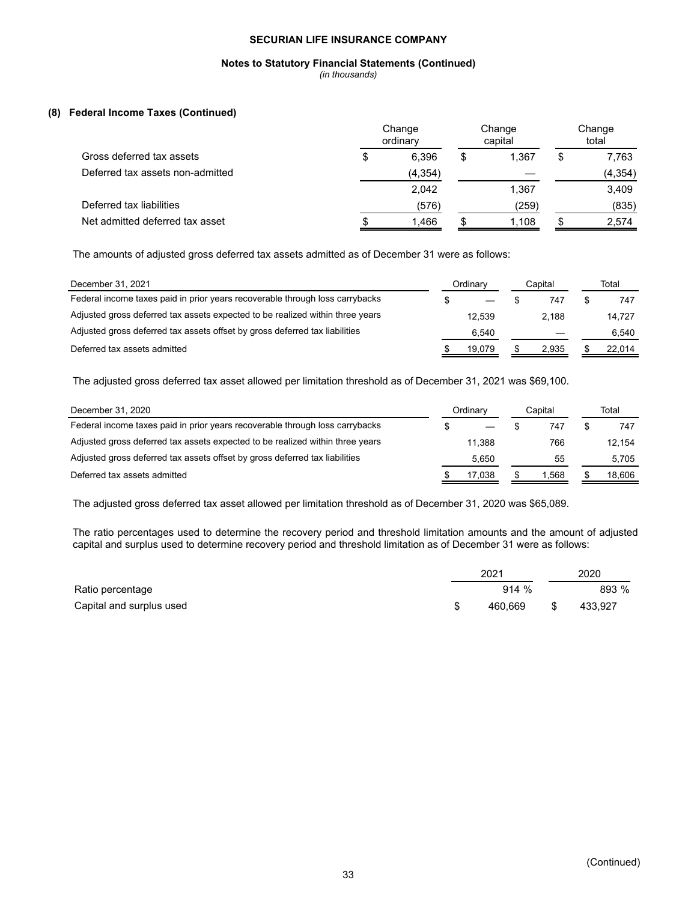## **Notes to Statutory Financial Statements (Continued)**

*(in thousands)*

## **(8) Federal Income Taxes (Continued)**

|                                  |    | Change<br>ordinary |   | Change<br>capital |    |          |  | Change<br>total |  |
|----------------------------------|----|--------------------|---|-------------------|----|----------|--|-----------------|--|
| Gross deferred tax assets        | \$ | 6.396              | S | 1.367             | \$ | 7,763    |  |                 |  |
| Deferred tax assets non-admitted |    | (4, 354)           |   |                   |    | (4, 354) |  |                 |  |
|                                  |    | 2,042              |   | 1.367             |    | 3,409    |  |                 |  |
| Deferred tax liabilities         |    | (576)              |   | (259)             |    | (835)    |  |                 |  |
| Net admitted deferred tax asset  |    | 1,466              |   | 1,108             |    | 2,574    |  |                 |  |

The amounts of adjusted gross deferred tax assets admitted as of December 31 were as follows:

| December 31, 2021                                                             | Ordinarv |        | Capital |       | Total |        |
|-------------------------------------------------------------------------------|----------|--------|---------|-------|-------|--------|
| Federal income taxes paid in prior years recoverable through loss carrybacks  |          |        |         | 747   |       | 747    |
| Adjusted gross deferred tax assets expected to be realized within three years |          | 12.539 |         | 2.188 |       | 14.727 |
| Adjusted gross deferred tax assets offset by gross deferred tax liabilities   |          | 6.540  |         |       |       | 6.540  |
| Deferred tax assets admitted                                                  |          | 19.079 |         | 2.935 |       | 22.014 |

The adjusted gross deferred tax asset allowed per limitation threshold as of December 31, 2021 was \$69,100.

| December 31, 2020                                                             | Ordinary | Capital | Total  |
|-------------------------------------------------------------------------------|----------|---------|--------|
| Federal income taxes paid in prior years recoverable through loss carrybacks  |          | 747     | 747    |
| Adjusted gross deferred tax assets expected to be realized within three years | 11.388   | 766     | 12.154 |
| Adjusted gross deferred tax assets offset by gross deferred tax liabilities   | 5.650    | 55      | 5.705  |
| Deferred tax assets admitted                                                  | 17.038   | 1.568   | 18.606 |

The adjusted gross deferred tax asset allowed per limitation threshold as of December 31, 2020 was \$65,089.

The ratio percentages used to determine the recovery period and threshold limitation amounts and the amount of adjusted capital and surplus used to determine recovery period and threshold limitation as of December 31 were as follows:

|                          | 2021    | 2020          |
|--------------------------|---------|---------------|
| Ratio percentage         | 914%    | 893 %         |
| Capital and surplus used | 460.669 | \$<br>433.927 |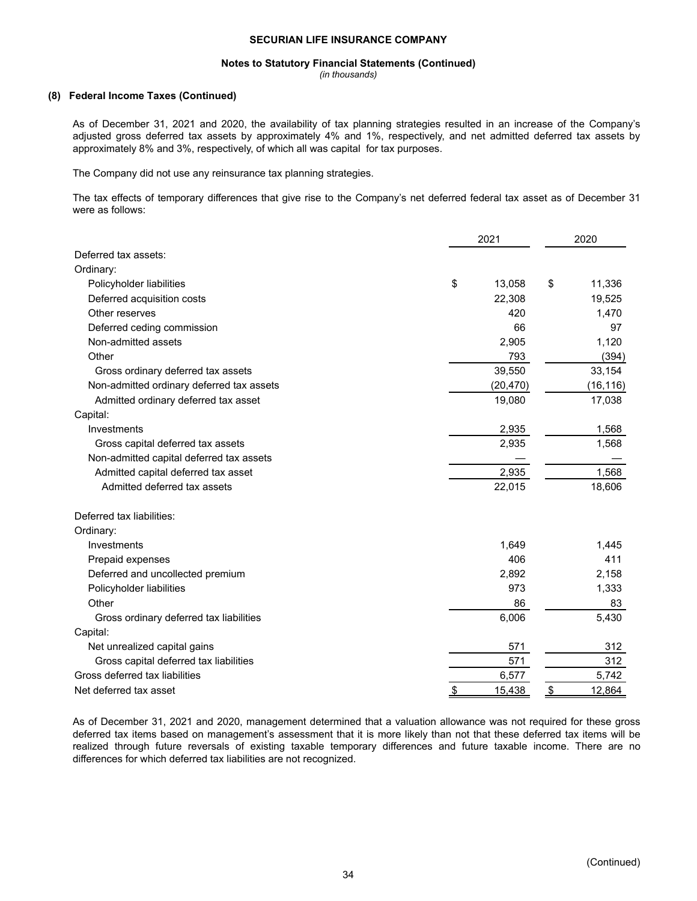#### **Notes to Statutory Financial Statements (Continued)**

*(in thousands)*

#### **(8) Federal Income Taxes (Continued)**

As of December 31, 2021 and 2020, the availability of tax planning strategies resulted in an increase of the Company's adjusted gross deferred tax assets by approximately 4% and 1%, respectively, and net admitted deferred tax assets by approximately 8% and 3%, respectively, of which all was capital for tax purposes.

The Company did not use any reinsurance tax planning strategies.

The tax effects of temporary differences that give rise to the Company's net deferred federal tax asset as of December 31 were as follows:

|                                           |               | 2021      |               | 2020      |
|-------------------------------------------|---------------|-----------|---------------|-----------|
| Deferred tax assets:                      |               |           |               |           |
| Ordinary:                                 |               |           |               |           |
| Policyholder liabilities                  | \$            | 13,058    | \$            | 11,336    |
| Deferred acquisition costs                |               | 22,308    |               | 19,525    |
| Other reserves                            |               | 420       |               | 1,470     |
| Deferred ceding commission                |               | 66        |               | 97        |
| Non-admitted assets                       |               | 2,905     |               | 1,120     |
| Other                                     |               | 793       |               | (394)     |
| Gross ordinary deferred tax assets        |               | 39,550    |               | 33,154    |
| Non-admitted ordinary deferred tax assets |               | (20, 470) |               | (16, 116) |
| Admitted ordinary deferred tax asset      |               | 19,080    |               | 17,038    |
| Capital:                                  |               |           |               |           |
| Investments                               |               | 2,935     |               | 1,568     |
| Gross capital deferred tax assets         |               | 2,935     |               | 1,568     |
| Non-admitted capital deferred tax assets  |               |           |               |           |
| Admitted capital deferred tax asset       |               | 2,935     |               | 1,568     |
| Admitted deferred tax assets              |               | 22,015    |               | 18,606    |
| Deferred tax liabilities:                 |               |           |               |           |
| Ordinary:                                 |               |           |               |           |
| Investments                               |               | 1,649     |               | 1,445     |
| Prepaid expenses                          |               | 406       |               | 411       |
| Deferred and uncollected premium          |               | 2,892     |               | 2,158     |
| Policyholder liabilities                  |               | 973       |               | 1,333     |
| Other                                     |               | 86        |               | 83        |
| Gross ordinary deferred tax liabilities   |               | 6,006     |               | 5,430     |
| Capital:                                  |               |           |               |           |
| Net unrealized capital gains              |               | 571       |               | 312       |
| Gross capital deferred tax liabilities    |               | 571       |               | 312       |
| Gross deferred tax liabilities            |               | 6,577     |               | 5,742     |
| Net deferred tax asset                    | $\frac{1}{2}$ | 15,438    | $\frac{1}{2}$ | 12,864    |

As of December 31, 2021 and 2020, management determined that a valuation allowance was not required for these gross deferred tax items based on management's assessment that it is more likely than not that these deferred tax items will be realized through future reversals of existing taxable temporary differences and future taxable income. There are no differences for which deferred tax liabilities are not recognized.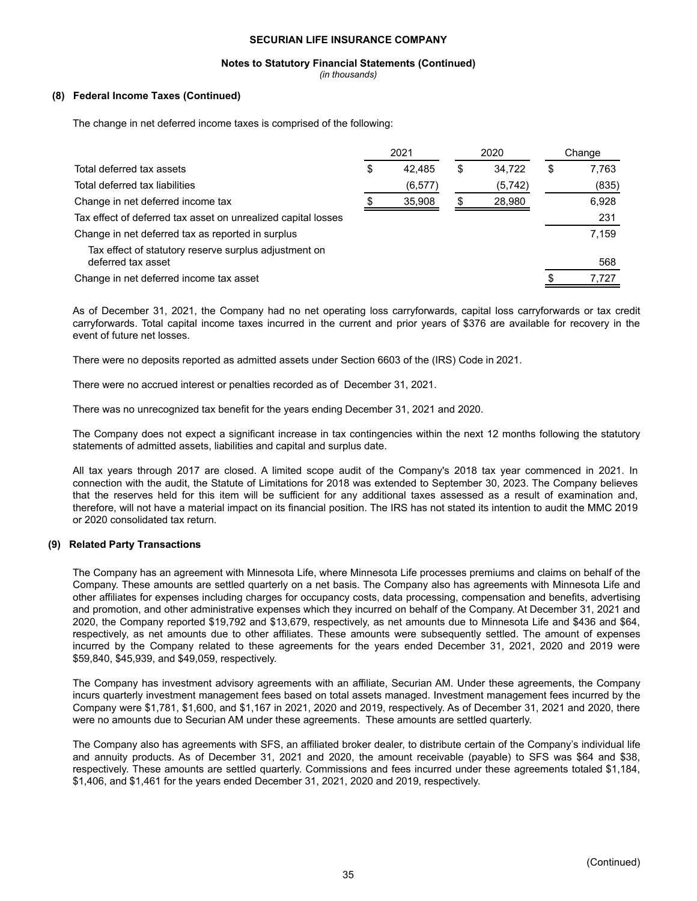#### **Notes to Statutory Financial Statements (Continued)**

*(in thousands)*

### **(8) Federal Income Taxes (Continued)**

The change in net deferred income taxes is comprised of the following:

|                                                                             |    | 2021     | 2020         | Change |       |
|-----------------------------------------------------------------------------|----|----------|--------------|--------|-------|
| Total deferred tax assets                                                   | \$ | 42.485   | \$<br>34.722 | S      | 7,763 |
| Total deferred tax liabilities                                              |    | (6, 577) | (5,742)      |        | (835) |
| Change in net deferred income tax                                           |    | 35,908   | 28,980       |        | 6,928 |
| Tax effect of deferred tax asset on unrealized capital losses               |    |          |              |        | 231   |
| Change in net deferred tax as reported in surplus                           |    |          |              |        | 7,159 |
| Tax effect of statutory reserve surplus adjustment on<br>deferred tax asset |    |          |              |        | 568   |
| Change in net deferred income tax asset                                     |    |          |              |        | 7.727 |

As of December 31, 2021, the Company had no net operating loss carryforwards, capital loss carryforwards or tax credit carryforwards. Total capital income taxes incurred in the current and prior years of \$376 are available for recovery in the event of future net losses.

There were no deposits reported as admitted assets under Section 6603 of the (IRS) Code in 2021.

There were no accrued interest or penalties recorded as of December 31, 2021.

There was no unrecognized tax benefit for the years ending December 31, 2021 and 2020.

The Company does not expect a significant increase in tax contingencies within the next 12 months following the statutory statements of admitted assets, liabilities and capital and surplus date.

All tax years through 2017 are closed. A limited scope audit of the Company's 2018 tax year commenced in 2021. In connection with the audit, the Statute of Limitations for 2018 was extended to September 30, 2023. The Company believes that the reserves held for this item will be sufficient for any additional taxes assessed as a result of examination and, therefore, will not have a material impact on its financial position. The IRS has not stated its intention to audit the MMC 2019 or 2020 consolidated tax return.

#### **(9) Related Party Transactions**

The Company has an agreement with Minnesota Life, where Minnesota Life processes premiums and claims on behalf of the Company. These amounts are settled quarterly on a net basis. The Company also has agreements with Minnesota Life and other affiliates for expenses including charges for occupancy costs, data processing, compensation and benefits, advertising and promotion, and other administrative expenses which they incurred on behalf of the Company. At December 31, 2021 and 2020, the Company reported \$19,792 and \$13,679, respectively, as net amounts due to Minnesota Life and \$436 and \$64, respectively, as net amounts due to other affiliates. These amounts were subsequently settled. The amount of expenses incurred by the Company related to these agreements for the years ended December 31, 2021, 2020 and 2019 were \$59,840, \$45,939, and \$49,059, respectively.

The Company has investment advisory agreements with an affiliate, Securian AM. Under these agreements, the Company incurs quarterly investment management fees based on total assets managed. Investment management fees incurred by the Company were \$1,781, \$1,600, and \$1,167 in 2021, 2020 and 2019, respectively. As of December 31, 2021 and 2020, there were no amounts due to Securian AM under these agreements. These amounts are settled quarterly.

The Company also has agreements with SFS, an affiliated broker dealer, to distribute certain of the Company's individual life and annuity products. As of December 31, 2021 and 2020, the amount receivable (payable) to SFS was \$64 and \$38, respectively. These amounts are settled quarterly. Commissions and fees incurred under these agreements totaled \$1,184, \$1,406, and \$1,461 for the years ended December 31, 2021, 2020 and 2019, respectively.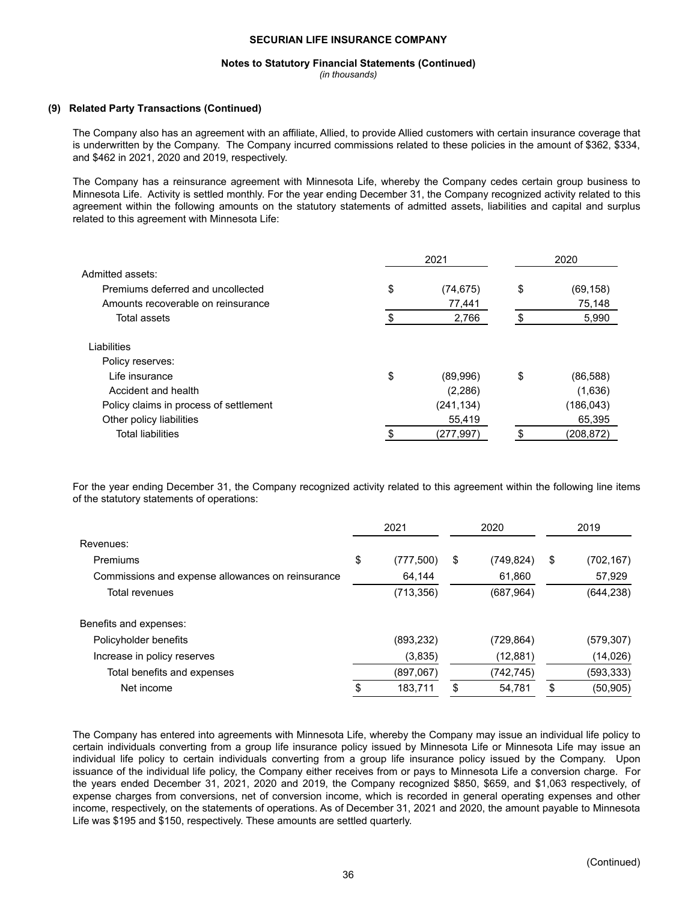## **Notes to Statutory Financial Statements (Continued)**

*(in thousands)*

#### **(9) Related Party Transactions (Continued)**

The Company also has an agreement with an affiliate, Allied, to provide Allied customers with certain insurance coverage that is underwritten by the Company. The Company incurred commissions related to these policies in the amount of \$362, \$334, and \$462 in 2021, 2020 and 2019, respectively.

The Company has a reinsurance agreement with Minnesota Life, whereby the Company cedes certain group business to Minnesota Life. Activity is settled monthly. For the year ending December 31, the Company recognized activity related to this agreement within the following amounts on the statutory statements of admitted assets, liabilities and capital and surplus related to this agreement with Minnesota Life:

|                                        | 2021            | 2020 |           |  |
|----------------------------------------|-----------------|------|-----------|--|
| Admitted assets:                       |                 |      |           |  |
| Premiums deferred and uncollected      | \$<br>(74, 675) | \$   | (69, 158) |  |
| Amounts recoverable on reinsurance     | 77,441          |      | 75,148    |  |
| Total assets                           | 2,766           |      | 5,990     |  |
| Liabilities                            |                 |      |           |  |
| Policy reserves:                       |                 |      |           |  |
| Life insurance                         | \$<br>(89,996)  | \$   | (86, 588) |  |
| Accident and health                    | (2,286)         |      | (1,636)   |  |
| Policy claims in process of settlement | (241, 134)      |      | (186,043) |  |
| Other policy liabilities               | 55,419          |      | 65,395    |  |
| <b>Total liabilities</b>               | (277,997)       |      | (208,872) |  |
|                                        |                 |      |           |  |

For the year ending December 31, the Company recognized activity related to this agreement within the following line items of the statutory statements of operations:

|                                                   | 2021 |            | 2020 |            | 2019 |            |
|---------------------------------------------------|------|------------|------|------------|------|------------|
| Revenues:                                         |      |            |      |            |      |            |
| Premiums                                          | \$   | (777,500)  | \$   | (749, 824) | \$   | (702,167)  |
| Commissions and expense allowances on reinsurance |      | 64,144     |      | 61,860     |      | 57,929     |
| Total revenues                                    |      | (713, 356) |      | (687, 964) |      | (644, 238) |
| Benefits and expenses:                            |      |            |      |            |      |            |
| Policyholder benefits                             |      | (893,232)  |      | (729, 864) |      | (579, 307) |
| Increase in policy reserves                       |      | (3,835)    |      | (12, 881)  |      | (14, 026)  |
| Total benefits and expenses                       |      | (897,067)  |      | (742, 745) |      | (593,333)  |
| Net income                                        |      | 183.711    | S    | 54,781     | \$   | (50, 905)  |

The Company has entered into agreements with Minnesota Life, whereby the Company may issue an individual life policy to certain individuals converting from a group life insurance policy issued by Minnesota Life or Minnesota Life may issue an individual life policy to certain individuals converting from a group life insurance policy issued by the Company. Upon issuance of the individual life policy, the Company either receives from or pays to Minnesota Life a conversion charge. For the years ended December 31, 2021, 2020 and 2019, the Company recognized \$850, \$659, and \$1,063 respectively, of expense charges from conversions, net of conversion income, which is recorded in general operating expenses and other income, respectively, on the statements of operations. As of December 31, 2021 and 2020, the amount payable to Minnesota Life was \$195 and \$150, respectively. These amounts are settled quarterly.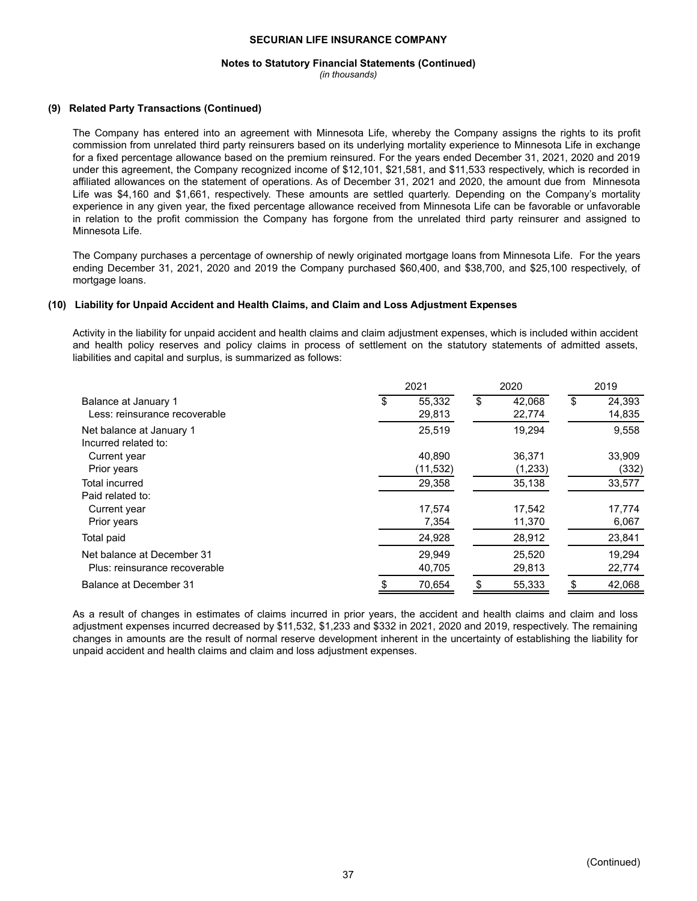#### **Notes to Statutory Financial Statements (Continued)**

*(in thousands)*

#### **(9) Related Party Transactions (Continued)**

The Company has entered into an agreement with Minnesota Life, whereby the Company assigns the rights to its profit commission from unrelated third party reinsurers based on its underlying mortality experience to Minnesota Life in exchange for a fixed percentage allowance based on the premium reinsured. For the years ended December 31, 2021, 2020 and 2019 under this agreement, the Company recognized income of \$12,101, \$21,581, and \$11,533 respectively, which is recorded in affiliated allowances on the statement of operations. As of December 31, 2021 and 2020, the amount due from Minnesota Life was \$4,160 and \$1,661, respectively. These amounts are settled quarterly. Depending on the Company's mortality experience in any given year, the fixed percentage allowance received from Minnesota Life can be favorable or unfavorable in relation to the profit commission the Company has forgone from the unrelated third party reinsurer and assigned to Minnesota Life.

The Company purchases a percentage of ownership of newly originated mortgage loans from Minnesota Life. For the years ending December 31, 2021, 2020 and 2019 the Company purchased \$60,400, and \$38,700, and \$25,100 respectively, of mortgage loans.

#### **(10) Liability for Unpaid Accident and Health Claims, and Claim and Loss Adjustment Expenses**

Activity in the liability for unpaid accident and health claims and claim adjustment expenses, which is included within accident and health policy reserves and policy claims in process of settlement on the statutory statements of admitted assets, liabilities and capital and surplus, is summarized as follows:

|                                                       |   | 2021             | 2020                   | 2019 |                  |
|-------------------------------------------------------|---|------------------|------------------------|------|------------------|
| Balance at January 1<br>Less: reinsurance recoverable | S | 55,332<br>29,813 | \$<br>42,068<br>22,774 | \$   | 24,393<br>14,835 |
| Net balance at January 1<br>Incurred related to:      |   | 25,519           | 19,294                 |      | 9,558            |
| Current year                                          |   | 40.890           | 36,371                 |      | 33,909           |
| Prior years                                           |   | (11,532)         | (1,233)                |      | (332)            |
| Total incurred                                        |   | 29,358           | 35,138                 |      | 33,577           |
| Paid related to:                                      |   |                  |                        |      |                  |
| Current year                                          |   | 17,574           | 17,542                 |      | 17,774           |
| Prior years                                           |   | 7,354            | 11,370                 |      | 6,067            |
| Total paid                                            |   | 24,928           | 28,912                 |      | 23,841           |
| Net balance at December 31                            |   | 29.949           | 25,520                 |      | 19,294           |
| Plus: reinsurance recoverable                         |   | 40,705           | 29,813                 |      | 22,774           |
| Balance at December 31                                |   | 70,654           | 55,333                 |      | 42,068           |

As a result of changes in estimates of claims incurred in prior years, the accident and health claims and claim and loss adjustment expenses incurred decreased by \$11,532, \$1,233 and \$332 in 2021, 2020 and 2019, respectively. The remaining changes in amounts are the result of normal reserve development inherent in the uncertainty of establishing the liability for unpaid accident and health claims and claim and loss adjustment expenses.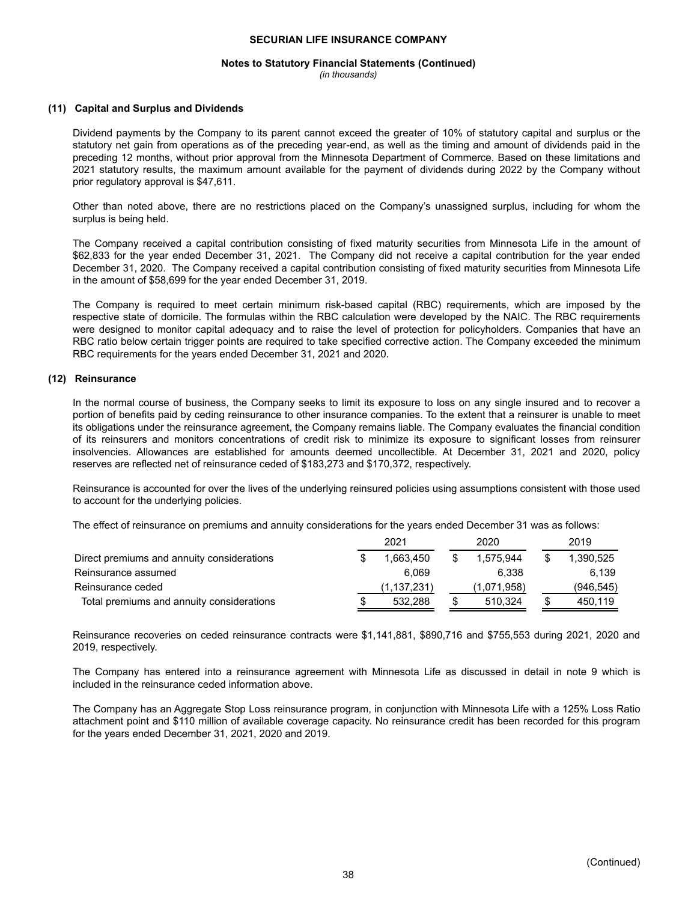## **Notes to Statutory Financial Statements (Continued)**

*(in thousands)*

#### **(11) Capital and Surplus and Dividends**

Dividend payments by the Company to its parent cannot exceed the greater of 10% of statutory capital and surplus or the statutory net gain from operations as of the preceding year-end, as well as the timing and amount of dividends paid in the preceding 12 months, without prior approval from the Minnesota Department of Commerce. Based on these limitations and 2021 statutory results, the maximum amount available for the payment of dividends during 2022 by the Company without prior regulatory approval is \$47,611.

Other than noted above, there are no restrictions placed on the Company's unassigned surplus, including for whom the surplus is being held.

The Company received a capital contribution consisting of fixed maturity securities from Minnesota Life in the amount of \$62,833 for the year ended December 31, 2021. The Company did not receive a capital contribution for the year ended December 31, 2020. The Company received a capital contribution consisting of fixed maturity securities from Minnesota Life in the amount of \$58,699 for the year ended December 31, 2019.

The Company is required to meet certain minimum risk-based capital (RBC) requirements, which are imposed by the respective state of domicile. The formulas within the RBC calculation were developed by the NAIC. The RBC requirements were designed to monitor capital adequacy and to raise the level of protection for policyholders. Companies that have an RBC ratio below certain trigger points are required to take specified corrective action. The Company exceeded the minimum RBC requirements for the years ended December 31, 2021 and 2020.

#### **(12) Reinsurance**

In the normal course of business, the Company seeks to limit its exposure to loss on any single insured and to recover a portion of benefits paid by ceding reinsurance to other insurance companies. To the extent that a reinsurer is unable to meet its obligations under the reinsurance agreement, the Company remains liable. The Company evaluates the financial condition of its reinsurers and monitors concentrations of credit risk to minimize its exposure to significant losses from reinsurer insolvencies. Allowances are established for amounts deemed uncollectible. At December 31, 2021 and 2020, policy reserves are reflected net of reinsurance ceded of \$183,273 and \$170,372, respectively.

Reinsurance is accounted for over the lives of the underlying reinsured policies using assumptions consistent with those used to account for the underlying policies.

The effect of reinsurance on premiums and annuity considerations for the years ended December 31 was as follows:

|                                            | 2021        | 2020          | 2019      |
|--------------------------------------------|-------------|---------------|-----------|
| Direct premiums and annuity considerations | 1.663.450   | 1.575.944     | 1.390.525 |
| Reinsurance assumed                        | 6.069       | 6.338         | 6.139     |
| Reinsurance ceded                          | (1,137,231) | (1,071,958)   | (946,545) |
| Total premiums and annuity considerations  | 532.288     | \$<br>510.324 | 450.119   |

Reinsurance recoveries on ceded reinsurance contracts were \$1,141,881, \$890,716 and \$755,553 during 2021, 2020 and 2019, respectively.

The Company has entered into a reinsurance agreement with Minnesota Life as discussed in detail in note 9 which is included in the reinsurance ceded information above.

The Company has an Aggregate Stop Loss reinsurance program, in conjunction with Minnesota Life with a 125% Loss Ratio attachment point and \$110 million of available coverage capacity. No reinsurance credit has been recorded for this program for the years ended December 31, 2021, 2020 and 2019.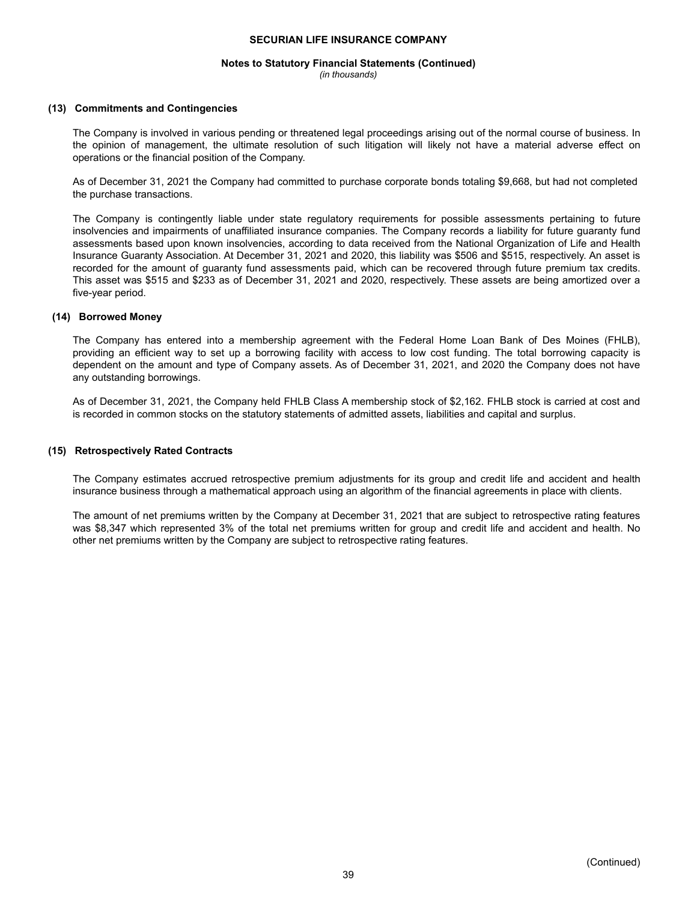## **Notes to Statutory Financial Statements (Continued)**

*(in thousands)*

#### **(13) Commitments and Contingencies**

The Company is involved in various pending or threatened legal proceedings arising out of the normal course of business. In the opinion of management, the ultimate resolution of such litigation will likely not have a material adverse effect on operations or the financial position of the Company.

As of December 31, 2021 the Company had committed to purchase corporate bonds totaling \$9,668, but had not completed the purchase transactions.

The Company is contingently liable under state regulatory requirements for possible assessments pertaining to future insolvencies and impairments of unaffiliated insurance companies. The Company records a liability for future guaranty fund assessments based upon known insolvencies, according to data received from the National Organization of Life and Health Insurance Guaranty Association. At December 31, 2021 and 2020, this liability was \$506 and \$515, respectively. An asset is recorded for the amount of guaranty fund assessments paid, which can be recovered through future premium tax credits. This asset was \$515 and \$233 as of December 31, 2021 and 2020, respectively. These assets are being amortized over a five-year period.

#### **(14) Borrowed Money**

The Company has entered into a membership agreement with the Federal Home Loan Bank of Des Moines (FHLB), providing an efficient way to set up a borrowing facility with access to low cost funding. The total borrowing capacity is dependent on the amount and type of Company assets. As of December 31, 2021, and 2020 the Company does not have any outstanding borrowings.

As of December 31, 2021, the Company held FHLB Class A membership stock of \$2,162. FHLB stock is carried at cost and is recorded in common stocks on the statutory statements of admitted assets, liabilities and capital and surplus.

#### **(15) Retrospectively Rated Contracts**

The Company estimates accrued retrospective premium adjustments for its group and credit life and accident and health insurance business through a mathematical approach using an algorithm of the financial agreements in place with clients.

The amount of net premiums written by the Company at December 31, 2021 that are subject to retrospective rating features was \$8,347 which represented 3% of the total net premiums written for group and credit life and accident and health. No other net premiums written by the Company are subject to retrospective rating features.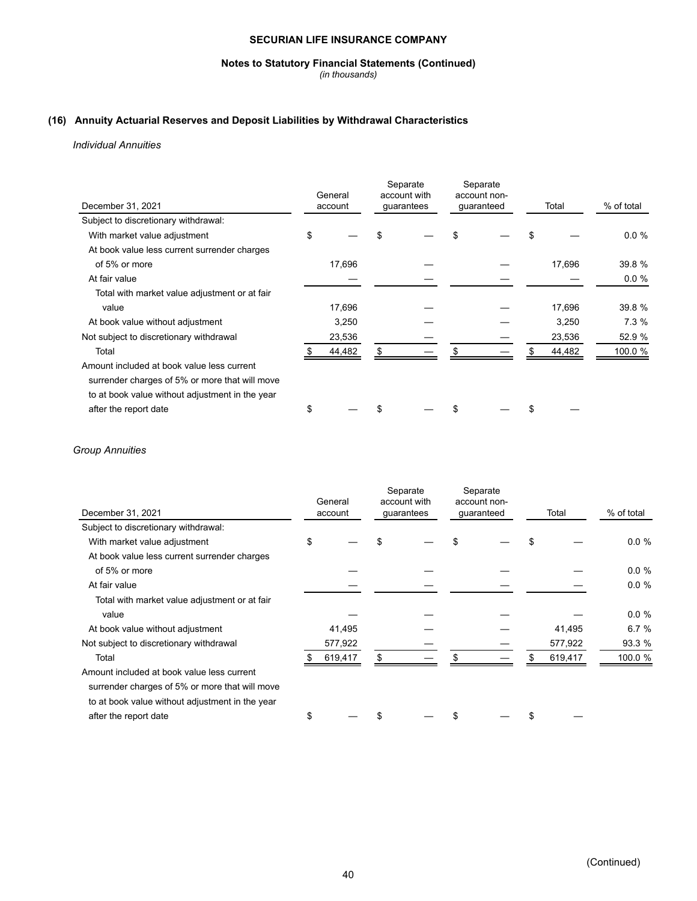#### **Notes to Statutory Financial Statements (Continued)**

*(in thousands)*

## **(16) Annuity Actuarial Reserves and Deposit Liabilities by Withdrawal Characteristics**

*Individual Annuities*

|                                                 |    | General |     | Separate<br>account with |  | Separate<br>account non- |     |        |            |
|-------------------------------------------------|----|---------|-----|--------------------------|--|--------------------------|-----|--------|------------|
| December 31, 2021                               |    | account |     | guarantees               |  | guaranteed               |     | Total  | % of total |
| Subject to discretionary withdrawal:            |    |         |     |                          |  |                          |     |        |            |
| With market value adjustment                    | \$ |         | \$. |                          |  |                          |     |        | 0.0%       |
| At book value less current surrender charges    |    |         |     |                          |  |                          |     |        |            |
| of 5% or more                                   |    | 17,696  |     |                          |  |                          |     | 17,696 | 39.8 %     |
| At fair value                                   |    |         |     |                          |  |                          |     |        | 0.0%       |
| Total with market value adjustment or at fair   |    |         |     |                          |  |                          |     |        |            |
| value                                           |    | 17,696  |     |                          |  |                          |     | 17,696 | 39.8 %     |
| At book value without adjustment                |    | 3,250   |     |                          |  |                          |     | 3,250  | 7.3%       |
| Not subject to discretionary withdrawal         |    | 23,536  |     |                          |  |                          |     | 23,536 | 52.9 %     |
| Total                                           |    | 44,482  | S   |                          |  |                          |     | 44,482 | 100.0 %    |
| Amount included at book value less current      |    |         |     |                          |  |                          |     |        |            |
| surrender charges of 5% or more that will move  |    |         |     |                          |  |                          |     |        |            |
| to at book value without adjustment in the year |    |         |     |                          |  |                          |     |        |            |
| after the report date                           | \$ |         |     |                          |  |                          | \$. |        |            |

## *Group Annuities*

| December 31, 2021                               | General<br>account |     | Separate<br>account with<br>guarantees | Separate<br>account non-<br>guaranteed | Total   | % of total |
|-------------------------------------------------|--------------------|-----|----------------------------------------|----------------------------------------|---------|------------|
| Subject to discretionary withdrawal:            |                    |     |                                        |                                        |         |            |
| With market value adjustment                    | \$                 |     |                                        |                                        |         | 0.0%       |
| At book value less current surrender charges    |                    |     |                                        |                                        |         |            |
| of 5% or more                                   |                    |     |                                        |                                        |         | 0.0%       |
| At fair value                                   |                    |     |                                        |                                        |         | 0.0%       |
| Total with market value adjustment or at fair   |                    |     |                                        |                                        |         |            |
| value                                           |                    |     |                                        |                                        |         | 0.0%       |
| At book value without adjustment                | 41,495             |     |                                        |                                        | 41,495  | 6.7%       |
| Not subject to discretionary withdrawal         | 577,922            |     |                                        |                                        | 577,922 | 93.3 %     |
| Total                                           | 619,417            | \$. |                                        |                                        | 619,417 | 100.0 %    |
| Amount included at book value less current      |                    |     |                                        |                                        |         |            |
| surrender charges of 5% or more that will move  |                    |     |                                        |                                        |         |            |
| to at book value without adjustment in the year |                    |     |                                        |                                        |         |            |
| after the report date                           | \$                 |     |                                        |                                        |         |            |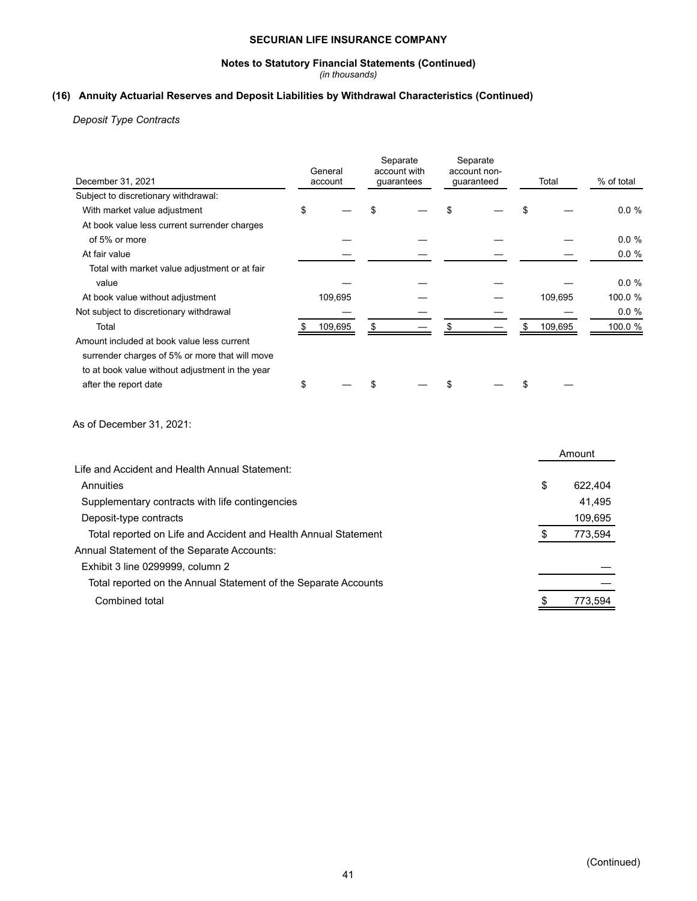## **Notes to Statutory Financial Statements (Continued)**

*(in thousands)*

## **(16) Annuity Actuarial Reserves and Deposit Liabilities by Withdrawal Characteristics (Continued)**

*Deposit Type Contracts*

| December 31, 2021                                               | Separate<br>Separate<br>General<br>account with<br>account non-<br>account<br>guarantees<br>guaranteed |         | Total                   | % of total |  |               |         |
|-----------------------------------------------------------------|--------------------------------------------------------------------------------------------------------|---------|-------------------------|------------|--|---------------|---------|
| Subject to discretionary withdrawal:                            |                                                                                                        |         |                         |            |  |               |         |
| With market value adjustment                                    | \$                                                                                                     |         | \$                      | \$         |  | \$            | 0.0%    |
| At book value less current surrender charges                    |                                                                                                        |         |                         |            |  |               |         |
| of 5% or more                                                   |                                                                                                        |         |                         |            |  |               | 0.0%    |
| At fair value                                                   |                                                                                                        |         |                         |            |  |               | 0.0 %   |
| Total with market value adjustment or at fair                   |                                                                                                        |         |                         |            |  |               |         |
| value                                                           |                                                                                                        |         |                         |            |  |               | 0.0%    |
| At book value without adjustment                                |                                                                                                        | 109,695 |                         |            |  | 109,695       | 100.0 % |
| Not subject to discretionary withdrawal                         |                                                                                                        |         |                         |            |  |               | 0.0%    |
| Total                                                           | \$                                                                                                     | 109,695 | $\sqrt[6]{\frac{2}{5}}$ | \$         |  | \$<br>109,695 | 100.0 % |
| Amount included at book value less current                      |                                                                                                        |         |                         |            |  |               |         |
| surrender charges of 5% or more that will move                  |                                                                                                        |         |                         |            |  |               |         |
| to at book value without adjustment in the year                 |                                                                                                        |         |                         |            |  |               |         |
| after the report date                                           | \$                                                                                                     |         | \$                      | \$         |  | \$            |         |
| As of December 31, 2021:                                        |                                                                                                        |         |                         |            |  |               |         |
|                                                                 |                                                                                                        |         |                         |            |  | Amount        |         |
| Life and Accident and Health Annual Statement:                  |                                                                                                        |         |                         |            |  |               |         |
| Annuities                                                       |                                                                                                        |         |                         |            |  | \$            | 622,404 |
| Supplementary contracts with life contingencies                 |                                                                                                        |         |                         |            |  |               | 41,495  |
| Deposit-type contracts                                          |                                                                                                        |         |                         |            |  |               | 109,695 |
| Total reported on Life and Accident and Health Annual Statement |                                                                                                        |         |                         |            |  | \$            | 773,594 |
| Annual Statement of the Separate Accounts:                      |                                                                                                        |         |                         |            |  |               |         |
| Exhibit 3 line 0299999, column 2                                |                                                                                                        |         |                         |            |  |               |         |
|                                                                 |                                                                                                        |         |                         |            |  |               |         |
| Total reported on the Annual Statement of the Separate Accounts |                                                                                                        |         |                         |            |  |               |         |
| <b>Combined total</b>                                           |                                                                                                        |         |                         |            |  | \$            | 773,594 |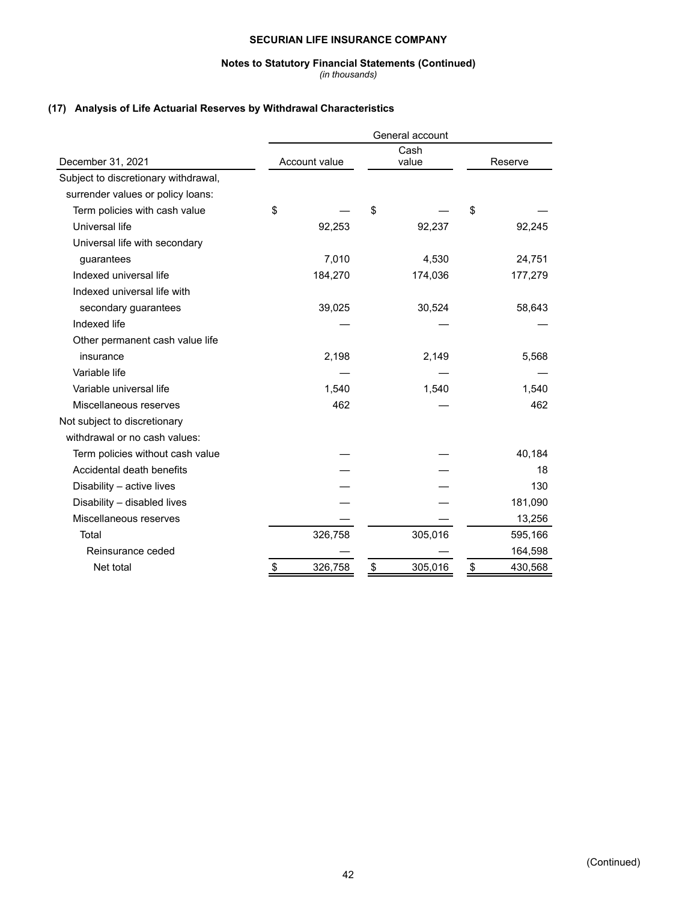## **Notes to Statutory Financial Statements (Continued)**

*(in thousands)*

## **(17) Analysis of Life Actuarial Reserves by Withdrawal Characteristics**

|                                      | General account |               |               |         |               |         |  |  |  |
|--------------------------------------|-----------------|---------------|---------------|---------|---------------|---------|--|--|--|
|                                      |                 |               |               | Cash    |               |         |  |  |  |
| December 31, 2021                    |                 | Account value |               | value   |               | Reserve |  |  |  |
| Subject to discretionary withdrawal, |                 |               |               |         |               |         |  |  |  |
| surrender values or policy loans:    |                 |               |               |         |               |         |  |  |  |
| Term policies with cash value        | \$              |               | \$            |         | \$            |         |  |  |  |
| Universal life                       |                 | 92,253        |               | 92,237  |               | 92,245  |  |  |  |
| Universal life with secondary        |                 |               |               |         |               |         |  |  |  |
| guarantees                           |                 | 7,010         |               | 4,530   |               | 24,751  |  |  |  |
| Indexed universal life               |                 | 184,270       |               | 174,036 |               | 177,279 |  |  |  |
| Indexed universal life with          |                 |               |               |         |               |         |  |  |  |
| secondary guarantees                 |                 | 39,025        |               | 30,524  |               | 58,643  |  |  |  |
| Indexed life                         |                 |               |               |         |               |         |  |  |  |
| Other permanent cash value life      |                 |               |               |         |               |         |  |  |  |
| insurance                            |                 | 2,198         |               | 2,149   |               | 5,568   |  |  |  |
| Variable life                        |                 |               |               |         |               |         |  |  |  |
| Variable universal life              |                 | 1,540         |               | 1,540   |               | 1,540   |  |  |  |
| Miscellaneous reserves               |                 | 462           |               |         |               | 462     |  |  |  |
| Not subject to discretionary         |                 |               |               |         |               |         |  |  |  |
| withdrawal or no cash values:        |                 |               |               |         |               |         |  |  |  |
| Term policies without cash value     |                 |               |               |         |               | 40,184  |  |  |  |
| Accidental death benefits            |                 |               |               |         |               | 18      |  |  |  |
| Disability - active lives            |                 |               |               |         |               | 130     |  |  |  |
| Disability - disabled lives          |                 |               |               |         |               | 181,090 |  |  |  |
| Miscellaneous reserves               |                 |               |               |         |               | 13,256  |  |  |  |
| Total                                |                 | 326,758       |               | 305,016 |               | 595,166 |  |  |  |
| Reinsurance ceded                    |                 |               |               |         |               | 164,598 |  |  |  |
| Net total                            | \$              | 326,758       | $\frac{1}{2}$ | 305,016 | $\frac{1}{2}$ | 430,568 |  |  |  |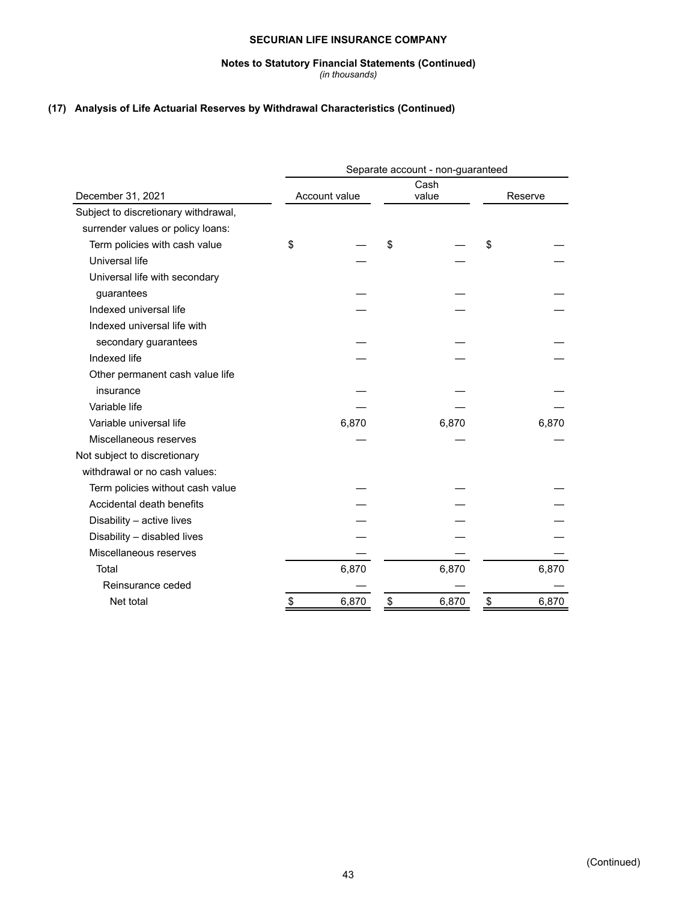# **Notes to Statutory Financial Statements (Continued)**

#### *(in thousands)*

## **(17) Analysis of Life Actuarial Reserves by Withdrawal Characteristics (Continued)**

|                                      | Separate account - non-guaranteed |               |    |       |         |       |  |  |  |  |
|--------------------------------------|-----------------------------------|---------------|----|-------|---------|-------|--|--|--|--|
|                                      |                                   |               |    | Cash  |         |       |  |  |  |  |
| December 31, 2021                    |                                   | Account value |    | value | Reserve |       |  |  |  |  |
| Subject to discretionary withdrawal, |                                   |               |    |       |         |       |  |  |  |  |
| surrender values or policy loans:    |                                   |               |    |       |         |       |  |  |  |  |
| Term policies with cash value        | \$                                |               | \$ |       | \$      |       |  |  |  |  |
| Universal life                       |                                   |               |    |       |         |       |  |  |  |  |
| Universal life with secondary        |                                   |               |    |       |         |       |  |  |  |  |
| guarantees                           |                                   |               |    |       |         |       |  |  |  |  |
| Indexed universal life               |                                   |               |    |       |         |       |  |  |  |  |
| Indexed universal life with          |                                   |               |    |       |         |       |  |  |  |  |
| secondary guarantees                 |                                   |               |    |       |         |       |  |  |  |  |
| Indexed life                         |                                   |               |    |       |         |       |  |  |  |  |
| Other permanent cash value life      |                                   |               |    |       |         |       |  |  |  |  |
| insurance                            |                                   |               |    |       |         |       |  |  |  |  |
| Variable life                        |                                   |               |    |       |         |       |  |  |  |  |
| Variable universal life              |                                   | 6,870         |    | 6,870 |         | 6,870 |  |  |  |  |
| Miscellaneous reserves               |                                   |               |    |       |         |       |  |  |  |  |
| Not subject to discretionary         |                                   |               |    |       |         |       |  |  |  |  |
| withdrawal or no cash values:        |                                   |               |    |       |         |       |  |  |  |  |
| Term policies without cash value     |                                   |               |    |       |         |       |  |  |  |  |
| Accidental death benefits            |                                   |               |    |       |         |       |  |  |  |  |
| Disability - active lives            |                                   |               |    |       |         |       |  |  |  |  |
| Disability - disabled lives          |                                   |               |    |       |         |       |  |  |  |  |
| Miscellaneous reserves               |                                   |               |    |       |         |       |  |  |  |  |
| Total                                |                                   | 6,870         |    | 6,870 |         | 6,870 |  |  |  |  |
| Reinsurance ceded                    |                                   |               |    |       |         |       |  |  |  |  |
| Net total                            | \$                                | 6,870         | \$ | 6,870 | \$      | 6,870 |  |  |  |  |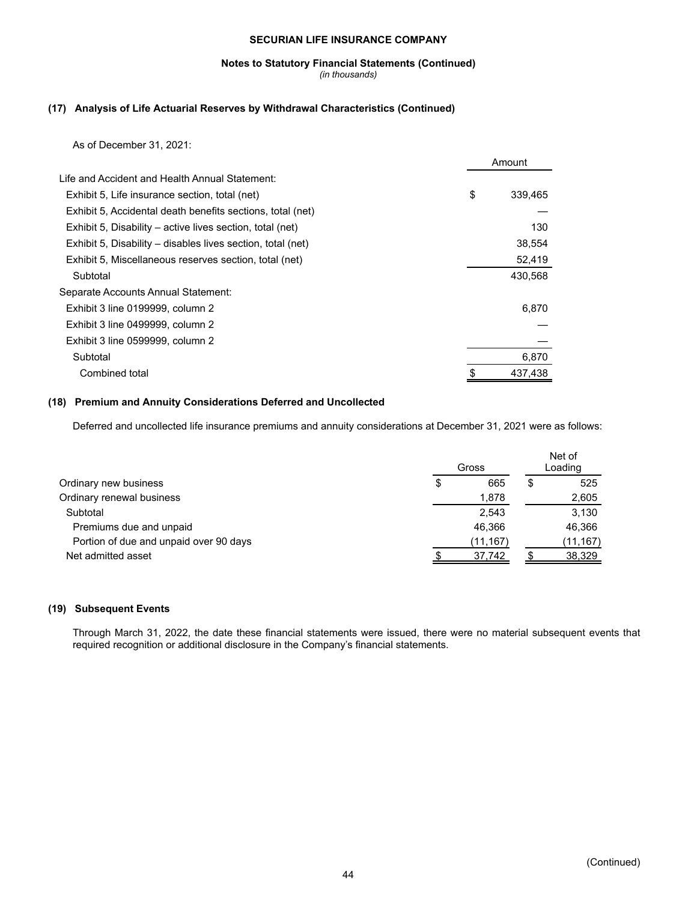#### **Notes to Statutory Financial Statements (Continued)** *(in thousands)*

## **(17) Analysis of Life Actuarial Reserves by Withdrawal Characteristics (Continued)**

As of December 31, 2021:

|                                                             | Amount |         |  |
|-------------------------------------------------------------|--------|---------|--|
| Life and Accident and Health Annual Statement:              |        |         |  |
| Exhibit 5, Life insurance section, total (net)              | \$     | 339,465 |  |
| Exhibit 5, Accidental death benefits sections, total (net)  |        |         |  |
| Exhibit 5, Disability – active lives section, total (net)   |        | 130     |  |
| Exhibit 5, Disability – disables lives section, total (net) |        | 38,554  |  |
| Exhibit 5, Miscellaneous reserves section, total (net)      |        | 52,419  |  |
| Subtotal                                                    |        | 430,568 |  |
| Separate Accounts Annual Statement:                         |        |         |  |
| Exhibit 3 line 0199999, column 2                            |        | 6,870   |  |
| Exhibit 3 line 0499999, column 2                            |        |         |  |
| Exhibit 3 line 0599999, column 2                            |        |         |  |
| Subtotal                                                    |        | 6,870   |  |
| Combined total                                              |        | 437,438 |  |

### **(18) Premium and Annuity Considerations Deferred and Uncollected**

Deferred and uncollected life insurance premiums and annuity considerations at December 31, 2021 were as follows:

|                                        | Gross     |  |           |  |
|----------------------------------------|-----------|--|-----------|--|
| Ordinary new business                  | \$<br>665 |  | 525       |  |
| Ordinary renewal business              | 1,878     |  | 2,605     |  |
| Subtotal                               | 2.543     |  | 3,130     |  |
| Premiums due and unpaid                | 46.366    |  | 46.366    |  |
| Portion of due and unpaid over 90 days | (11,167)  |  | (11, 167) |  |
| Net admitted asset                     | 37,742    |  | 38,329    |  |

## **(19) Subsequent Events**

Through March 31, 2022, the date these financial statements were issued, there were no material subsequent events that required recognition or additional disclosure in the Company's financial statements.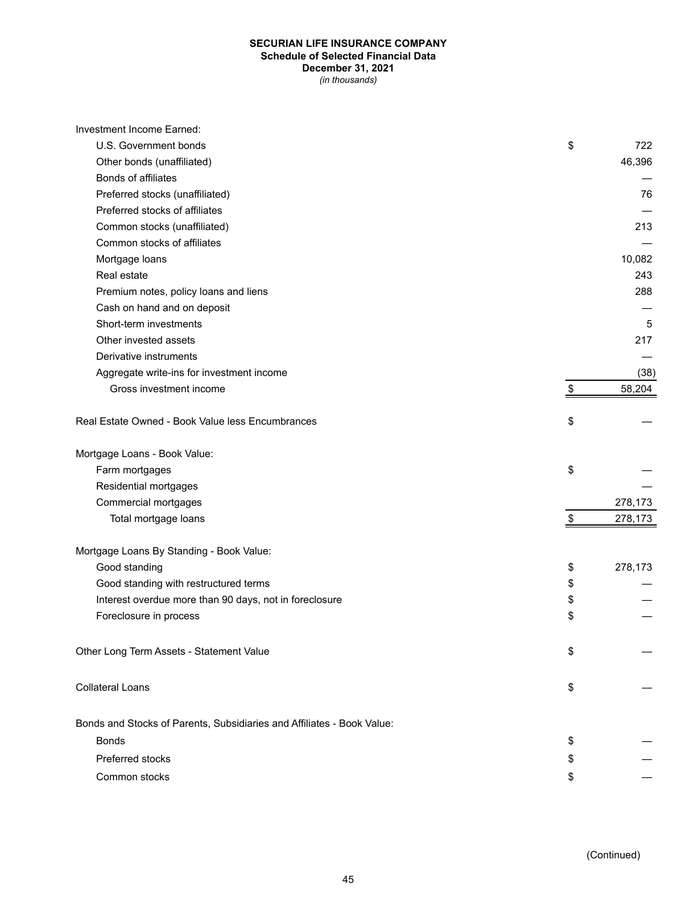### **SECURIAN LIFE INSURANCE COMPANY Schedule of Selected Financial Data December 31, 2021** *(in thousands)*

| Investment Income Earned:                                              |               |
|------------------------------------------------------------------------|---------------|
| U.S. Government bonds                                                  | \$<br>722     |
| Other bonds (unaffiliated)                                             | 46,396        |
| Bonds of affiliates                                                    |               |
| Preferred stocks (unaffiliated)                                        | 76            |
| Preferred stocks of affiliates                                         |               |
| Common stocks (unaffiliated)                                           | 213           |
| Common stocks of affiliates                                            |               |
| Mortgage loans                                                         | 10,082        |
| Real estate                                                            | 243           |
| Premium notes, policy loans and liens                                  | 288           |
| Cash on hand and on deposit                                            |               |
| Short-term investments                                                 | 5             |
| Other invested assets                                                  | 217           |
| Derivative instruments                                                 |               |
| Aggregate write-ins for investment income                              | (38)          |
| Gross investment income                                                | \$<br>58,204  |
| Real Estate Owned - Book Value less Encumbrances                       | \$            |
|                                                                        |               |
| Mortgage Loans - Book Value:                                           |               |
| Farm mortgages                                                         | \$            |
| Residential mortgages                                                  |               |
| Commercial mortgages                                                   | 278,173       |
| Total mortgage loans                                                   | \$<br>278,173 |
| Mortgage Loans By Standing - Book Value:                               |               |
| Good standing                                                          | \$<br>278,173 |
| Good standing with restructured terms                                  | \$            |
| Interest overdue more than 90 days, not in foreclosure                 | \$            |
| Foreclosure in process                                                 | \$            |
| Other Long Term Assets - Statement Value                               | \$            |
| <b>Collateral Loans</b>                                                | \$            |
| Bonds and Stocks of Parents, Subsidiaries and Affiliates - Book Value: |               |
| <b>Bonds</b>                                                           | \$            |
| Preferred stocks                                                       | \$            |
| Common stocks                                                          | \$            |
|                                                                        |               |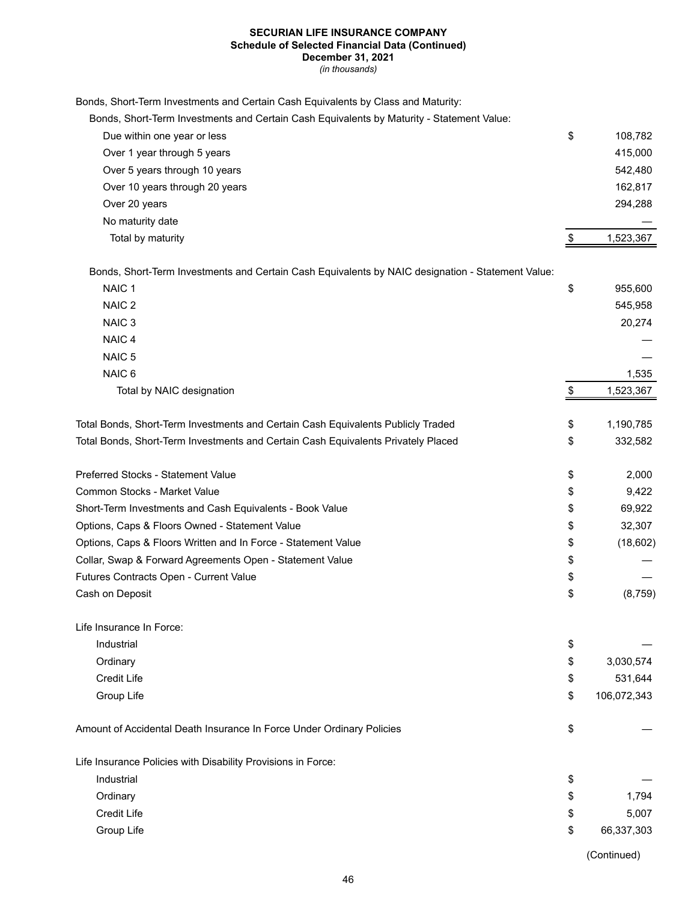## **SECURIAN LIFE INSURANCE COMPANY Schedule of Selected Financial Data (Continued)**

**December 31, 2021**

*(in thousands)*

| Bonds, Short-Term Investments and Certain Cash Equivalents by Class and Maturity: |  |  |
|-----------------------------------------------------------------------------------|--|--|
|-----------------------------------------------------------------------------------|--|--|

| Bonds, Short-Term Investments and Certain Cash Equivalents by Maturity - Statement Value:         |                   |
|---------------------------------------------------------------------------------------------------|-------------------|
| Due within one year or less                                                                       | \$<br>108,782     |
| Over 1 year through 5 years                                                                       | 415,000           |
| Over 5 years through 10 years                                                                     | 542,480           |
| Over 10 years through 20 years                                                                    | 162,817           |
| Over 20 years                                                                                     | 294,288           |
| No maturity date                                                                                  |                   |
| Total by maturity                                                                                 | \$<br>1,523,367   |
| Bonds, Short-Term Investments and Certain Cash Equivalents by NAIC designation - Statement Value: |                   |
| NAIC <sub>1</sub>                                                                                 | \$<br>955,600     |
| NAIC <sub>2</sub>                                                                                 | 545,958           |
| NAIC <sub>3</sub>                                                                                 | 20,274            |
| NAIC <sub>4</sub>                                                                                 |                   |
| NAIC <sub>5</sub>                                                                                 |                   |
| NAIC <sub>6</sub>                                                                                 | 1,535             |
| Total by NAIC designation                                                                         | \$<br>1,523,367   |
| Total Bonds, Short-Term Investments and Certain Cash Equivalents Publicly Traded                  | \$<br>1,190,785   |
| Total Bonds, Short-Term Investments and Certain Cash Equivalents Privately Placed                 | \$<br>332,582     |
| Preferred Stocks - Statement Value                                                                | \$<br>2,000       |
| Common Stocks - Market Value                                                                      | \$<br>9,422       |
| Short-Term Investments and Cash Equivalents - Book Value                                          | \$<br>69,922      |
| Options, Caps & Floors Owned - Statement Value                                                    | \$<br>32,307      |
| Options, Caps & Floors Written and In Force - Statement Value                                     | \$<br>(18,602)    |
| Collar, Swap & Forward Agreements Open - Statement Value                                          | \$                |
| Futures Contracts Open - Current Value                                                            | \$                |
| Cash on Deposit                                                                                   | \$<br>(8, 759)    |
| Life Insurance In Force:                                                                          |                   |
| Industrial                                                                                        | \$                |
| Ordinary                                                                                          | \$<br>3,030,574   |
| <b>Credit Life</b>                                                                                | \$<br>531,644     |
| Group Life                                                                                        | \$<br>106,072,343 |
| Amount of Accidental Death Insurance In Force Under Ordinary Policies                             | \$                |
| Life Insurance Policies with Disability Provisions in Force:                                      |                   |
| Industrial                                                                                        | \$                |
| Ordinary                                                                                          | \$<br>1,794       |
| <b>Credit Life</b>                                                                                | \$<br>5,007       |
| Group Life                                                                                        | \$<br>66,337,303  |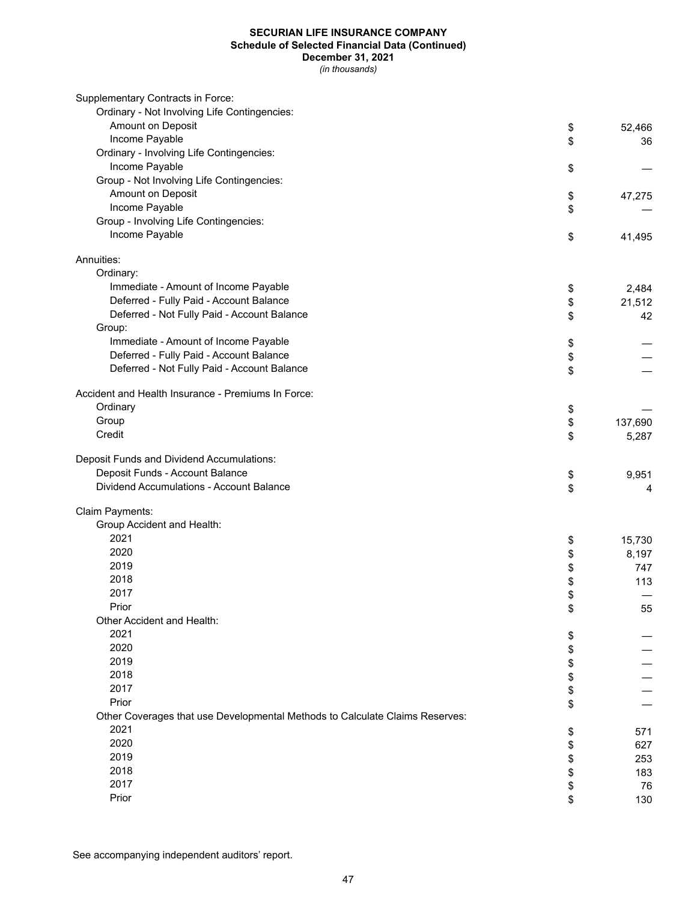## **SECURIAN LIFE INSURANCE COMPANY Schedule of Selected Financial Data (Continued) December 31, 2021**

*(in thousands)*

| Supplementary Contracts in Force:                                            |      |         |
|------------------------------------------------------------------------------|------|---------|
| Ordinary - Not Involving Life Contingencies:                                 |      |         |
| Amount on Deposit                                                            | \$   | 52,466  |
| Income Payable                                                               | \$   | 36      |
| Ordinary - Involving Life Contingencies:                                     |      |         |
| Income Payable                                                               | \$   |         |
| Group - Not Involving Life Contingencies:                                    |      |         |
| Amount on Deposit                                                            | \$   | 47,275  |
| Income Payable                                                               | \$   |         |
| Group - Involving Life Contingencies:                                        |      |         |
| Income Payable                                                               | \$   | 41,495  |
| Annuities:                                                                   |      |         |
| Ordinary:                                                                    |      |         |
| Immediate - Amount of Income Payable                                         | \$   | 2,484   |
| Deferred - Fully Paid - Account Balance                                      | \$   | 21,512  |
| Deferred - Not Fully Paid - Account Balance                                  | \$   | 42      |
| Group:                                                                       |      |         |
| Immediate - Amount of Income Payable                                         | \$   |         |
| Deferred - Fully Paid - Account Balance                                      | \$   |         |
| Deferred - Not Fully Paid - Account Balance                                  | \$   |         |
| Accident and Health Insurance - Premiums In Force:                           |      |         |
| Ordinary                                                                     |      |         |
| Group                                                                        | \$   |         |
| Credit                                                                       | \$   | 137,690 |
|                                                                              | \$   | 5,287   |
| Deposit Funds and Dividend Accumulations:                                    |      |         |
| Deposit Funds - Account Balance                                              | \$   | 9,951   |
| Dividend Accumulations - Account Balance                                     | \$   | 4       |
| Claim Payments:                                                              |      |         |
| Group Accident and Health:                                                   |      |         |
| 2021                                                                         | \$   | 15,730  |
| 2020                                                                         |      | 8,197   |
| 2019                                                                         | \$\$ | 747     |
| 2018                                                                         |      | 113     |
| 2017                                                                         | \$   |         |
| Prior                                                                        | \$   | 55      |
| Other Accident and Health:                                                   |      |         |
| 2021                                                                         | \$   |         |
| 2020                                                                         | \$   |         |
| 2019                                                                         | \$   |         |
| 2018                                                                         | \$   |         |
| 2017                                                                         | \$   |         |
| Prior                                                                        | \$   |         |
| Other Coverages that use Developmental Methods to Calculate Claims Reserves: |      |         |
| 2021                                                                         | \$   | 571     |
| 2020                                                                         | \$   | 627     |
| 2019                                                                         | \$   | 253     |
| 2018                                                                         | \$   | 183     |
| 2017                                                                         | \$   | 76      |
| Prior                                                                        | \$   | 130     |

See accompanying independent auditors' report.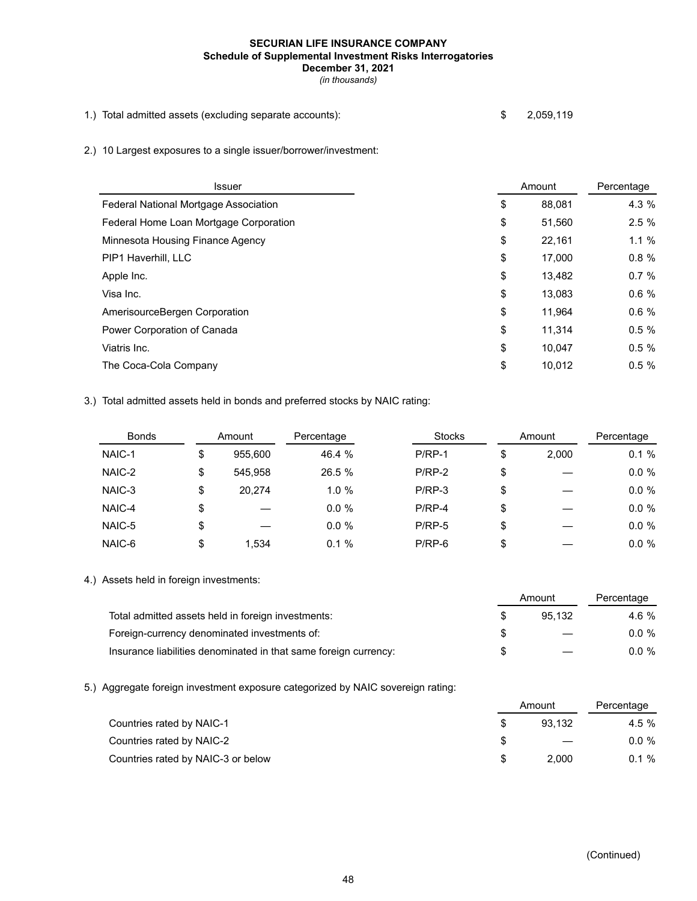## **SECURIAN LIFE INSURANCE COMPANY Schedule of Supplemental Investment Risks Interrogatories December 31, 2021**

*(in thousands)*

- 1.) Total admitted assets (excluding separate accounts): \$ 2,059,119
- 2.) 10 Largest exposures to a single issuer/borrower/investment:

| <b>Issuer</b>                          | Amount       | Percentage |
|----------------------------------------|--------------|------------|
| Federal National Mortgage Association  | \$<br>88,081 | 4.3 %      |
| Federal Home Loan Mortgage Corporation | \$<br>51,560 | 2.5%       |
| Minnesota Housing Finance Agency       | \$<br>22,161 | $1.1 \%$   |
| PIP1 Haverhill, LLC                    | \$<br>17.000 | 0.8%       |
| Apple Inc.                             | \$<br>13,482 | 0.7%       |
| Visa Inc.                              | \$<br>13.083 | 0.6%       |
| AmerisourceBergen Corporation          | \$<br>11,964 | 0.6%       |
| Power Corporation of Canada            | \$<br>11,314 | 0.5%       |
| Viatris Inc.                           | \$<br>10.047 | 0.5%       |
| The Coca-Cola Company                  | \$<br>10,012 | 0.5%       |

3.) Total admitted assets held in bonds and preferred stocks by NAIC rating:

| <b>Bonds</b> |    | Amount  | Percentage | <b>Stocks</b> | Amount      | Percentage |
|--------------|----|---------|------------|---------------|-------------|------------|
| NAIC-1       | จ  | 955,600 | 46.4 %     | $P/RP-1$      | \$<br>2.000 | 0.1%       |
| NAIC-2       | \$ | 545.958 | 26.5 %     | $P/RP-2$      | \$          | $0.0 \%$   |
| NAIC-3       | \$ | 20.274  | $1.0 \%$   | $P/RP-3$      | \$          | $0.0 \%$   |
| NAIC-4       | \$ |         | $0.0 \%$   | $P/RP-4$      | \$          | $0.0 \%$   |
| NAIC-5       | \$ |         | $0.0 \%$   | $P/RP-5$      | \$          | $0.0 \%$   |
| NAIC-6       | \$ | 1.534   | 0.1%       | $P/RP-6$      | \$          | $0.0 \%$   |

4.) Assets held in foreign investments:

|                                                                  | Amount |                          | Percentage |  |
|------------------------------------------------------------------|--------|--------------------------|------------|--|
| Total admitted assets held in foreign investments:               |        | 95.132                   | 4.6 %      |  |
| Foreign-currency denominated investments of:                     |        | $\overline{\phantom{m}}$ | $0.0 \%$   |  |
| Insurance liabilities denominated in that same foreign currency: |        |                          | $0.0 \%$   |  |

5.) Aggregate foreign investment exposure categorized by NAIC sovereign rating:

| Countries rated by NAIC-1          | Amount |       |
|------------------------------------|--------|-------|
|                                    | 93.132 | 4.5%  |
| Countries rated by NAIC-2          |        | 0.0 % |
| Countries rated by NAIC-3 or below | 2.000  | 0.1%  |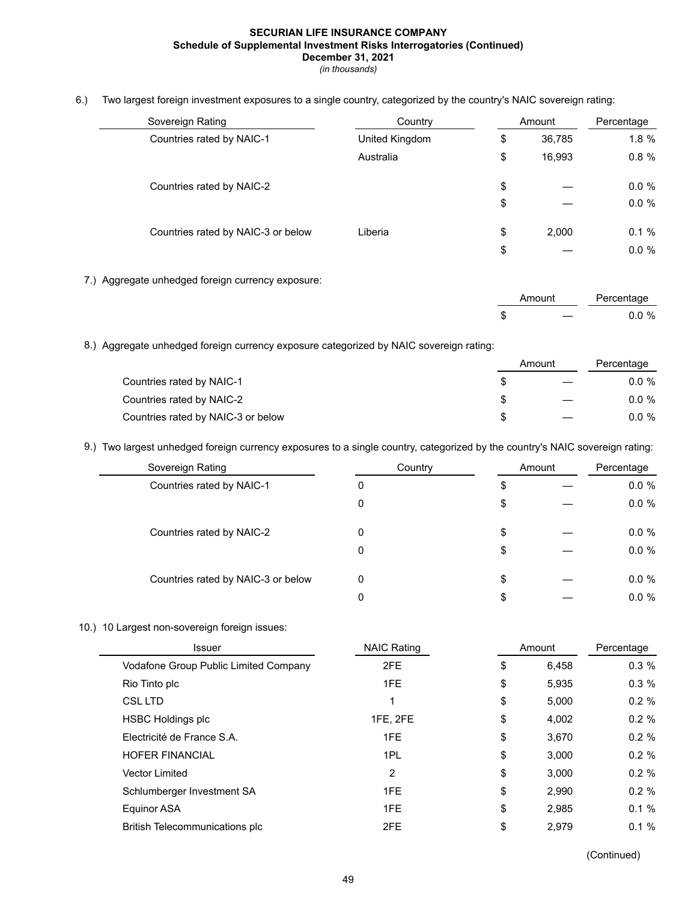#### **SECURIAN LIFE INSURANCE COMPANY Schedule of Supplemental Investment Risks Interrogatories (Continued) December 31, 2021**

*(in thousands)*

6.) Two largest foreign investment exposures to a single country, categorized by the country's NAIC sovereign rating:

| Sovereign Rating                   | Country<br>Amount |    | Percentage |          |
|------------------------------------|-------------------|----|------------|----------|
| Countries rated by NAIC-1          | United Kingdom    | \$ | 36,785     | $1.8 \%$ |
|                                    | Australia         | \$ | 16.993     | $0.8 \%$ |
| Countries rated by NAIC-2          |                   | \$ |            | $0.0 \%$ |
|                                    |                   | \$ |            | $0.0 \%$ |
| Countries rated by NAIC-3 or below | Liberia           | \$ | 2.000      | 0.1%     |
|                                    |                   | \$ |            | $0.0 \%$ |

7.) Aggregate unhedged foreign currency exposure:

| Amount |                                   | Percentage |
|--------|-----------------------------------|------------|
| D      | and the state of the state of the | $0.0 \%$   |

8.) Aggregate unhedged foreign currency exposure categorized by NAIC sovereign rating:

|                                    |  | Amount | Percentage |
|------------------------------------|--|--------|------------|
| Countries rated by NAIC-1          |  |        | $0.0 \%$   |
| Countries rated by NAIC-2          |  |        | $0.0 \%$   |
| Countries rated by NAIC-3 or below |  |        | $0.0 \%$   |

9.) Two largest unhedged foreign currency exposures to a single country, categorized by the country's NAIC sovereign rating:

| Sovereign Rating                   | Country |    | Amount |          |
|------------------------------------|---------|----|--------|----------|
| Countries rated by NAIC-1          | 0       | \$ |        | $0.0 \%$ |
|                                    | 0       | \$ |        | $0.0 \%$ |
| Countries rated by NAIC-2          | 0       | \$ |        | $0.0 \%$ |
|                                    | 0       | \$ |        | $0.0 \%$ |
| Countries rated by NAIC-3 or below | 0       | \$ |        | $0.0 \%$ |
|                                    | 0       | \$ |        | $0.0 \%$ |

## 10.) 10 Largest non-sovereign foreign issues:

| <b>Issuer</b>                         | <b>NAIC Rating</b> | Amount |       | Percentage |
|---------------------------------------|--------------------|--------|-------|------------|
| Vodafone Group Public Limited Company | 2FE                | \$     | 6.458 | 0.3%       |
| Rio Tinto plc                         | 1FE                | \$     | 5.935 | 0.3%       |
| CSL LTD                               |                    | \$     | 5.000 | $0.2 \%$   |
| <b>HSBC Holdings plc</b>              | 1FE, 2FE           | \$     | 4.002 | $0.2 \%$   |
| Electricité de France S.A.            | 1FE                | \$     | 3.670 | $0.2 \%$   |
| <b>HOFER FINANCIAL</b>                | 1PL                | \$     | 3.000 | $0.2 \%$   |
| <b>Vector Limited</b>                 | $\overline{2}$     | \$     | 3.000 | $0.2 \%$   |
| Schlumberger Investment SA            | 1FE                | \$     | 2.990 | $0.2 \%$   |
| Equinor ASA                           | 1FE                | \$     | 2.985 | $0.1 \%$   |
| British Telecommunications plc        | 2FE                | \$     | 2.979 | $0.1 \%$   |
|                                       |                    |        |       |            |

(Continued)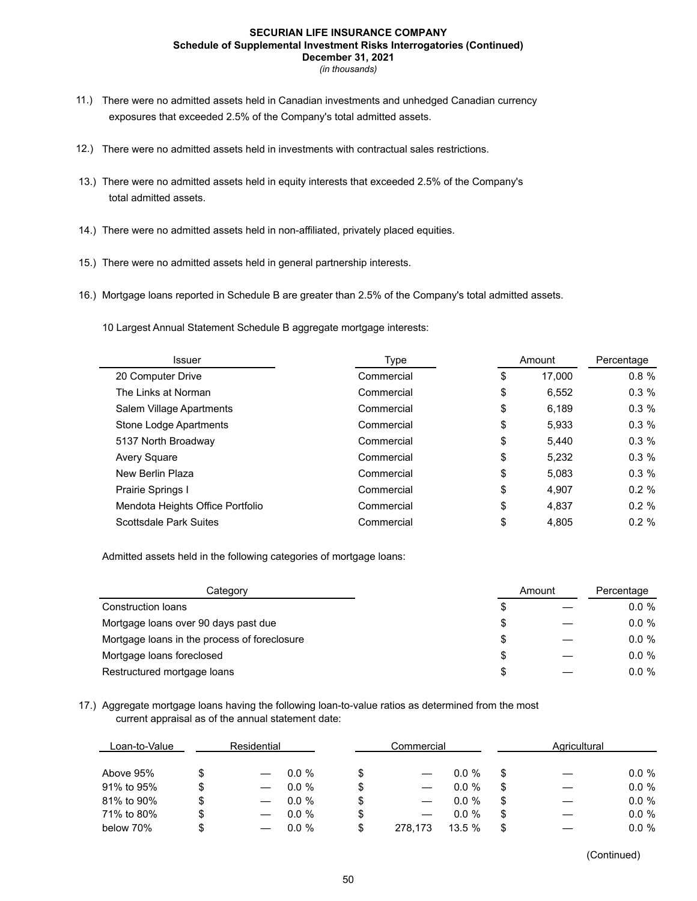#### **SECURIAN LIFE INSURANCE COMPANY Schedule of Supplemental Investment Risks Interrogatories (Continued) December 31, 2021**

*(in thousands)*

- 11.) There were no admitted assets held in Canadian investments and unhedged Canadian currency exposures that exceeded 2.5% of the Company's total admitted assets.
- 12.) There were no admitted assets held in investments with contractual sales restrictions.
- 13.) There were no admitted assets held in equity interests that exceeded 2.5% of the Company's total admitted assets.
- 14.) There were no admitted assets held in non-affiliated, privately placed equities.
- 15.) There were no admitted assets held in general partnership interests.
- 16.) Mortgage loans reported in Schedule B are greater than 2.5% of the Company's total admitted assets.
	- 10 Largest Annual Statement Schedule B aggregate mortgage interests:

| Type                                                          |          |
|---------------------------------------------------------------|----------|
| Commercial<br>17.000<br>20 Computer Drive<br>\$               | 0.8%     |
| \$<br>The Links at Norman<br>Commercial<br>6,552              | $0.3 \%$ |
| \$<br>6,189<br>Salem Village Apartments<br>Commercial         | 0.3%     |
| \$<br>Stone Lodge Apartments<br>5,933<br>Commercial           | 0.3%     |
| \$<br>5137 North Broadway<br>Commercial<br>5,440              | 0.3%     |
| \$<br>5,232<br>Avery Square<br>Commercial                     | $0.3 \%$ |
| \$<br>New Berlin Plaza<br>Commercial<br>5.083                 | $0.3 \%$ |
| \$<br>Prairie Springs I<br>4.907<br>Commercial                | $0.2 \%$ |
| \$<br>Mendota Heights Office Portfolio<br>4.837<br>Commercial | $0.2 \%$ |
| \$<br><b>Scottsdale Park Suites</b><br>Commercial<br>4,805    | 0.2%     |

Admitted assets held in the following categories of mortgage loans:

| Category                                     |    | Amount | Percentage |
|----------------------------------------------|----|--------|------------|
| Construction loans                           | \$ |        | $0.0 \%$   |
| Mortgage loans over 90 days past due         | S  |        | $0.0 \%$   |
| Mortgage loans in the process of foreclosure | \$ |        | $0.0 \%$   |
| Mortgage loans foreclosed                    | S  |        | $0.0 \%$   |
| Restructured mortgage loans                  | S  |        | $0.0 \%$   |

## 17.) Aggregate mortgage loans having the following loan-to-value ratios as determined from the most current appraisal as of the annual statement date:

| Loan-to-Value | Residential |          | Commercial |         | Agricultural |    |          |
|---------------|-------------|----------|------------|---------|--------------|----|----------|
| Above 95%     |             | $0.0 \%$ |            |         | $0.0 \%$     |    | $0.0 \%$ |
| 91% to 95%    |             | $0.0 \%$ |            |         | $0.0 \%$     | \$ | $0.0 \%$ |
| 81% to 90%    |             | $0.0 \%$ |            |         | $0.0 \%$     | \$ | $0.0 \%$ |
| 71% to 80%    |             | $0.0 \%$ |            |         | $0.0 \%$     | \$ | $0.0 \%$ |
| below 70%     |             | $0.0 \%$ |            | 278.173 | 13.5%        | \$ | $0.0 \%$ |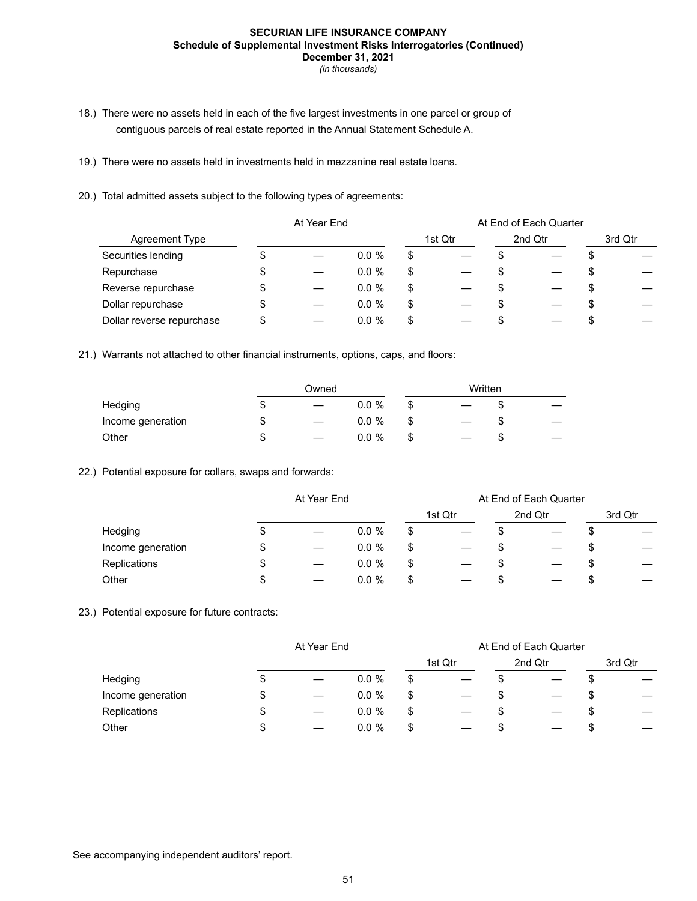#### **SECURIAN LIFE INSURANCE COMPANY Schedule of Supplemental Investment Risks Interrogatories (Continued) December 31, 2021**

*(in thousands)*

- 18.) There were no assets held in each of the five largest investments in one parcel or group of contiguous parcels of real estate reported in the Annual Statement Schedule A.
- 19.) There were no assets held in investments held in mezzanine real estate loans.
- 20.) Total admitted assets subject to the following types of agreements:

|                           | At Year End |  |          | At End of Each Quarter |         |  |         |  |         |
|---------------------------|-------------|--|----------|------------------------|---------|--|---------|--|---------|
| Agreement Type            |             |  |          |                        | 1st Qtr |  | 2nd Qtr |  | 3rd Qtr |
| Securities lending        |             |  | $0.0 \%$ | \$                     |         |  |         |  |         |
| Repurchase                | Φ           |  | $0.0 \%$ | \$                     |         |  |         |  |         |
| Reverse repurchase        | \$          |  | $0.0 \%$ | \$                     |         |  |         |  |         |
| Dollar repurchase         | \$          |  | $0.0 \%$ | \$                     |         |  |         |  |         |
| Dollar reverse repurchase |             |  | $0.0 \%$ | \$                     |         |  |         |  |         |

21.) Warrants not attached to other financial instruments, options, caps, and floors:

|                   | Owned |  |          | Written |  |    |  |
|-------------------|-------|--|----------|---------|--|----|--|
| Hedging           | S     |  | $0.0 \%$ |         |  | ۰D |  |
| Income generation | \$    |  | $0.0 \%$ |         |  | ۰D |  |
| Other             | S     |  | $0.0 \%$ |         |  | Œ  |  |

#### 22.) Potential exposure for collars, swaps and forwards:

|                   |    | At Year End       |          |    |         | At End of Each Quarter |         |    |         |
|-------------------|----|-------------------|----------|----|---------|------------------------|---------|----|---------|
|                   |    |                   |          |    | 1st Qtr |                        | 2nd Qtr |    | 3rd Qtr |
| Hedging           | C  |                   | $0.0 \%$ | \$ |         |                        |         | ۰D |         |
| Income generation | \$ |                   | $0.0 \%$ | \$ |         | \$                     |         |    |         |
| Replications      | \$ | $\hspace{0.05cm}$ | $0.0 \%$ | \$ |         | Œ                      |         | ۰D |         |
| Other             | \$ |                   | $0.0 \%$ | \$ |         | ъ                      |         | \$ |         |

## 23.) Potential exposure for future contracts:

|                   | At Year End |          |    | At End of Each Quarter |   |         |    |         |  |
|-------------------|-------------|----------|----|------------------------|---|---------|----|---------|--|
|                   |             |          |    | 1st Qtr                |   | 2nd Qtr |    | 3rd Qtr |  |
| Hedging           |             | $0.0 \%$ | \$ |                        |   |         |    |         |  |
| Income generation |             | $0.0 \%$ | \$ |                        |   |         | \$ |         |  |
| Replications      |             | $0.0 \%$ | \$ |                        | Œ |         | S  |         |  |
| Other             |             | $0.0 \%$ |    |                        |   |         |    |         |  |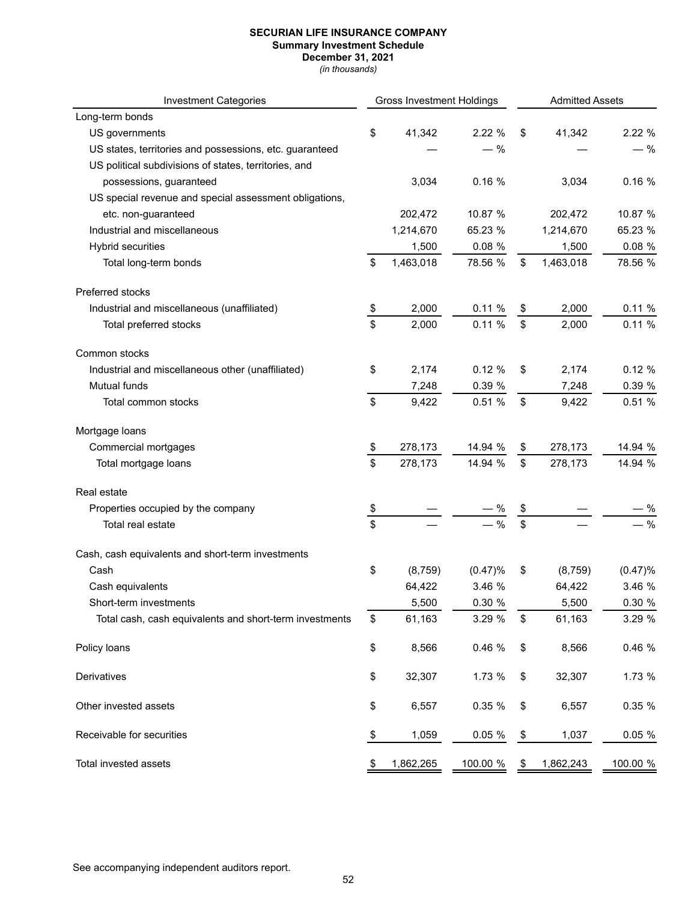**Summary Investment Schedule**

**December 31, 2021** *(in thousands)*

| <b>Investment Categories</b>                            | <b>Gross Investment Holdings</b> |           |          | <b>Admitted Assets</b> |           |           |
|---------------------------------------------------------|----------------------------------|-----------|----------|------------------------|-----------|-----------|
| Long-term bonds                                         |                                  |           |          |                        |           |           |
| US governments                                          | \$                               | 41,342    | 2.22 %   | \$                     | 41,342    | 2.22 %    |
| US states, territories and possessions, etc. guaranteed |                                  |           | $-$ %    |                        |           | $-$ %     |
| US political subdivisions of states, territories, and   |                                  |           |          |                        |           |           |
| possessions, guaranteed                                 |                                  | 3,034     | 0.16%    |                        | 3,034     | 0.16%     |
| US special revenue and special assessment obligations,  |                                  |           |          |                        |           |           |
| etc. non-guaranteed                                     |                                  | 202,472   | 10.87 %  |                        | 202,472   | 10.87 %   |
| Industrial and miscellaneous                            |                                  | 1,214,670 | 65.23 %  |                        | 1,214,670 | 65.23 %   |
| <b>Hybrid securities</b>                                |                                  | 1,500     | 0.08 %   |                        | 1,500     | 0.08 %    |
| Total long-term bonds                                   | \$                               | 1,463,018 | 78.56 %  | \$                     | 1,463,018 | 78.56 %   |
| Preferred stocks                                        |                                  |           |          |                        |           |           |
| Industrial and miscellaneous (unaffiliated)             | \$                               | 2,000     | 0.11%    | \$                     | 2,000     | 0.11%     |
| Total preferred stocks                                  | \$                               | 2,000     | 0.11%    | \$                     | 2,000     | 0.11%     |
| Common stocks                                           |                                  |           |          |                        |           |           |
| Industrial and miscellaneous other (unaffiliated)       | \$                               | 2,174     | 0.12%    | \$                     | 2,174     | 0.12%     |
| Mutual funds                                            |                                  | 7,248     | 0.39 %   |                        | 7,248     | 0.39 %    |
| Total common stocks                                     | \$                               | 9,422     | 0.51%    | \$                     | 9,422     | 0.51%     |
| Mortgage loans                                          |                                  |           |          |                        |           |           |
| Commercial mortgages                                    | \$                               | 278,173   | 14.94 %  | \$                     | 278,173   | 14.94 %   |
| Total mortgage loans                                    | \$                               | 278,173   | 14.94 %  | \$                     | 278,173   | 14.94 %   |
| Real estate                                             |                                  |           |          |                        |           |           |
| Properties occupied by the company                      | \$                               |           |          |                        |           | - %       |
| Total real estate                                       | \$                               |           | $-$ %    | \$                     |           | $-$ %     |
| Cash, cash equivalents and short-term investments       |                                  |           |          |                        |           |           |
| Cash                                                    | \$                               | (8,759)   | (0.47)%  | \$                     | (8, 759)  | (0.47)%   |
| Cash equivalents                                        |                                  | 64,422    | 3.46 %   |                        | 64,422    | 3.46 %    |
| Short-term investments                                  |                                  | 5,500     | 0.30 %   |                        | 5,500     | 0.30 %    |
| Total cash, cash equivalents and short-term investments | \$                               | 61,163    | 3.29 %   | \$                     | 61,163    | 3.29 %    |
| Policy loans                                            | \$                               | 8,566     | 0.46 %   | \$                     | 8,566     | 0.46 %    |
| Derivatives                                             | \$                               | 32,307    | 1.73 %   | \$                     | 32,307    | 1.73 %    |
| Other invested assets                                   | \$                               | 6,557     | 0.35 %   | \$                     | 6,557     | 0.35 %    |
| Receivable for securities                               | \$                               | 1,059     | 0.05%    | \$                     | 1,037     | $0.05 \%$ |
| Total invested assets                                   | P                                | 1,862,265 | 100.00 % | \$                     | 1,862,243 | 100.00 %  |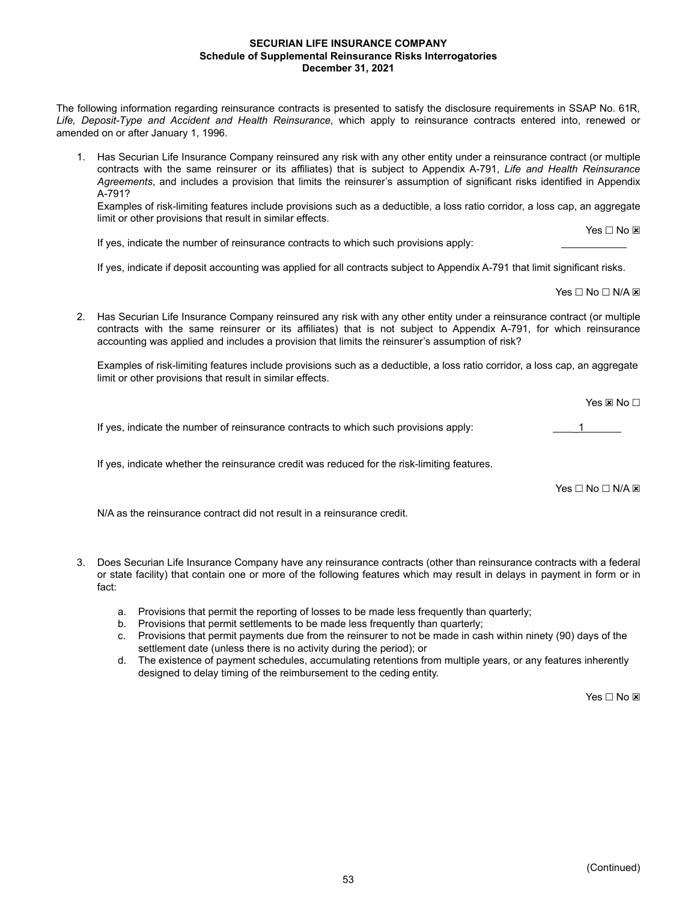#### **SECURIAN LIFE INSURANCE COMPANY Schedule of Supplemental Reinsurance Risks Interrogatories December 31, 2021**

The following information regarding reinsurance contracts is presented to satisfy the disclosure requirements in SSAP No. 61R, *Life, Deposit-Type and Accident and Health Reinsurance*, which apply to reinsurance contracts entered into, renewed or amended on or after January 1, 1996.

1. Has Securian Life Insurance Company reinsured any risk with any other entity under a reinsurance contract (or multiple contracts with the same reinsurer or its affiliates) that is subject to Appendix A-791, *Life and Health Reinsurance Agreements*, and includes a provision that limits the reinsurer's assumption of significant risks identified in Appendix A-791?

Examples of risk-limiting features include provisions such as a deductible, a loss ratio corridor, a loss cap, an aggregate limit or other provisions that result in similar effects.

If yes, indicate the number of reinsurance contracts to which such provisions apply:

If yes, indicate if deposit accounting was applied for all contracts subject to Appendix A-791 that limit significant risks.

Yes □ No □ N/A **x** 

Yes □ No **⊠** 

2. Has Securian Life Insurance Company reinsured any risk with any other entity under a reinsurance contract (or multiple contracts with the same reinsurer or its affiliates) that is not subject to Appendix A-791, for which reinsurance accounting was applied and includes a provision that limits the reinsurer's assumption of risk?

Examples of risk-limiting features include provisions such as a deductible, a loss ratio corridor, a loss cap, an aggregate limit or other provisions that result in similar effects.

Yes ⊠ No □

If yes, indicate the number of reinsurance contracts to which such provisions apply:  $\frac{1}{1}$ 

If yes, indicate whether the reinsurance credit was reduced for the risk-limiting features.

 $Yes \Box No \Box N/A \boxtimes$ 

N/A as the reinsurance contract did not result in a reinsurance credit.

- 3. Does Securian Life Insurance Company have any reinsurance contracts (other than reinsurance contracts with a federal or state facility) that contain one or more of the following features which may result in delays in payment in form or in fact:
	- a. Provisions that permit the reporting of losses to be made less frequently than quarterly;
	- b. Provisions that permit settlements to be made less frequently than quarterly;
	- c. Provisions that permit payments due from the reinsurer to not be made in cash within ninety (90) days of the settlement date (unless there is no activity during the period); or
	- d. The existence of payment schedules, accumulating retentions from multiple years, or any features inherently designed to delay timing of the reimbursement to the ceding entity.